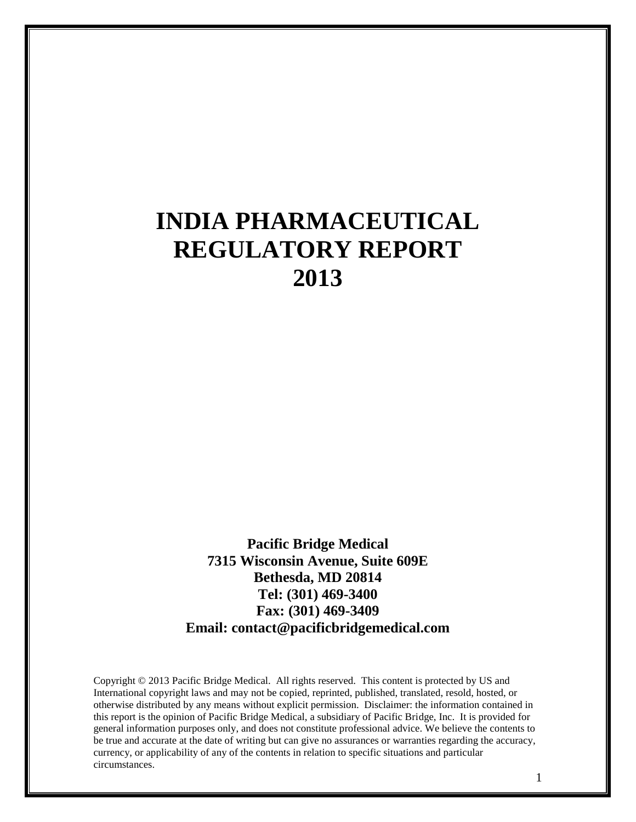# **INDIA PHARMACEUTICAL REGULATORY REPORT 2013**

**Pacific Bridge Medical 7315 Wisconsin Avenue, Suite 609E Bethesda, MD 20814 Tel: (301) 469-3400 Fax: (301) 469-3409 Email: contact@pacificbridgemedical.com**

Copyright © 2013 Pacific Bridge Medical. All rights reserved. This content is protected by US and International copyright laws and may not be copied, reprinted, published, translated, resold, hosted, or otherwise distributed by any means without explicit permission. Disclaimer: the information contained in this report is the opinion of Pacific Bridge Medical, a subsidiary of Pacific Bridge, Inc. It is provided for general information purposes only, and does not constitute professional advice. We believe the contents to be true and accurate at the date of writing but can give no assurances or warranties regarding the accuracy, currency, or applicability of any of the contents in relation to specific situations and particular circumstances.

1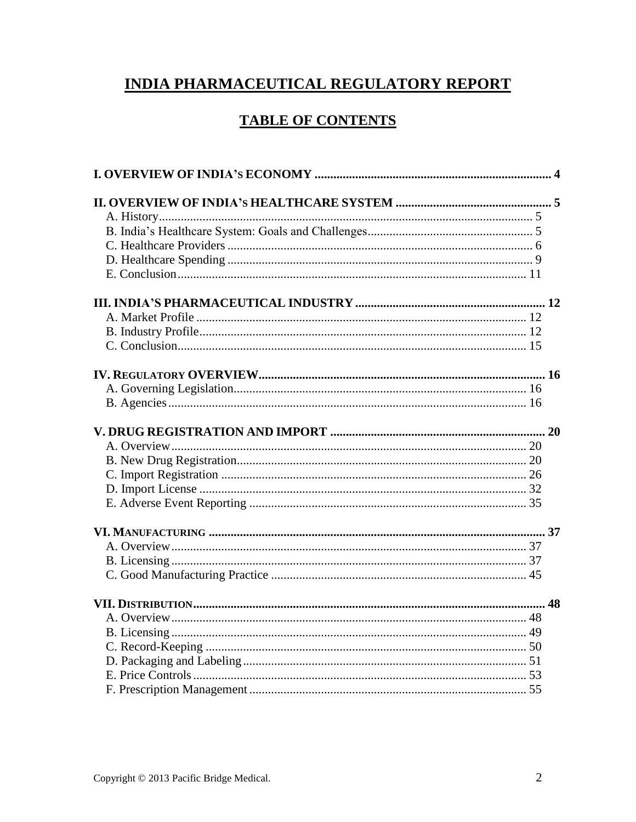# **INDIA PHARMACEUTICAL REGULATORY REPORT**

# **TABLE OF CONTENTS**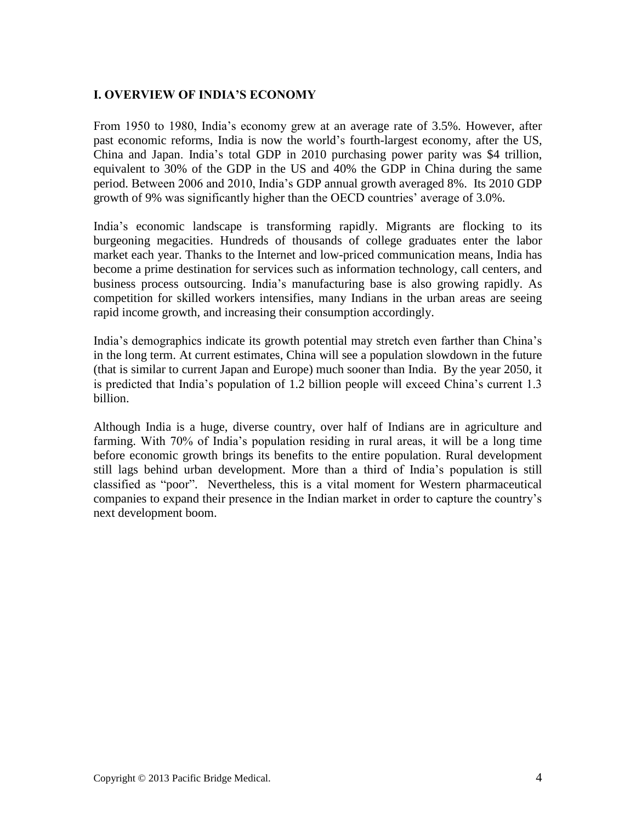# <span id="page-3-0"></span>**I. OVERVIEW OF INDIA'S ECONOMY**

From 1950 to 1980, India's economy grew at an average rate of 3.5%. However, after past economic reforms, India is now the world's fourth-largest economy, after the US, China and Japan. India's total GDP in 2010 purchasing power parity was \$4 trillion, equivalent to 30% of the GDP in the US and 40% the GDP in China during the same period. Between 2006 and 2010, India's GDP annual growth averaged 8%. Its 2010 GDP growth of 9% was significantly higher than the OECD countries' average of 3.0%.

India's economic landscape is transforming rapidly. Migrants are flocking to its burgeoning megacities. Hundreds of thousands of college graduates enter the labor market each year. Thanks to the Internet and low-priced communication means, India has become a prime destination for services such as information technology, call centers, and business process outsourcing. India's manufacturing base is also growing rapidly. As competition for skilled workers intensifies, many Indians in the urban areas are seeing rapid income growth, and increasing their consumption accordingly.

India's demographics indicate its growth potential may stretch even farther than China's in the long term. At current estimates, China will see a population slowdown in the future (that is similar to current Japan and Europe) much sooner than India. By the year 2050, it is predicted that India's population of 1.2 billion people will exceed China's current 1.3 billion.

Although India is a huge, diverse country, over half of Indians are in agriculture and farming. With 70% of India's population residing in rural areas, it will be a long time before economic growth brings its benefits to the entire population. Rural development still lags behind urban development. More than a third of India's population is still classified as "poor". Nevertheless, this is a vital moment for Western pharmaceutical companies to expand their presence in the Indian market in order to capture the country's next development boom.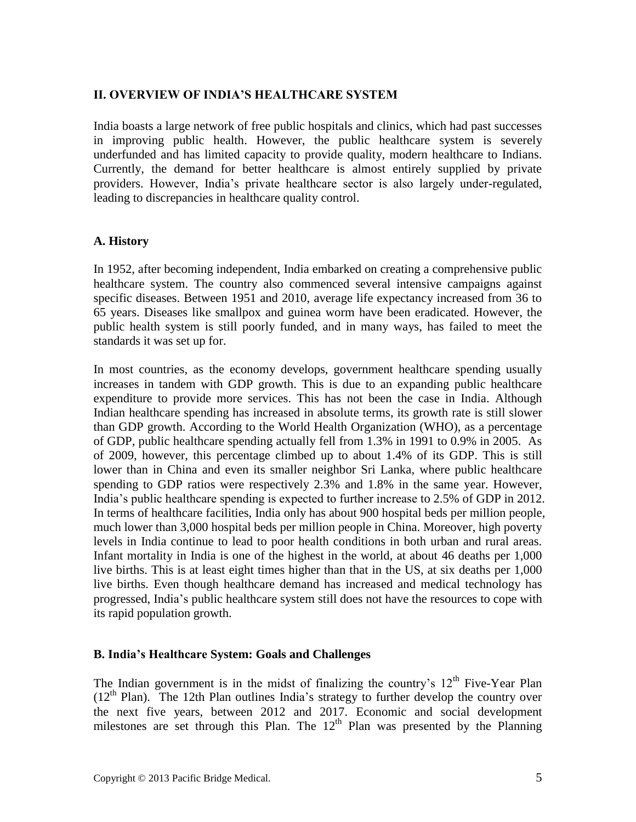#### <span id="page-4-0"></span>**II. OVERVIEW OF INDIA'S HEALTHCARE SYSTEM**

India boasts a large network of free public hospitals and clinics, which had past successes in improving public health. However, the public healthcare system is severely underfunded and has limited capacity to provide quality, modern healthcare to Indians. Currently, the demand for better healthcare is almost entirely supplied by private providers. However, India's private healthcare sector is also largely under-regulated, leading to discrepancies in healthcare quality control.

#### **A. History**

In 1952, after becoming independent, India embarked on creating a comprehensive public healthcare system. The country also commenced several intensive campaigns against specific diseases. Between 1951 and 2010, average life expectancy increased from 36 to 65 years. Diseases like smallpox and guinea worm have been eradicated. However, the public health system is still poorly funded, and in many ways, has failed to meet the standards it was set up for.

In most countries, as the economy develops, government healthcare spending usually increases in tandem with GDP growth. This is due to an expanding public healthcare expenditure to provide more services. This has not been the case in India. Although Indian healthcare spending has increased in absolute terms, its growth rate is still slower than GDP growth. According to the World Health Organization (WHO), as a percentage of GDP, public healthcare spending actually fell from 1.3% in 1991 to 0.9% in 2005. As of 2009, however, this percentage climbed up to about 1.4% of its GDP. This is still lower than in China and even its smaller neighbor Sri Lanka, where public healthcare spending to GDP ratios were respectively 2.3% and 1.8% in the same year. However, India's public healthcare spending is expected to further increase to 2.5% of GDP in 2012. In terms of healthcare facilities, India only has about 900 hospital beds per million people, much lower than 3,000 hospital beds per million people in China. Moreover, high poverty levels in India continue to lead to poor health conditions in both urban and rural areas. Infant mortality in India is one of the highest in the world, at about 46 deaths per 1,000 live births. This is at least eight times higher than that in the US, at six deaths per 1,000 live births. Even though healthcare demand has increased and medical technology has progressed, India's public healthcare system still does not have the resources to cope with its rapid population growth.

#### <span id="page-4-1"></span>**B. India's Healthcare System: Goals and Challenges**

The Indian government is in the midst of finalizing the country's  $12<sup>th</sup>$  Five-Year Plan  $(12<sup>th</sup> Plan)$ . The 12th Plan outlines India's strategy to further develop the country over the next five years, between 2012 and 2017. Economic and social development milestones are set through this Plan. The  $12<sup>th</sup>$  Plan was presented by the Planning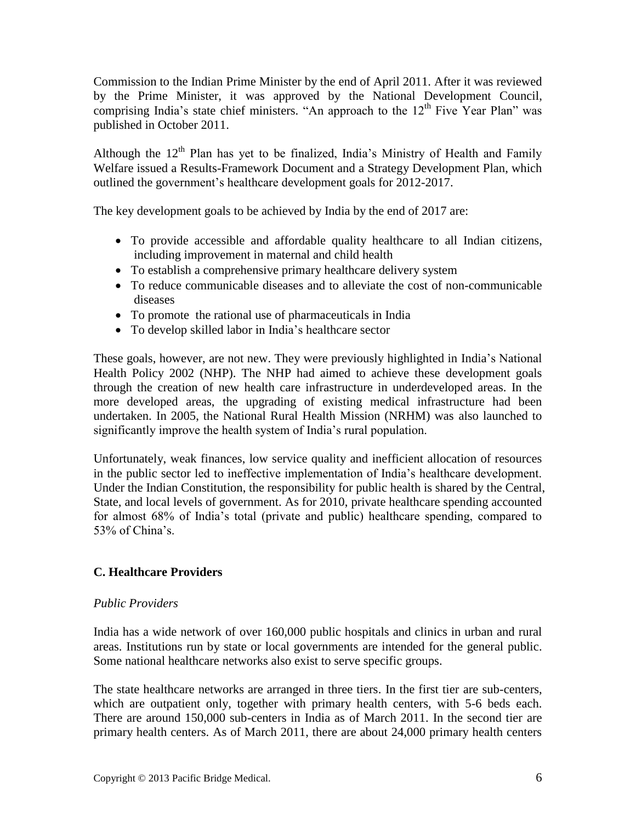Commission to the Indian Prime Minister by the end of April 2011. After it was reviewed by the Prime Minister, it was approved by the National Development Council, comprising India's state chief ministers. "An approach to the  $12<sup>th</sup>$  Five Year Plan" was published in October 2011.

Although the  $12<sup>th</sup>$  Plan has yet to be finalized, India's Ministry of Health and Family Welfare issued a Results-Framework Document and a Strategy Development Plan, which outlined the government's healthcare development goals for 2012-2017.

The key development goals to be achieved by India by the end of 2017 are:

- To provide accessible and affordable quality healthcare to all Indian citizens, including improvement in maternal and child health
- To establish a comprehensive primary healthcare delivery system
- To reduce communicable diseases and to alleviate the cost of non-communicable diseases
- To promote the rational use of pharmaceuticals in India
- To develop skilled labor in India's healthcare sector

These goals, however, are not new. They were previously highlighted in India's National Health Policy 2002 (NHP). The NHP had aimed to achieve these development goals through the creation of new health care infrastructure in underdeveloped areas. In the more developed areas, the upgrading of existing medical infrastructure had been undertaken. In 2005, the National Rural Health Mission (NRHM) was also launched to significantly improve the health system of India's rural population.

Unfortunately, weak finances, low service quality and inefficient allocation of resources in the public sector led to ineffective implementation of India's healthcare development. Under the Indian Constitution, the responsibility for public health is shared by the Central, State, and local levels of government. As for 2010, private healthcare spending accounted for almost 68% of India's total (private and public) healthcare spending, compared to 53% of China's.

# <span id="page-5-0"></span>**C. Healthcare Providers**

#### *Public Providers*

India has a wide network of over 160,000 public hospitals and clinics in urban and rural areas. Institutions run by state or local governments are intended for the general public. Some national healthcare networks also exist to serve specific groups.

The state healthcare networks are arranged in three tiers. In the first tier are sub-centers, which are outpatient only, together with primary health centers, with 5-6 beds each. There are around 150,000 sub-centers in India as of March 2011. In the second tier are primary health centers. As of March 2011, there are about 24,000 primary health centers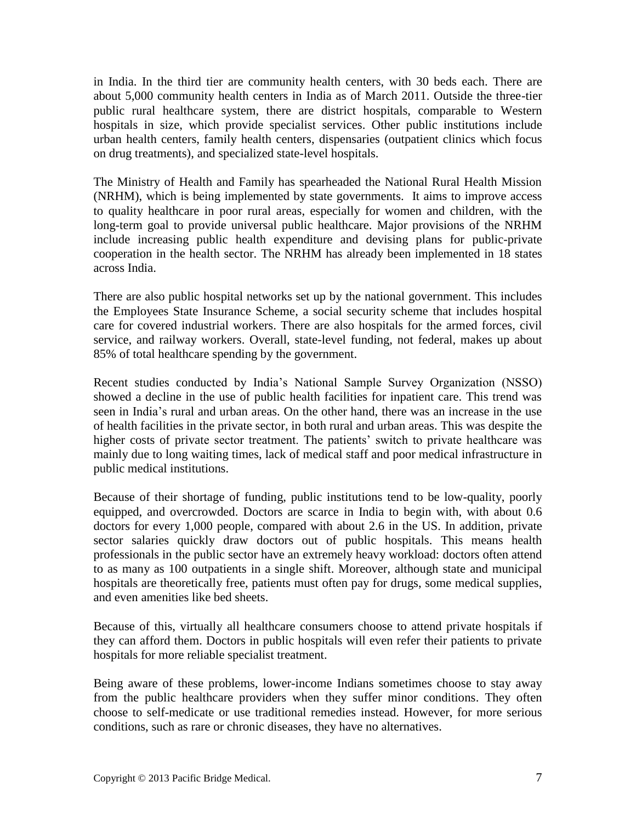in India. In the third tier are community health centers, with 30 beds each. There are about 5,000 community health centers in India as of March 2011. Outside the three-tier public rural healthcare system, there are district hospitals, comparable to Western hospitals in size, which provide specialist services. Other public institutions include urban health centers, family health centers, dispensaries (outpatient clinics which focus on drug treatments), and specialized state-level hospitals.

The Ministry of Health and Family has spearheaded the National Rural Health Mission (NRHM), which is being implemented by state governments. It aims to improve access to quality healthcare in poor rural areas, especially for women and children, with the long-term goal to provide universal public healthcare. Major provisions of the NRHM include increasing public health expenditure and devising plans for public-private cooperation in the health sector. The NRHM has already been implemented in 18 states across India.

There are also public hospital networks set up by the national government. This includes the Employees State Insurance Scheme, a social security scheme that includes hospital care for covered industrial workers. There are also hospitals for the armed forces, civil service, and railway workers. Overall, state-level funding, not federal, makes up about 85% of total healthcare spending by the government.

Recent studies conducted by India's National Sample Survey Organization (NSSO) showed a decline in the use of public health facilities for inpatient care. This trend was seen in India's rural and urban areas. On the other hand, there was an increase in the use of health facilities in the private sector, in both rural and urban areas. This was despite the higher costs of private sector treatment. The patients' switch to private healthcare was mainly due to long waiting times, lack of medical staff and poor medical infrastructure in public medical institutions.

Because of their shortage of funding, public institutions tend to be low-quality, poorly equipped, and overcrowded. Doctors are scarce in India to begin with, with about 0.6 doctors for every 1,000 people, compared with about 2.6 in the US. In addition, private sector salaries quickly draw doctors out of public hospitals. This means health professionals in the public sector have an extremely heavy workload: doctors often attend to as many as 100 outpatients in a single shift. Moreover, although state and municipal hospitals are theoretically free, patients must often pay for drugs, some medical supplies, and even amenities like bed sheets.

Because of this, virtually all healthcare consumers choose to attend private hospitals if they can afford them. Doctors in public hospitals will even refer their patients to private hospitals for more reliable specialist treatment.

Being aware of these problems, lower-income Indians sometimes choose to stay away from the public healthcare providers when they suffer minor conditions. They often choose to self-medicate or use traditional remedies instead. However, for more serious conditions, such as rare or chronic diseases, they have no alternatives.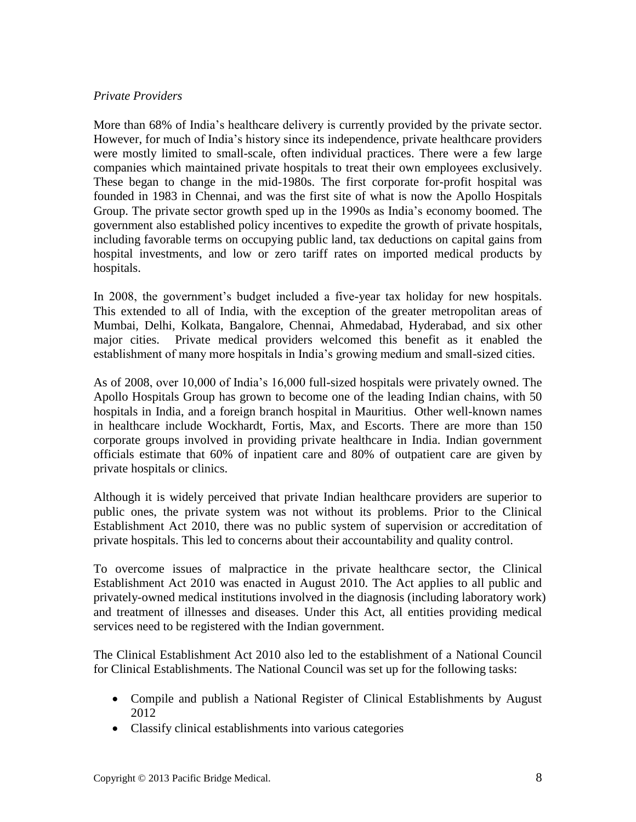## *Private Providers*

More than 68% of India's healthcare delivery is currently provided by the private sector. However, for much of India's history since its independence, private healthcare providers were mostly limited to small-scale, often individual practices. There were a few large companies which maintained private hospitals to treat their own employees exclusively. These began to change in the mid-1980s. The first corporate for-profit hospital was founded in 1983 in Chennai, and was the first site of what is now the Apollo Hospitals Group. The private sector growth sped up in the 1990s as India's economy boomed. The government also established policy incentives to expedite the growth of private hospitals, including favorable terms on occupying public land, tax deductions on capital gains from hospital investments, and low or zero tariff rates on imported medical products by hospitals.

In 2008, the government's budget included a five-year tax holiday for new hospitals. This extended to all of India, with the exception of the greater metropolitan areas of Mumbai, Delhi, Kolkata, Bangalore, Chennai, Ahmedabad, Hyderabad, and six other major cities. Private medical providers welcomed this benefit as it enabled the establishment of many more hospitals in India's growing medium and small-sized cities.

As of 2008, over 10,000 of India's 16,000 full-sized hospitals were privately owned. The Apollo Hospitals Group has grown to become one of the leading Indian chains, with 50 hospitals in India, and a foreign branch hospital in Mauritius. Other well-known names in healthcare include Wockhardt, Fortis, Max, and Escorts. There are more than 150 corporate groups involved in providing private healthcare in India. Indian government officials estimate that 60% of inpatient care and 80% of outpatient care are given by private hospitals or clinics.

Although it is widely perceived that private Indian healthcare providers are superior to public ones, the private system was not without its problems. Prior to the Clinical Establishment Act 2010, there was no public system of supervision or accreditation of private hospitals. This led to concerns about their accountability and quality control.

To overcome issues of malpractice in the private healthcare sector, the Clinical Establishment Act 2010 was enacted in August 2010. The Act applies to all public and privately-owned medical institutions involved in the diagnosis (including laboratory work) and treatment of illnesses and diseases. Under this Act, all entities providing medical services need to be registered with the Indian government.

The Clinical Establishment Act 2010 also led to the establishment of a National Council for Clinical Establishments. The National Council was set up for the following tasks:

- Compile and publish a National Register of Clinical Establishments by August 2012
- Classify clinical establishments into various categories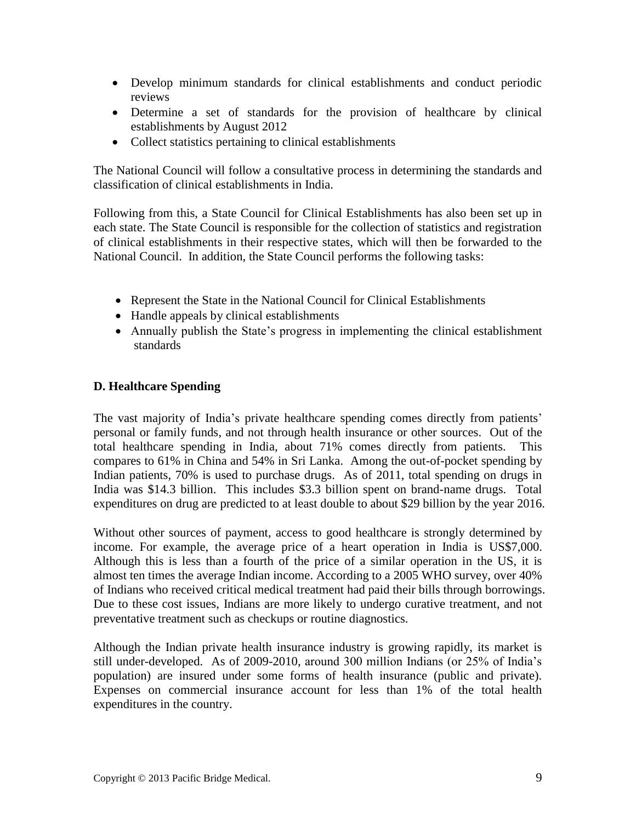- Develop minimum standards for clinical establishments and conduct periodic reviews
- Determine a set of standards for the provision of healthcare by clinical establishments by August 2012
- Collect statistics pertaining to clinical establishments

The National Council will follow a consultative process in determining the standards and classification of clinical establishments in India.

Following from this, a State Council for Clinical Establishments has also been set up in each state. The State Council is responsible for the collection of statistics and registration of clinical establishments in their respective states, which will then be forwarded to the National Council. In addition, the State Council performs the following tasks:

- Represent the State in the National Council for Clinical Establishments
- Handle appeals by clinical establishments
- Annually publish the State's progress in implementing the clinical establishment standards

# <span id="page-8-0"></span>**D. Healthcare Spending**

The vast majority of India's private healthcare spending comes directly from patients' personal or family funds, and not through health insurance or other sources. Out of the total healthcare spending in India, about 71% comes directly from patients. This compares to 61% in China and 54% in Sri Lanka. Among the out-of-pocket spending by Indian patients, 70% is used to purchase drugs. As of 2011, total spending on drugs in India was \$14.3 billion. This includes \$3.3 billion spent on brand-name drugs. Total expenditures on drug are predicted to at least double to about \$29 billion by the year 2016.

Without other sources of payment, access to good healthcare is strongly determined by income. For example, the average price of a heart operation in India is US\$7,000. Although this is less than a fourth of the price of a similar operation in the US, it is almost ten times the average Indian income. According to a 2005 WHO survey, over 40% of Indians who received critical medical treatment had paid their bills through borrowings. Due to these cost issues, Indians are more likely to undergo curative treatment, and not preventative treatment such as checkups or routine diagnostics.

Although the Indian private health insurance industry is growing rapidly, its market is still under-developed. As of 2009-2010, around 300 million Indians (or 25% of India's population) are insured under some forms of health insurance (public and private). Expenses on commercial insurance account for less than 1% of the total health expenditures in the country.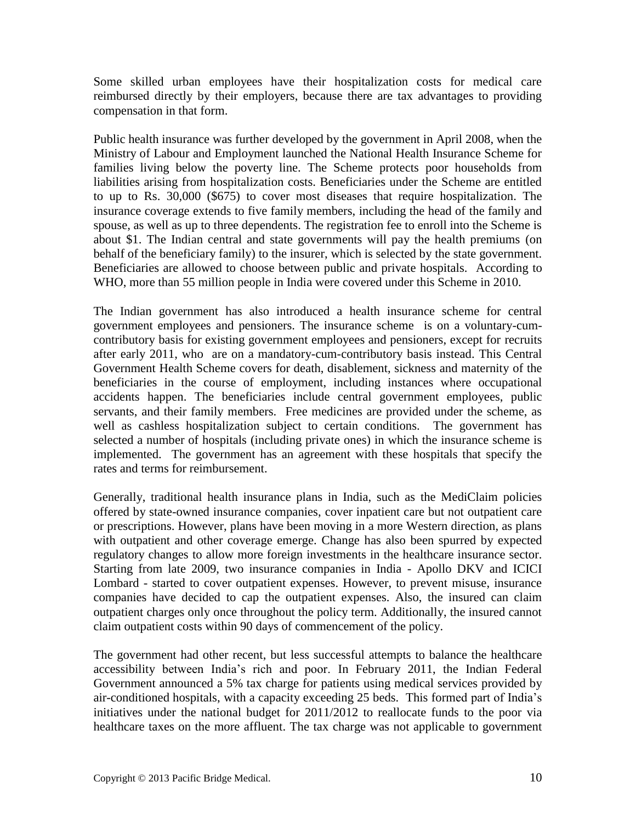Some skilled urban employees have their hospitalization costs for medical care reimbursed directly by their employers, because there are tax advantages to providing compensation in that form.

Public health insurance was further developed by the government in April 2008, when the Ministry of Labour and Employment launched the National Health Insurance Scheme for families living below the poverty line. The Scheme protects poor households from liabilities arising from hospitalization costs. Beneficiaries under the Scheme are entitled to up to Rs. 30,000 (\$675) to cover most diseases that require hospitalization. The insurance coverage extends to five family members, including the head of the family and spouse, as well as up to three dependents. The registration fee to enroll into the Scheme is about \$1. The Indian central and state governments will pay the health premiums (on behalf of the beneficiary family) to the insurer, which is selected by the state government. Beneficiaries are allowed to choose between public and private hospitals. According to WHO, more than 55 million people in India were covered under this Scheme in 2010.

The Indian government has also introduced a health insurance scheme for central government employees and pensioners. The insurance scheme is on a voluntary-cumcontributory basis for existing government employees and pensioners, except for recruits after early 2011, who are on a mandatory-cum-contributory basis instead. This Central Government Health Scheme covers for death, disablement, sickness and maternity of the beneficiaries in the course of employment, including instances where occupational accidents happen. The beneficiaries include central government employees, public servants, and their family members. Free medicines are provided under the scheme, as well as cashless hospitalization subject to certain conditions. The government has selected a number of hospitals (including private ones) in which the insurance scheme is implemented. The government has an agreement with these hospitals that specify the rates and terms for reimbursement.

Generally, traditional health insurance plans in India, such as the MediClaim policies offered by state-owned insurance companies, cover inpatient care but not outpatient care or prescriptions. However, plans have been moving in a more Western direction, as plans with outpatient and other coverage emerge. Change has also been spurred by expected regulatory changes to allow more foreign investments in the healthcare insurance sector. Starting from late 2009, two insurance companies in India - Apollo DKV and ICICI Lombard - started to cover outpatient expenses. However, to prevent misuse, insurance companies have decided to cap the outpatient expenses. Also, the insured can claim outpatient charges only once throughout the policy term. Additionally, the insured cannot claim outpatient costs within 90 days of commencement of the policy.

The government had other recent, but less successful attempts to balance the healthcare accessibility between India's rich and poor. In February 2011, the Indian Federal Government announced a 5% tax charge for patients using medical services provided by air-conditioned hospitals, with a capacity exceeding 25 beds. This formed part of India's initiatives under the national budget for 2011/2012 to reallocate funds to the poor via healthcare taxes on the more affluent. The tax charge was not applicable to government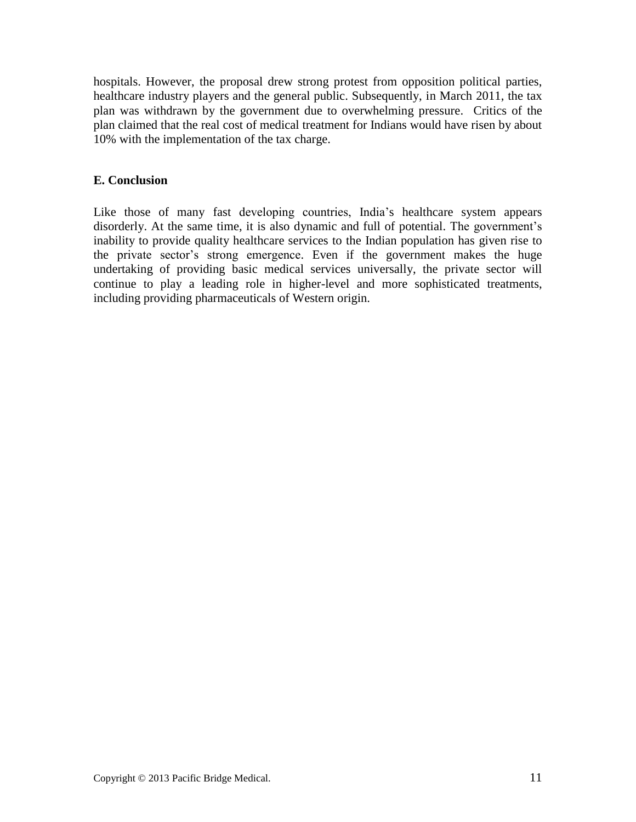hospitals. However, the proposal drew strong protest from opposition political parties, healthcare industry players and the general public. Subsequently, in March 2011, the tax plan was withdrawn by the government due to overwhelming pressure. Critics of the plan claimed that the real cost of medical treatment for Indians would have risen by about 10% with the implementation of the tax charge.

## <span id="page-10-0"></span>**E. Conclusion**

Like those of many fast developing countries, India's healthcare system appears disorderly. At the same time, it is also dynamic and full of potential. The government's inability to provide quality healthcare services to the Indian population has given rise to the private sector's strong emergence. Even if the government makes the huge undertaking of providing basic medical services universally, the private sector will continue to play a leading role in higher-level and more sophisticated treatments, including providing pharmaceuticals of Western origin.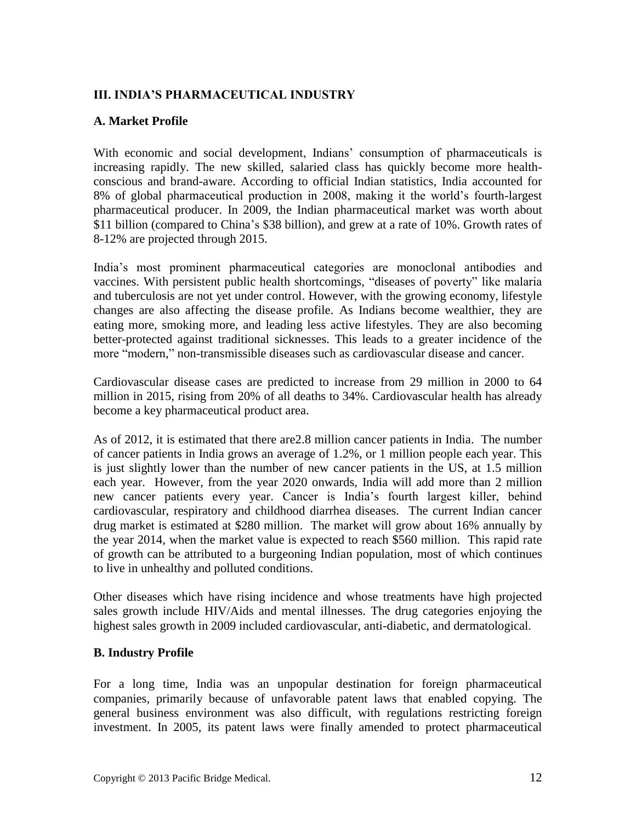# <span id="page-11-0"></span>**III. INDIA'S PHARMACEUTICAL INDUSTRY**

# <span id="page-11-1"></span>**A. Market Profile**

With economic and social development, Indians' consumption of pharmaceuticals is increasing rapidly. The new skilled, salaried class has quickly become more healthconscious and brand-aware. According to official Indian statistics, India accounted for 8% of global pharmaceutical production in 2008, making it the world's fourth-largest pharmaceutical producer. In 2009, the Indian pharmaceutical market was worth about \$11 billion (compared to China's \$38 billion), and grew at a rate of 10%. Growth rates of 8-12% are projected through 2015.

India's most prominent pharmaceutical categories are monoclonal antibodies and vaccines. With persistent public health shortcomings, "diseases of poverty" like malaria and tuberculosis are not yet under control. However, with the growing economy, lifestyle changes are also affecting the disease profile. As Indians become wealthier, they are eating more, smoking more, and leading less active lifestyles. They are also becoming better-protected against traditional sicknesses. This leads to a greater incidence of the more "modern," non-transmissible diseases such as cardiovascular disease and cancer.

Cardiovascular disease cases are predicted to increase from 29 million in 2000 to 64 million in 2015, rising from 20% of all deaths to 34%. Cardiovascular health has already become a key pharmaceutical product area.

As of 2012, it is estimated that there are2.8 million cancer patients in India. The number of cancer patients in India grows an average of 1.2%, or 1 million people each year. This is just slightly lower than the number of new cancer patients in the US, at 1.5 million each year. However, from the year 2020 onwards, India will add more than 2 million new cancer patients every year. Cancer is India's fourth largest killer, behind cardiovascular, respiratory and childhood diarrhea diseases. The current Indian cancer drug market is estimated at \$280 million. The market will grow about 16% annually by the year 2014, when the market value is expected to reach \$560 million. This rapid rate of growth can be attributed to a burgeoning Indian population, most of which continues to live in unhealthy and polluted conditions.

Other diseases which have rising incidence and whose treatments have high projected sales growth include HIV/Aids and mental illnesses. The drug categories enjoying the highest sales growth in 2009 included cardiovascular, anti-diabetic, and dermatological.

#### <span id="page-11-2"></span>**B. Industry Profile**

For a long time, India was an unpopular destination for foreign pharmaceutical companies, primarily because of unfavorable patent laws that enabled copying. The general business environment was also difficult, with regulations restricting foreign investment. In 2005, its patent laws were finally amended to protect pharmaceutical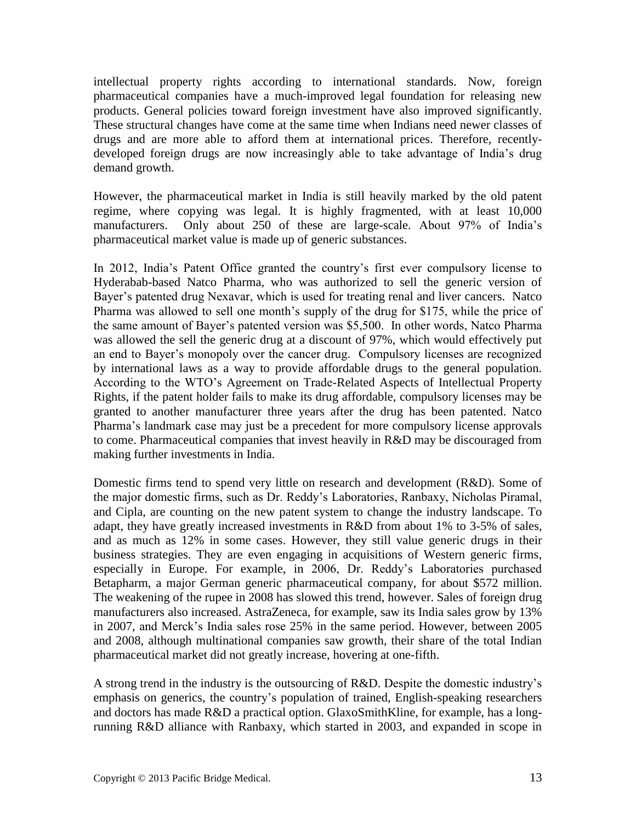intellectual property rights according to international standards. Now, foreign pharmaceutical companies have a much-improved legal foundation for releasing new products. General policies toward foreign investment have also improved significantly. These structural changes have come at the same time when Indians need newer classes of drugs and are more able to afford them at international prices. Therefore, recentlydeveloped foreign drugs are now increasingly able to take advantage of India's drug demand growth.

However, the pharmaceutical market in India is still heavily marked by the old patent regime, where copying was legal. It is highly fragmented, with at least 10,000 manufacturers. Only about 250 of these are large-scale. About 97% of India's pharmaceutical market value is made up of generic substances.

In 2012, India's Patent Office granted the country's first ever compulsory license to Hyderabab-based Natco Pharma, who was authorized to sell the generic version of Bayer's patented drug Nexavar, which is used for treating renal and liver cancers. Natco Pharma was allowed to sell one month's supply of the drug for \$175, while the price of the same amount of Bayer's patented version was \$5,500. In other words, Natco Pharma was allowed the sell the generic drug at a discount of 97%, which would effectively put an end to Bayer's monopoly over the cancer drug. Compulsory licenses are recognized by international laws as a way to provide affordable drugs to the general population. According to the WTO's Agreement on Trade-Related Aspects of Intellectual Property Rights, if the patent holder fails to make its drug affordable, compulsory licenses may be granted to another manufacturer three years after the drug has been patented. Natco Pharma's landmark case may just be a precedent for more compulsory license approvals to come. Pharmaceutical companies that invest heavily in R&D may be discouraged from making further investments in India.

Domestic firms tend to spend very little on research and development (R&D). Some of the major domestic firms, such as Dr. Reddy's Laboratories, Ranbaxy, Nicholas Piramal, and Cipla, are counting on the new patent system to change the industry landscape. To adapt, they have greatly increased investments in R&D from about 1% to 3-5% of sales, and as much as 12% in some cases. However, they still value generic drugs in their business strategies. They are even engaging in acquisitions of Western generic firms, especially in Europe. For example, in 2006, Dr. Reddy's Laboratories purchased Betapharm, a major German generic pharmaceutical company, for about \$572 million. The weakening of the rupee in 2008 has slowed this trend, however. Sales of foreign drug manufacturers also increased. AstraZeneca, for example, saw its India sales grow by 13% in 2007, and Merck's India sales rose 25% in the same period. However, between 2005 and 2008, although multinational companies saw growth, their share of the total Indian pharmaceutical market did not greatly increase, hovering at one-fifth.

A strong trend in the industry is the outsourcing of R&D. Despite the domestic industry's emphasis on generics, the country's population of trained, English-speaking researchers and doctors has made R&D a practical option. GlaxoSmithKline, for example, has a longrunning R&D alliance with Ranbaxy, which started in 2003, and expanded in scope in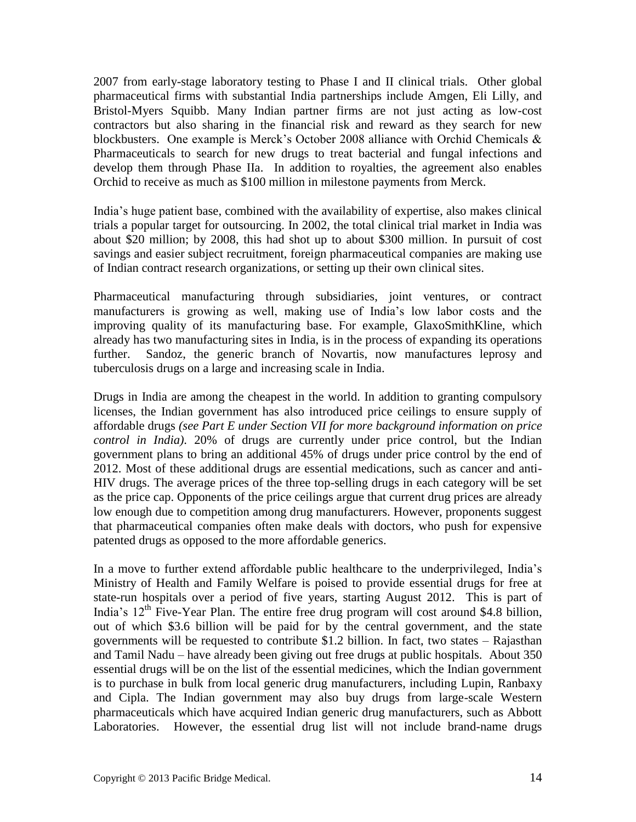2007 from early-stage laboratory testing to Phase I and II clinical trials. Other global pharmaceutical firms with substantial India partnerships include Amgen, Eli Lilly, and Bristol-Myers Squibb. Many Indian partner firms are not just acting as low-cost contractors but also sharing in the financial risk and reward as they search for new blockbusters. One example is Merck's October 2008 alliance with Orchid Chemicals & Pharmaceuticals to search for new drugs to treat bacterial and fungal infections and develop them through Phase IIa. In addition to royalties, the agreement also enables Orchid to receive as much as \$100 million in milestone payments from Merck.

India's huge patient base, combined with the availability of expertise, also makes clinical trials a popular target for outsourcing. In 2002, the total clinical trial market in India was about \$20 million; by 2008, this had shot up to about \$300 million. In pursuit of cost savings and easier subject recruitment, foreign pharmaceutical companies are making use of Indian contract research organizations, or setting up their own clinical sites.

Pharmaceutical manufacturing through subsidiaries, joint ventures, or contract manufacturers is growing as well, making use of India's low labor costs and the improving quality of its manufacturing base. For example, GlaxoSmithKline, which already has two manufacturing sites in India, is in the process of expanding its operations further. Sandoz, the generic branch of Novartis, now manufactures leprosy and tuberculosis drugs on a large and increasing scale in India.

<span id="page-13-0"></span>Drugs in India are among the cheapest in the world. In addition to granting compulsory licenses, the Indian government has also introduced price ceilings to ensure supply of affordable drugs *(see Part E under Section VII for more background information on price control in India)*. 20% of drugs are currently under price control, but the Indian government plans to bring an additional 45% of drugs under price control by the end of 2012. Most of these additional drugs are essential medications, such as cancer and anti-HIV drugs. The average prices of the three top-selling drugs in each category will be set as the price cap. Opponents of the price ceilings argue that current drug prices are already low enough due to competition among drug manufacturers. However, proponents suggest that pharmaceutical companies often make deals with doctors, who push for expensive patented drugs as opposed to the more affordable generics.

In a move to further extend affordable public healthcare to the underprivileged, India's Ministry of Health and Family Welfare is poised to provide essential drugs for free at state-run hospitals over a period of five years, starting August 2012. This is part of India's  $12<sup>th</sup>$  Five-Year Plan. The entire free drug program will cost around \$4.8 billion, out of which \$3.6 billion will be paid for by the central government, and the state governments will be requested to contribute \$1.2 billion. In fact, two states – Rajasthan and Tamil Nadu – have already been giving out free drugs at public hospitals. About 350 essential drugs will be on the list of the essential medicines, which the Indian government is to purchase in bulk from local generic drug manufacturers, including Lupin, Ranbaxy and Cipla. The Indian government may also buy drugs from large-scale Western pharmaceuticals which have acquired Indian generic drug manufacturers, such as Abbott Laboratories. However, the essential drug list will not include brand-name drugs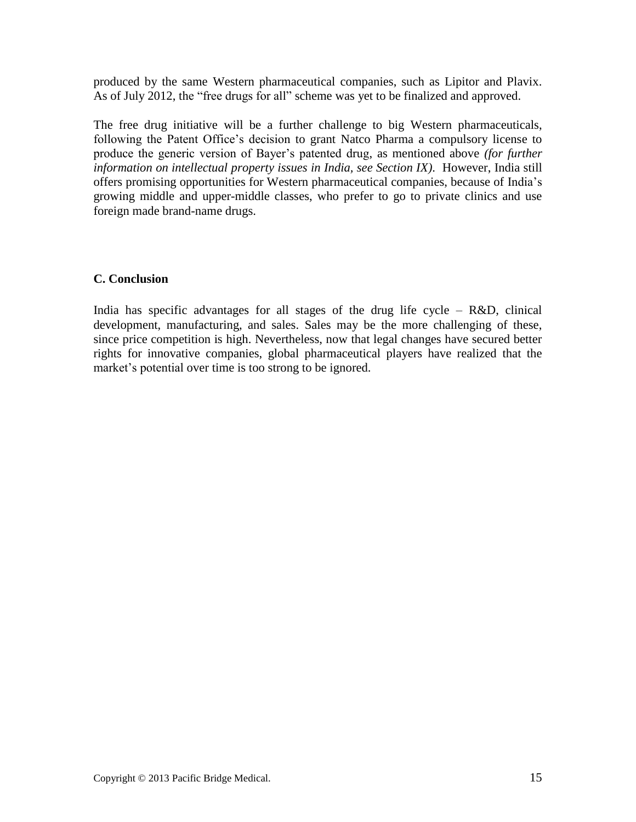produced by the same Western pharmaceutical companies, such as Lipitor and Plavix. As of July 2012, the "free drugs for all" scheme was yet to be finalized and approved.

The free drug initiative will be a further challenge to big Western pharmaceuticals, following the Patent Office's decision to grant Natco Pharma a compulsory license to produce the generic version of Bayer's patented drug, as mentioned above *(for further information on intellectual property issues in India, see Section IX)*. However, India still offers promising opportunities for Western pharmaceutical companies, because of India's growing middle and upper-middle classes, who prefer to go to private clinics and use foreign made brand-name drugs.

# **C. Conclusion**

India has specific advantages for all stages of the drug life cycle –  $R&D$ , clinical development, manufacturing, and sales. Sales may be the more challenging of these, since price competition is high. Nevertheless, now that legal changes have secured better rights for innovative companies, global pharmaceutical players have realized that the market's potential over time is too strong to be ignored.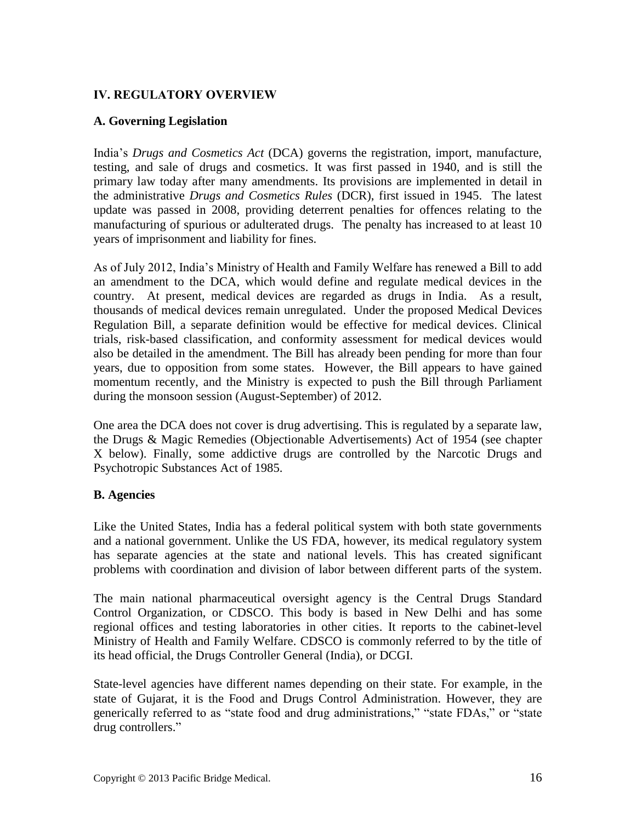# <span id="page-15-0"></span>**IV. REGULATORY OVERVIEW**

# <span id="page-15-1"></span>**A. Governing Legislation**

India's *Drugs and Cosmetics Act* (DCA) governs the registration, import, manufacture, testing, and sale of drugs and cosmetics. It was first passed in 1940, and is still the primary law today after many amendments. Its provisions are implemented in detail in the administrative *Drugs and Cosmetics Rules* (DCR), first issued in 1945. The latest update was passed in 2008, providing deterrent penalties for offences relating to the manufacturing of spurious or adulterated drugs. The penalty has increased to at least 10 years of imprisonment and liability for fines.

As of July 2012, India's Ministry of Health and Family Welfare has renewed a Bill to add an amendment to the DCA, which would define and regulate medical devices in the country. At present, medical devices are regarded as drugs in India. As a result, thousands of medical devices remain unregulated. Under the proposed Medical Devices Regulation Bill, a separate definition would be effective for medical devices. Clinical trials, risk-based classification, and conformity assessment for medical devices would also be detailed in the amendment. The Bill has already been pending for more than four years, due to opposition from some states. However, the Bill appears to have gained momentum recently, and the Ministry is expected to push the Bill through Parliament during the monsoon session (August-September) of 2012.

One area the DCA does not cover is drug advertising. This is regulated by a separate law, the Drugs & Magic Remedies (Objectionable Advertisements) Act of 1954 (see chapter X below). Finally, some addictive drugs are controlled by the Narcotic Drugs and Psychotropic Substances Act of 1985.

# <span id="page-15-2"></span>**B. Agencies**

Like the United States, India has a federal political system with both state governments and a national government. Unlike the US FDA, however, its medical regulatory system has separate agencies at the state and national levels. This has created significant problems with coordination and division of labor between different parts of the system.

The main national pharmaceutical oversight agency is the Central Drugs Standard Control Organization, or CDSCO. This body is based in New Delhi and has some regional offices and testing laboratories in other cities. It reports to the cabinet-level Ministry of Health and Family Welfare. CDSCO is commonly referred to by the title of its head official, the Drugs Controller General (India), or DCGI.

State-level agencies have different names depending on their state. For example, in the state of Gujarat, it is the Food and Drugs Control Administration. However, they are generically referred to as "state food and drug administrations," "state FDAs," or "state drug controllers."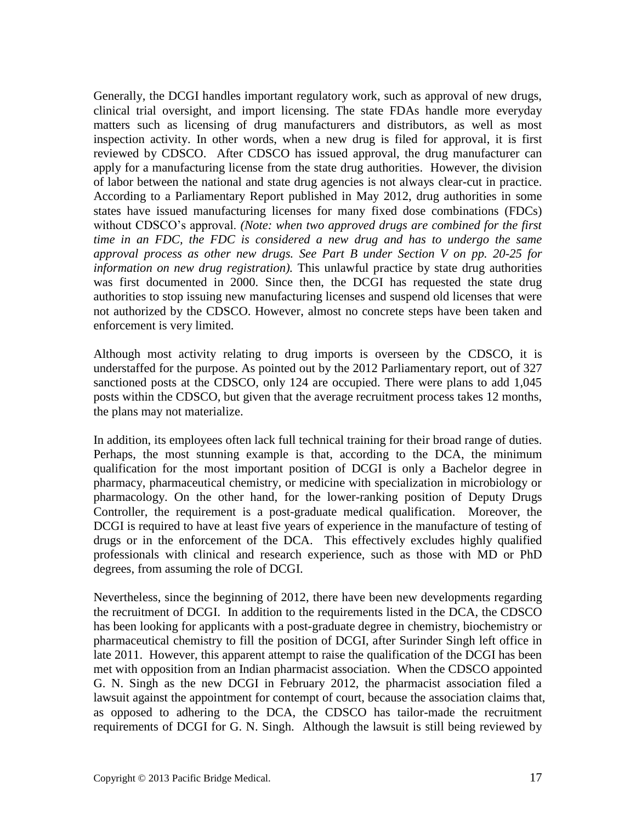Generally, the DCGI handles important regulatory work, such as approval of new drugs, clinical trial oversight, and import licensing. The state FDAs handle more everyday matters such as licensing of drug manufacturers and distributors, as well as most inspection activity. In other words, when a new drug is filed for approval, it is first reviewed by CDSCO. After CDSCO has issued approval, the drug manufacturer can apply for a manufacturing license from the state drug authorities. However, the division of labor between the national and state drug agencies is not always clear-cut in practice. According to a Parliamentary Report published in May 2012, drug authorities in some states have issued manufacturing licenses for many fixed dose combinations (FDCs) without CDSCO's approval. *(Note: when two approved drugs are combined for the first time in an FDC, the FDC is considered a new drug and has to undergo the same approval process as other new drugs. See Part B under Section V on pp. 20-25 for information on new drug registration).* This unlawful practice by state drug authorities was first documented in 2000. Since then, the DCGI has requested the state drug authorities to stop issuing new manufacturing licenses and suspend old licenses that were not authorized by the CDSCO. However, almost no concrete steps have been taken and enforcement is very limited.

Although most activity relating to drug imports is overseen by the CDSCO, it is understaffed for the purpose. As pointed out by the 2012 Parliamentary report, out of 327 sanctioned posts at the CDSCO, only 124 are occupied. There were plans to add 1,045 posts within the CDSCO, but given that the average recruitment process takes 12 months, the plans may not materialize.

In addition, its employees often lack full technical training for their broad range of duties. Perhaps, the most stunning example is that, according to the DCA, the minimum qualification for the most important position of DCGI is only a Bachelor degree in pharmacy, pharmaceutical chemistry, or medicine with specialization in microbiology or pharmacology. On the other hand, for the lower-ranking position of Deputy Drugs Controller, the requirement is a post-graduate medical qualification. Moreover, the DCGI is required to have at least five years of experience in the manufacture of testing of drugs or in the enforcement of the DCA. This effectively excludes highly qualified professionals with clinical and research experience, such as those with MD or PhD degrees, from assuming the role of DCGI.

Nevertheless, since the beginning of 2012, there have been new developments regarding the recruitment of DCGI. In addition to the requirements listed in the DCA, the CDSCO has been looking for applicants with a post-graduate degree in chemistry, biochemistry or pharmaceutical chemistry to fill the position of DCGI, after Surinder Singh left office in late 2011. However, this apparent attempt to raise the qualification of the DCGI has been met with opposition from an Indian pharmacist association. When the CDSCO appointed G. N. Singh as the new DCGI in February 2012, the pharmacist association filed a lawsuit against the appointment for contempt of court, because the association claims that, as opposed to adhering to the DCA, the CDSCO has tailor-made the recruitment requirements of DCGI for G. N. Singh. Although the lawsuit is still being reviewed by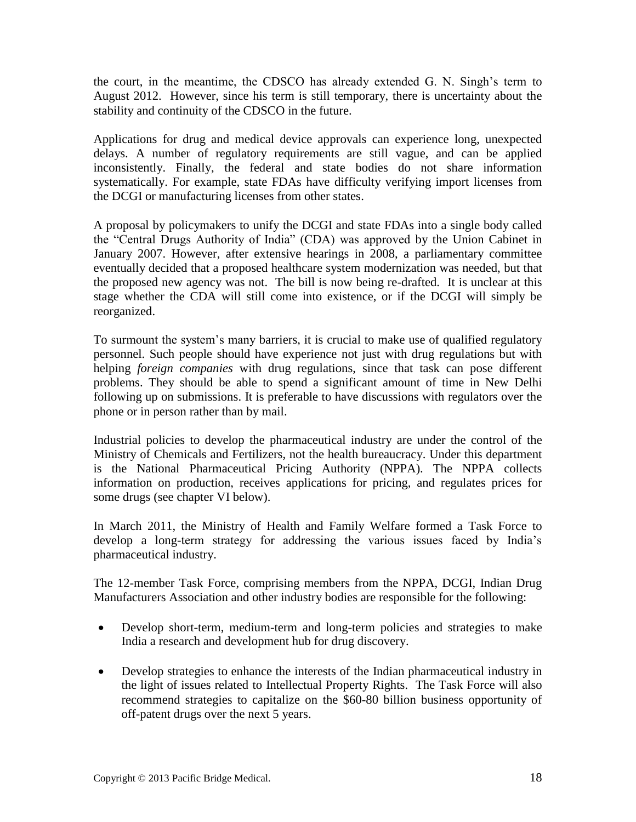the court, in the meantime, the CDSCO has already extended G. N. Singh's term to August 2012. However, since his term is still temporary, there is uncertainty about the stability and continuity of the CDSCO in the future.

Applications for drug and medical device approvals can experience long, unexpected delays. A number of regulatory requirements are still vague, and can be applied inconsistently. Finally, the federal and state bodies do not share information systematically. For example, state FDAs have difficulty verifying import licenses from the DCGI or manufacturing licenses from other states.

A proposal by policymakers to unify the DCGI and state FDAs into a single body called the "Central Drugs Authority of India" (CDA) was approved by the Union Cabinet in January 2007. However, after extensive hearings in 2008, a parliamentary committee eventually decided that a proposed healthcare system modernization was needed, but that the proposed new agency was not. The bill is now being re-drafted. It is unclear at this stage whether the CDA will still come into existence, or if the DCGI will simply be reorganized.

To surmount the system's many barriers, it is crucial to make use of qualified regulatory personnel. Such people should have experience not just with drug regulations but with helping *foreign companies* with drug regulations, since that task can pose different problems. They should be able to spend a significant amount of time in New Delhi following up on submissions. It is preferable to have discussions with regulators over the phone or in person rather than by mail.

Industrial policies to develop the pharmaceutical industry are under the control of the Ministry of Chemicals and Fertilizers, not the health bureaucracy. Under this department is the National Pharmaceutical Pricing Authority (NPPA). The NPPA collects information on production, receives applications for pricing, and regulates prices for some drugs (see chapter VI below).

In March 2011, the Ministry of Health and Family Welfare formed a Task Force to develop a long-term strategy for addressing the various issues faced by India's pharmaceutical industry.

The 12-member Task Force, comprising members from the NPPA, DCGI, Indian Drug Manufacturers Association and other industry bodies are responsible for the following:

- Develop short-term, medium-term and long-term policies and strategies to make India a research and development hub for drug discovery.
- Develop strategies to enhance the interests of the Indian pharmaceutical industry in the light of issues related to Intellectual Property Rights. The Task Force will also recommend strategies to capitalize on the \$60-80 billion business opportunity of off-patent drugs over the next 5 years.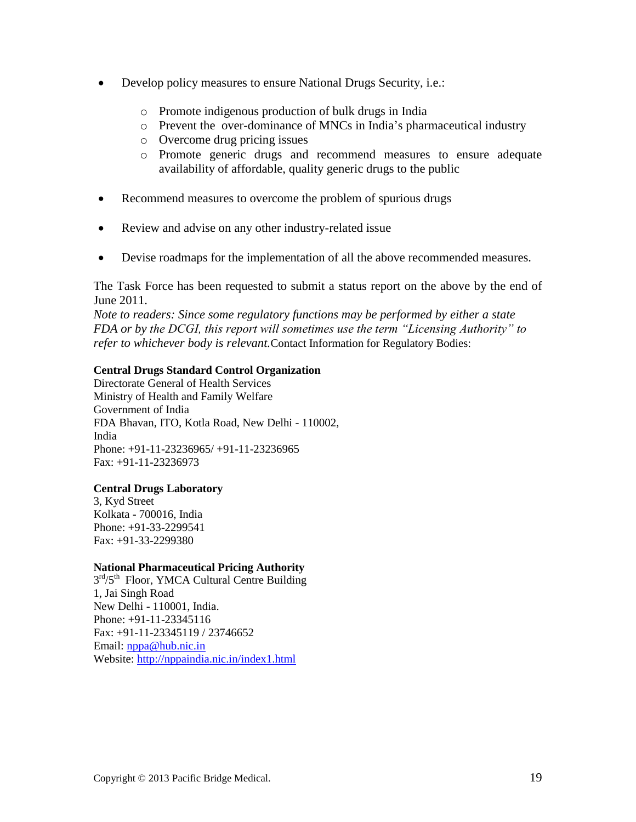- Develop policy measures to ensure National Drugs Security, i.e.:
	- o Promote indigenous production of bulk drugs in India
	- o Prevent the over-dominance of MNCs in India's pharmaceutical industry
	- o Overcome drug pricing issues
	- o Promote generic drugs and recommend measures to ensure adequate availability of affordable, quality generic drugs to the public
- Recommend measures to overcome the problem of spurious drugs
- Review and advise on any other industry-related issue
- Devise roadmaps for the implementation of all the above recommended measures.

The Task Force has been requested to submit a status report on the above by the end of June 2011.

*Note to readers: Since some regulatory functions may be performed by either a state FDA or by the DCGI, this report will sometimes use the term "Licensing Authority" to refer to whichever body is relevant.*Contact Information for Regulatory Bodies:

#### **Central Drugs Standard Control Organization**

Directorate General of Health Services Ministry of Health and Family Welfare Government of India FDA Bhavan, ITO, Kotla Road, New Delhi - 110002, India Phone: +91-11-23236965/ +91-11-23236965 Fax: +91-11-23236973

#### **Central Drugs Laboratory**

3, Kyd Street Kolkata - 700016, India Phone: +91-33-2299541 Fax: +91-33-2299380

#### **National Pharmaceutical Pricing Authority**

 $3<sup>rd</sup>/5<sup>th</sup>$  Floor, YMCA Cultural Centre Building 1, Jai Singh Road New Delhi - 110001, India. Phone: +91-11-23345116 Fax: +91-11-23345119 / 23746652 Email: [nppa@hub.nic.in](mailto:nppa@hub.nic.in) Website:<http://nppaindia.nic.in/index1.html>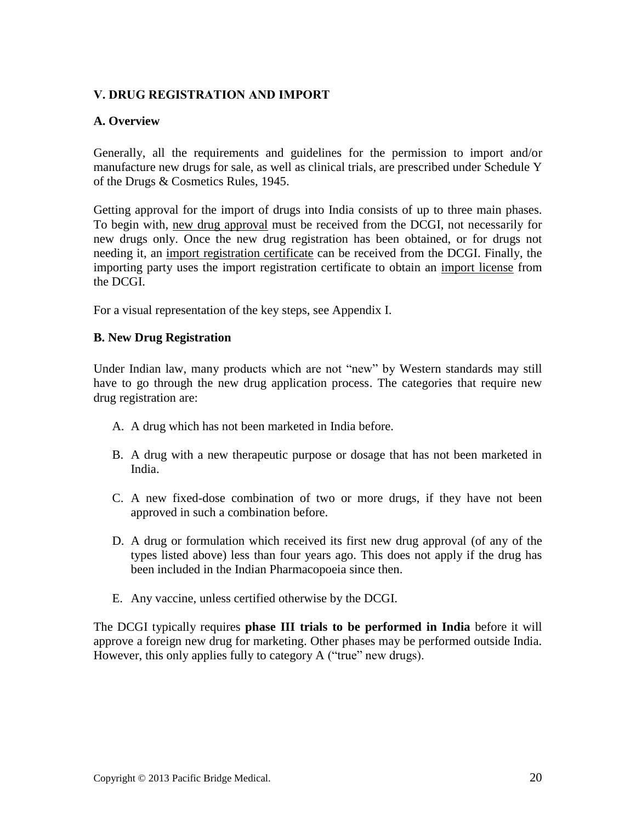# <span id="page-19-0"></span>**V. DRUG REGISTRATION AND IMPORT**

#### <span id="page-19-1"></span>**A. Overview**

Generally, all the requirements and guidelines for the permission to import and/or manufacture new drugs for sale, as well as clinical trials, are prescribed under Schedule Y of the Drugs & Cosmetics Rules, 1945.

Getting approval for the import of drugs into India consists of up to three main phases. To begin with, new drug approval must be received from the DCGI, not necessarily for new drugs only. Once the new drug registration has been obtained, or for drugs not needing it, an import registration certificate can be received from the DCGI. Finally, the importing party uses the import registration certificate to obtain an import license from the DCGI.

<span id="page-19-2"></span>For a visual representation of the key steps, see Appendix I.

#### **B. New Drug Registration**

Under Indian law, many products which are not "new" by Western standards may still have to go through the new drug application process. The categories that require new drug registration are:

- A. A drug which has not been marketed in India before.
- B. A drug with a new therapeutic purpose or dosage that has not been marketed in India.
- C. A new fixed-dose combination of two or more drugs, if they have not been approved in such a combination before.
- D. A drug or formulation which received its first new drug approval (of any of the types listed above) less than four years ago. This does not apply if the drug has been included in the Indian Pharmacopoeia since then.
- E. Any vaccine, unless certified otherwise by the DCGI.

The DCGI typically requires **phase III trials to be performed in India** before it will approve a foreign new drug for marketing. Other phases may be performed outside India. However, this only applies fully to category A ("true" new drugs).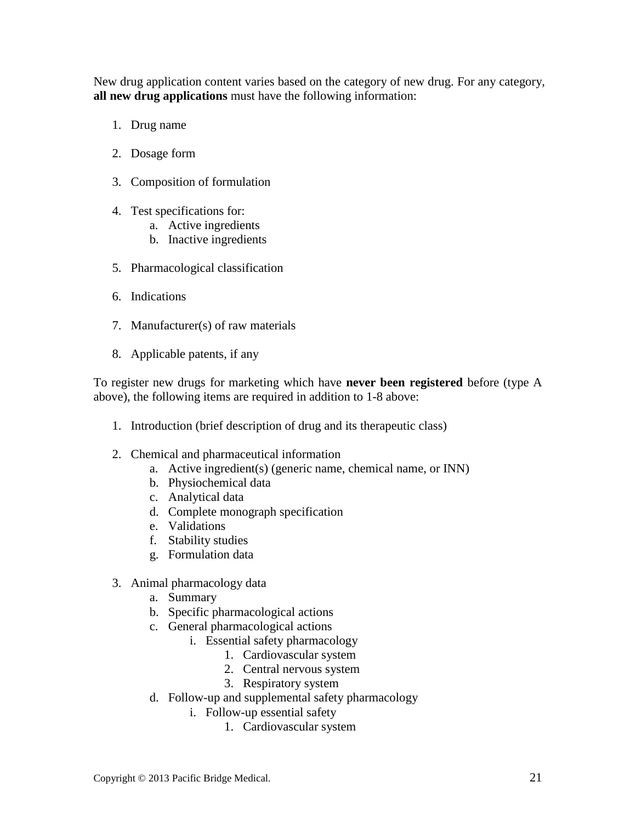New drug application content varies based on the category of new drug. For any category, **all new drug applications** must have the following information:

- <span id="page-20-0"></span>1. Drug name
- 2. Dosage form
- 3. Composition of formulation
- 4. Test specifications for:
	- a. Active ingredients
	- b. Inactive ingredients
- 5. Pharmacological classification
- 6. Indications
- 7. Manufacturer(s) of raw materials
- 8. Applicable patents, if any

To register new drugs for marketing which have **never been registered** before (type A above), the following items are required in addition to 1-8 above:

- 1. Introduction (brief description of drug and its therapeutic class)
- 2. Chemical and pharmaceutical information
	- a. Active ingredient(s) (generic name, chemical name, or INN)
	- b. Physiochemical data
	- c. Analytical data
	- d. Complete monograph specification
	- e. Validations
	- f. Stability studies
	- g. Formulation data
- 3. Animal pharmacology data
	- a. Summary
	- b. Specific pharmacological actions
	- c. General pharmacological actions
		- i. Essential safety pharmacology
			- 1. Cardiovascular system
			- 2. Central nervous system
			- 3. Respiratory system
	- d. Follow-up and supplemental safety pharmacology
		- i. Follow-up essential safety
			- 1. Cardiovascular system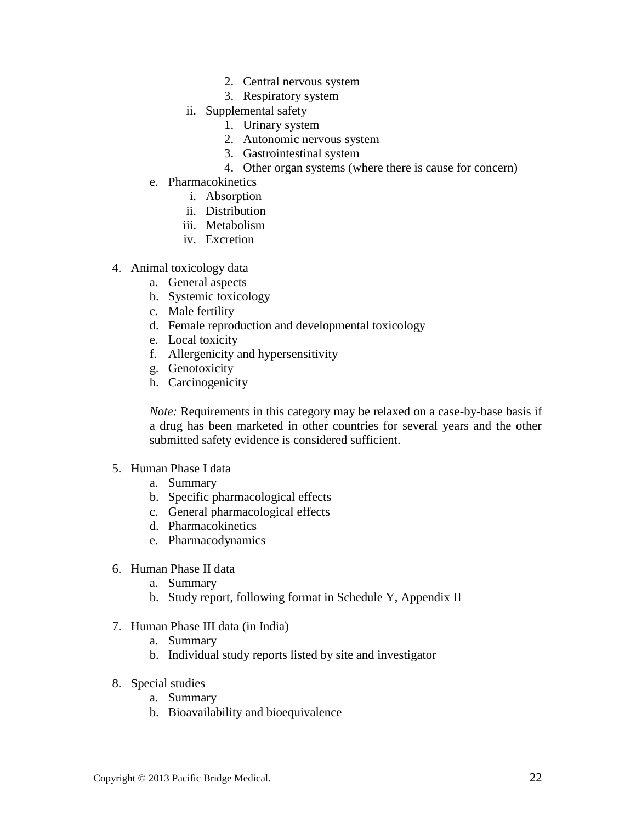- 2. Central nervous system
- 3. Respiratory system
- ii. Supplemental safety
	- 1. Urinary system
	- 2. Autonomic nervous system
	- 3. Gastrointestinal system
	- 4. Other organ systems (where there is cause for concern)
- e. Pharmacokinetics
	- i. Absorption
	- ii. Distribution
	- iii. Metabolism
	- iv. Excretion
- 4. Animal toxicology data
	- a. General aspects
	- b. Systemic toxicology
	- c. Male fertility
	- d. Female reproduction and developmental toxicology
	- e. Local toxicity
	- f. Allergenicity and hypersensitivity
	- g. Genotoxicity
	- h. Carcinogenicity

*Note:* Requirements in this category may be relaxed on a case-by-base basis if a drug has been marketed in other countries for several years and the other submitted safety evidence is considered sufficient.

- 5. Human Phase I data
	- a. Summary
	- b. Specific pharmacological effects
	- c. General pharmacological effects
	- d. Pharmacokinetics
	- e. Pharmacodynamics
- 6. Human Phase II data
	- a. Summary
	- b. Study report, following format in Schedule Y, Appendix II
- 7. Human Phase III data (in India)
	- a. Summary
	- b. Individual study reports listed by site and investigator
- 8. Special studies
	- a. Summary
	- b. Bioavailability and bioequivalence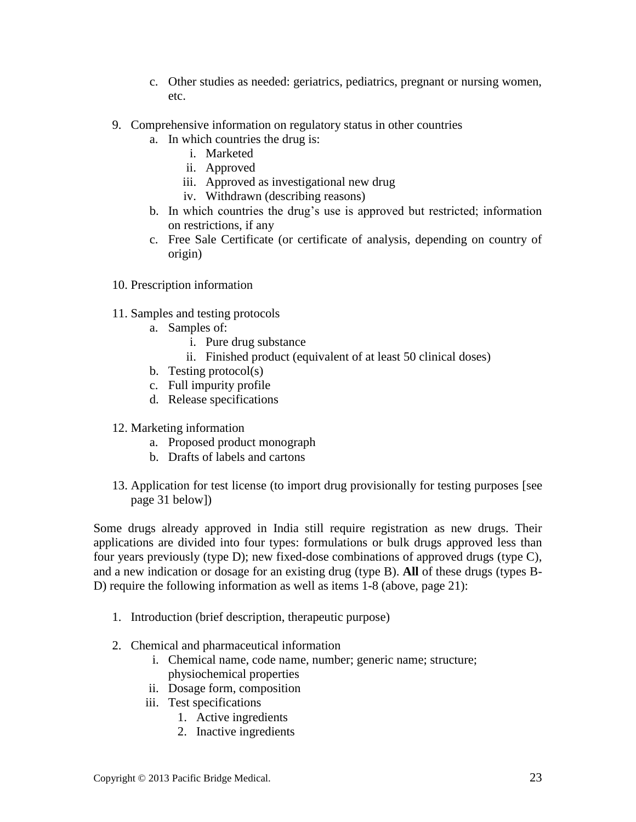- c. Other studies as needed: geriatrics, pediatrics, pregnant or nursing women, etc.
- 9. Comprehensive information on regulatory status in other countries
	- a. In which countries the drug is:
		- i. Marketed
		- ii. Approved
		- iii. Approved as investigational new drug
		- iv. Withdrawn (describing reasons)
	- b. In which countries the drug's use is approved but restricted; information on restrictions, if any
	- c. Free Sale Certificate (or certificate of analysis, depending on country of origin)
- 10. Prescription information
- 11. Samples and testing protocols
	- a. Samples of:
		- i. Pure drug substance
		- ii. Finished product (equivalent of at least 50 clinical doses)
	- b. Testing protocol(s)
	- c. Full impurity profile
	- d. Release specifications
- 12. Marketing information
	- a. Proposed product monograph
	- b. Drafts of labels and cartons
- <span id="page-22-0"></span>13. Application for test license (to import drug provisionally for testing purposes [see page 31 below])

Some drugs already approved in India still require registration as new drugs. Their applications are divided into four types: formulations or bulk drugs approved less than four years previously (type D); new fixed-dose combinations of approved drugs (type C), and a new indication or dosage for an existing drug (type B). **All** of these drugs (types B-D) require the following information as well as items 1-8 (above, page [21\)](#page-20-0):

- 1. Introduction (brief description, therapeutic purpose)
- 2. Chemical and pharmaceutical information
	- i. Chemical name, code name, number; generic name; structure; physiochemical properties
	- ii. Dosage form, composition
	- iii. Test specifications
		- 1. Active ingredients
		- 2. Inactive ingredients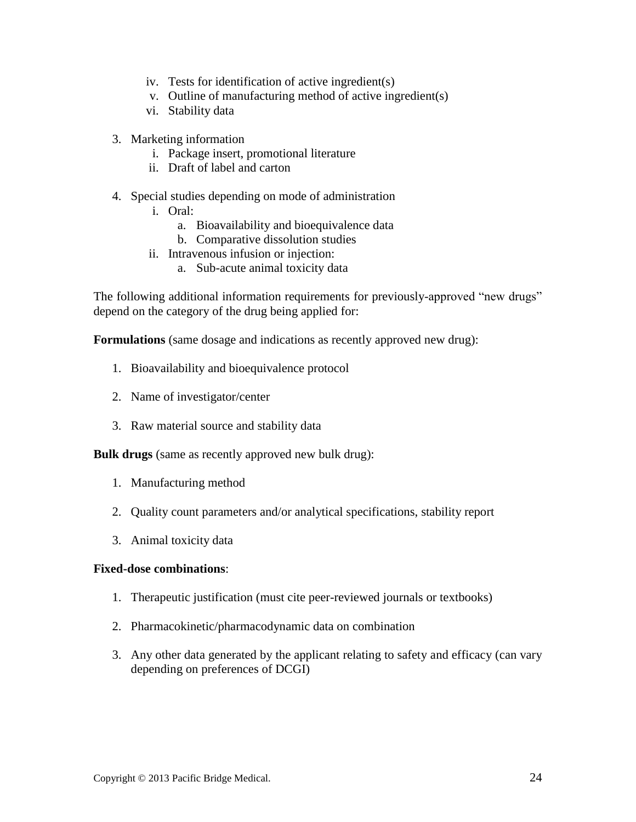- iv. Tests for identification of active ingredient(s)
- v. Outline of manufacturing method of active ingredient(s)
- vi. Stability data
- 3. Marketing information
	- i. Package insert, promotional literature
	- ii. Draft of label and carton
- 4. Special studies depending on mode of administration
	- i. Oral:
		- a. Bioavailability and bioequivalence data
		- b. Comparative dissolution studies
	- ii. Intravenous infusion or injection:
		- a. Sub-acute animal toxicity data

The following additional information requirements for previously-approved "new drugs" depend on the category of the drug being applied for:

**Formulations** (same dosage and indications as recently approved new drug):

- 1. Bioavailability and bioequivalence protocol
- 2. Name of investigator/center
- 3. Raw material source and stability data

**Bulk drugs** (same as recently approved new bulk drug):

- 1. Manufacturing method
- 2. Quality count parameters and/or analytical specifications, stability report
- 3. Animal toxicity data

#### **Fixed-dose combinations**:

- 1. Therapeutic justification (must cite peer-reviewed journals or textbooks)
- 2. Pharmacokinetic/pharmacodynamic data on combination
- 3. Any other data generated by the applicant relating to safety and efficacy (can vary depending on preferences of DCGI)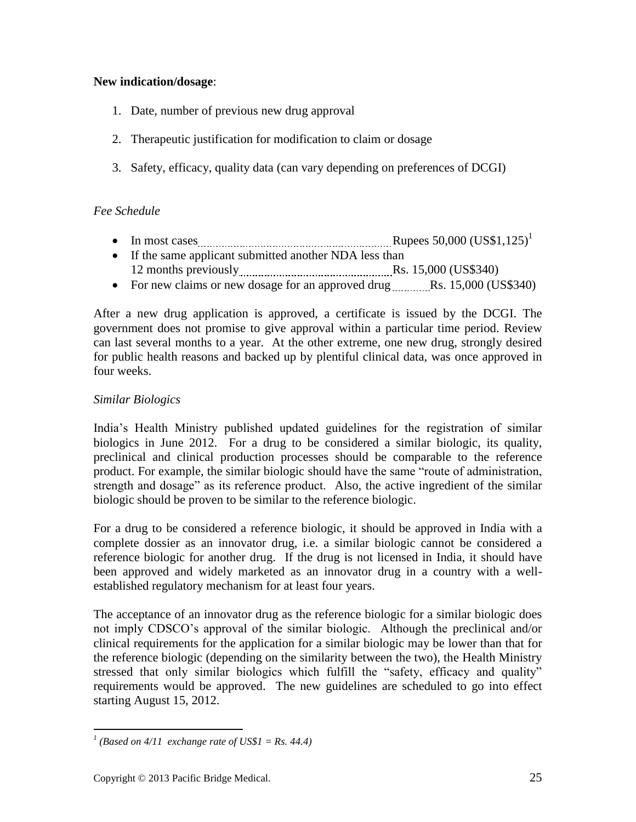# **New indication/dosage**:

- 1. Date, number of previous new drug approval
- 2. Therapeutic justification for modification to claim or dosage
- 3. Safety, efficacy, quality data (can vary depending on preferences of DCGI)

# *Fee Schedule*

- In most cases <u>manually contained and the Rupees 50,000</u> (US\$1,125)<sup>1</sup>
- If the same applicant submitted another NDA less than 12 months previously **Example 20** and Rs. 15,000 (US\$340)
- For new claims or new dosage for an approved drug  $\ldots$  Rs. 15,000 (US\$340)

After a new drug application is approved, a certificate is issued by the DCGI. The government does not promise to give approval within a particular time period. Review can last several months to a year. At the other extreme, one new drug, strongly desired for public health reasons and backed up by plentiful clinical data, was once approved in four weeks.

# *Similar Biologics*

India's Health Ministry published updated guidelines for the registration of similar biologics in June 2012. For a drug to be considered a similar biologic, its quality, preclinical and clinical production processes should be comparable to the reference product. For example, the similar biologic should have the same "route of administration, strength and dosage" as its reference product. Also, the active ingredient of the similar biologic should be proven to be similar to the reference biologic.

For a drug to be considered a reference biologic, it should be approved in India with a complete dossier as an innovator drug, i.e. a similar biologic cannot be considered a reference biologic for another drug. If the drug is not licensed in India, it should have been approved and widely marketed as an innovator drug in a country with a wellestablished regulatory mechanism for at least four years.

The acceptance of an innovator drug as the reference biologic for a similar biologic does not imply CDSCO's approval of the similar biologic. Although the preclinical and/or clinical requirements for the application for a similar biologic may be lower than that for the reference biologic (depending on the similarity between the two), the Health Ministry stressed that only similar biologics which fulfill the "safety, efficacy and quality" requirements would be approved. The new guidelines are scheduled to go into effect starting August 15, 2012.

 *1 (Based on 4/11 exchange rate of US\$1 = Rs. 44.4)*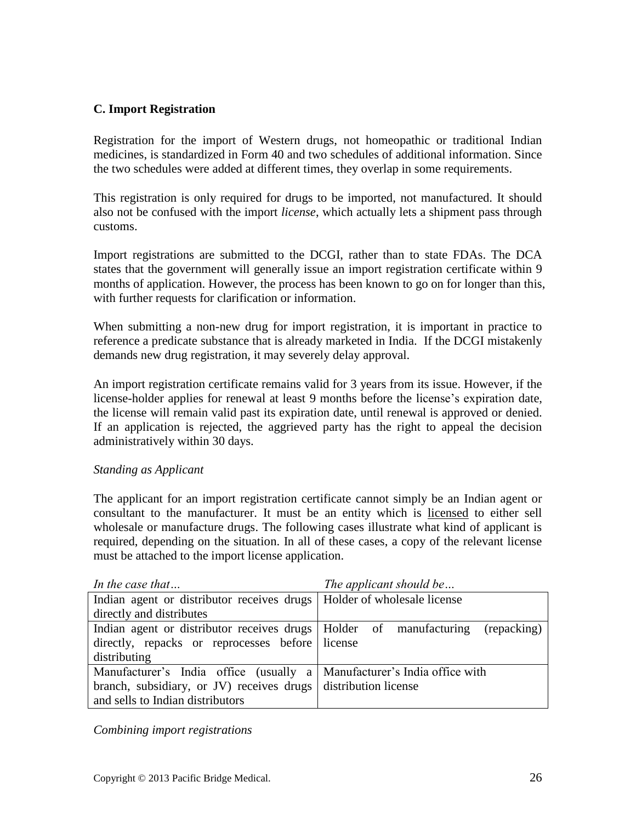# <span id="page-25-0"></span>**C. Import Registration**

Registration for the import of Western drugs, not homeopathic or traditional Indian medicines, is standardized in Form 40 and two schedules of additional information. Since the two schedules were added at different times, they overlap in some requirements.

This registration is only required for drugs to be imported, not manufactured. It should also not be confused with the import *license*, which actually lets a shipment pass through customs.

Import registrations are submitted to the DCGI, rather than to state FDAs. The DCA states that the government will generally issue an import registration certificate within 9 months of application. However, the process has been known to go on for longer than this, with further requests for clarification or information.

When submitting a non-new drug for import registration, it is important in practice to reference a predicate substance that is already marketed in India. If the DCGI mistakenly demands new drug registration, it may severely delay approval.

An import registration certificate remains valid for 3 years from its issue. However, if the license-holder applies for renewal at least 9 months before the license's expiration date, the license will remain valid past its expiration date, until renewal is approved or denied. If an application is rejected, the aggrieved party has the right to appeal the decision administratively within 30 days.

#### <span id="page-25-1"></span>*Standing as Applicant*

The applicant for an import registration certificate cannot simply be an Indian agent or consultant to the manufacturer. It must be an entity which is licensed to either sell wholesale or manufacture drugs. The following cases illustrate what kind of applicant is required, depending on the situation. In all of these cases, a copy of the relevant license must be attached to the import license application.

| In the case that                                                          | The applicant should be |  |
|---------------------------------------------------------------------------|-------------------------|--|
| Indian agent or distributor receives drugs   Holder of wholesale license  |                         |  |
| directly and distributes                                                  |                         |  |
| Indian agent or distributor receives drugs   Holder of manufacturing      | (repacking)             |  |
| directly, repacks or reprocesses before license                           |                         |  |
| distributing                                                              |                         |  |
| Manufacturer's India office (usually a   Manufacturer's India office with |                         |  |
| branch, subsidiary, or JV) receives drugs distribution license            |                         |  |
| and sells to Indian distributors                                          |                         |  |

*Combining import registrations*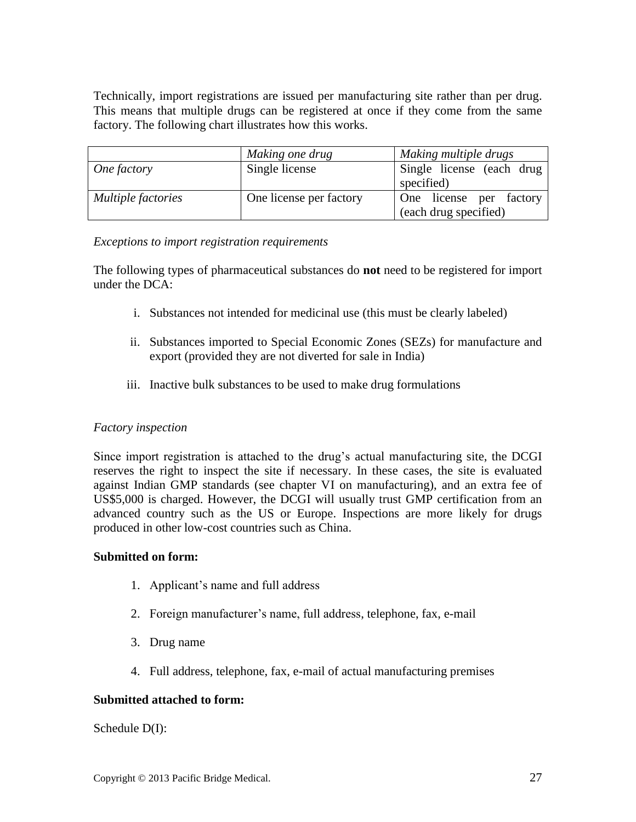Technically, import registrations are issued per manufacturing site rather than per drug. This means that multiple drugs can be registered at once if they come from the same factory. The following chart illustrates how this works.

|                           | Making one drug         | Making multiple drugs                            |
|---------------------------|-------------------------|--------------------------------------------------|
| One factory               | Single license          | Single license (each drug<br>specified)          |
| <i>Multiple factories</i> | One license per factory | One license per factory<br>(each drug specified) |

#### *Exceptions to import registration requirements*

The following types of pharmaceutical substances do **not** need to be registered for import under the DCA:

- i. Substances not intended for medicinal use (this must be clearly labeled)
- ii. Substances imported to Special Economic Zones (SEZs) for manufacture and export (provided they are not diverted for sale in India)
- iii. Inactive bulk substances to be used to make drug formulations

#### *Factory inspection*

Since import registration is attached to the drug's actual manufacturing site, the DCGI reserves the right to inspect the site if necessary. In these cases, the site is evaluated against Indian GMP standards (see chapter VI on manufacturing), and an extra fee of US\$5,000 is charged. However, the DCGI will usually trust GMP certification from an advanced country such as the US or Europe. Inspections are more likely for drugs produced in other low-cost countries such as China.

#### **Submitted on form:**

- 1. Applicant's name and full address
- 2. Foreign manufacturer's name, full address, telephone, fax, e-mail
- 3. Drug name
- 4. Full address, telephone, fax, e-mail of actual manufacturing premises

#### **Submitted attached to form:**

Schedule D(I):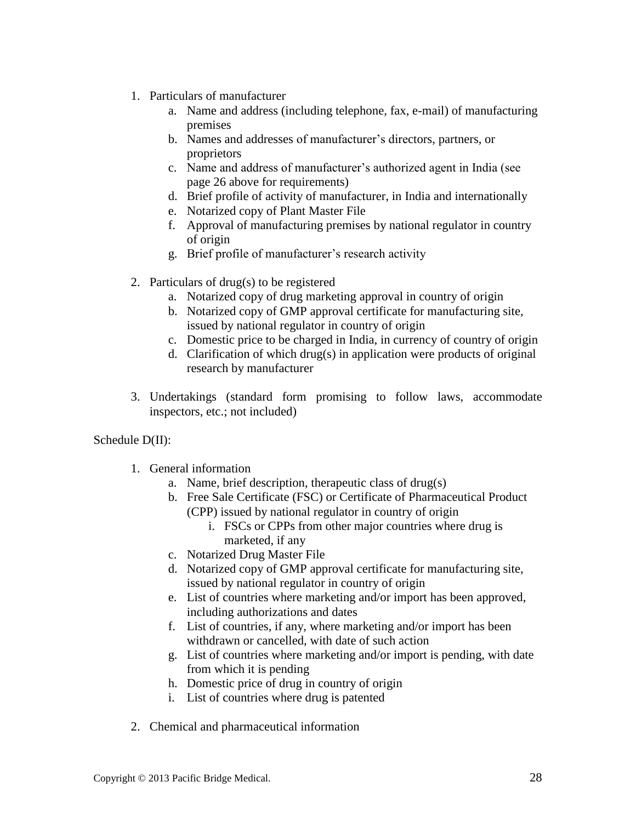- 1. Particulars of manufacturer
	- a. Name and address (including telephone, fax, e-mail) of manufacturing premises
	- b. Names and addresses of manufacturer's directors, partners, or proprietors
	- c. Name and address of manufacturer's authorized agent in India (see page [26](#page-25-1) above for requirements)
	- d. Brief profile of activity of manufacturer, in India and internationally
	- e. Notarized copy of Plant Master File
	- f. Approval of manufacturing premises by national regulator in country of origin
	- g. Brief profile of manufacturer's research activity
- 2. Particulars of drug(s) to be registered
	- a. Notarized copy of drug marketing approval in country of origin
	- b. Notarized copy of GMP approval certificate for manufacturing site, issued by national regulator in country of origin
	- c. Domestic price to be charged in India, in currency of country of origin
	- d. Clarification of which drug(s) in application were products of original research by manufacturer
- 3. Undertakings (standard form promising to follow laws, accommodate inspectors, etc.; not included)

# Schedule D(II):

- 1. General information
	- a. Name, brief description, therapeutic class of drug(s)
	- b. Free Sale Certificate (FSC) or Certificate of Pharmaceutical Product (CPP) issued by national regulator in country of origin
		- i. FSCs or CPPs from other major countries where drug is marketed, if any
	- c. Notarized Drug Master File
	- d. Notarized copy of GMP approval certificate for manufacturing site, issued by national regulator in country of origin
	- e. List of countries where marketing and/or import has been approved, including authorizations and dates
	- f. List of countries, if any, where marketing and/or import has been withdrawn or cancelled, with date of such action
	- g. List of countries where marketing and/or import is pending, with date from which it is pending
	- h. Domestic price of drug in country of origin
	- i. List of countries where drug is patented
- 2. Chemical and pharmaceutical information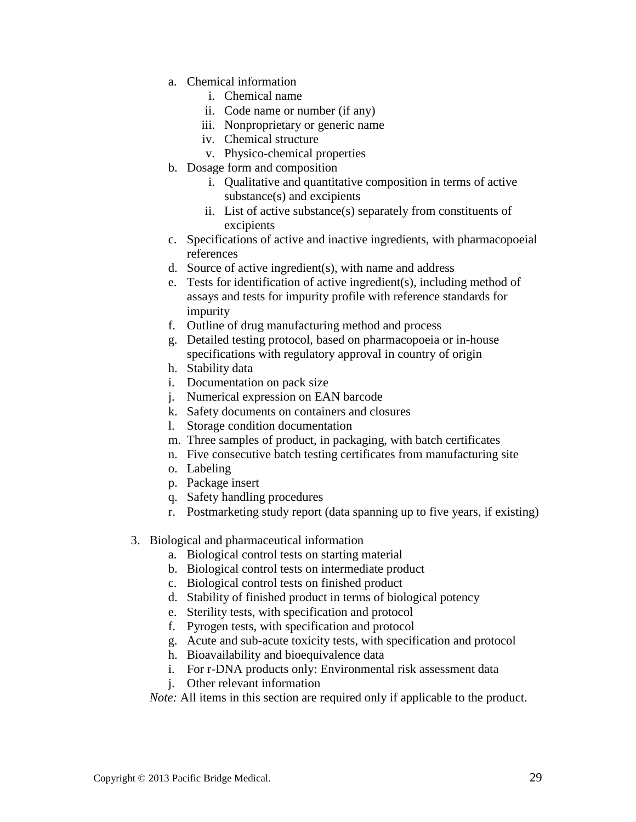- a. Chemical information
	- i. Chemical name
	- ii. Code name or number (if any)
	- iii. Nonproprietary or generic name
	- iv. Chemical structure
	- v. Physico-chemical properties
- b. Dosage form and composition
	- i. Qualitative and quantitative composition in terms of active substance(s) and excipients
	- ii. List of active substance(s) separately from constituents of excipients
- c. Specifications of active and inactive ingredients, with pharmacopoeial references
- d. Source of active ingredient(s), with name and address
- e. Tests for identification of active ingredient(s), including method of assays and tests for impurity profile with reference standards for impurity
- f. Outline of drug manufacturing method and process
- g. Detailed testing protocol, based on pharmacopoeia or in-house specifications with regulatory approval in country of origin
- h. Stability data
- i. Documentation on pack size
- j. Numerical expression on EAN barcode
- k. Safety documents on containers and closures
- l. Storage condition documentation
- m. Three samples of product, in packaging, with batch certificates
- n. Five consecutive batch testing certificates from manufacturing site
- o. Labeling
- p. Package insert
- q. Safety handling procedures
- r. Postmarketing study report (data spanning up to five years, if existing)
- 3. Biological and pharmaceutical information
	- a. Biological control tests on starting material
	- b. Biological control tests on intermediate product
	- c. Biological control tests on finished product
	- d. Stability of finished product in terms of biological potency
	- e. Sterility tests, with specification and protocol
	- f. Pyrogen tests, with specification and protocol
	- g. Acute and sub-acute toxicity tests, with specification and protocol
	- h. Bioavailability and bioequivalence data
	- i. For r-DNA products only: Environmental risk assessment data
	- j. Other relevant information

*Note:* All items in this section are required only if applicable to the product.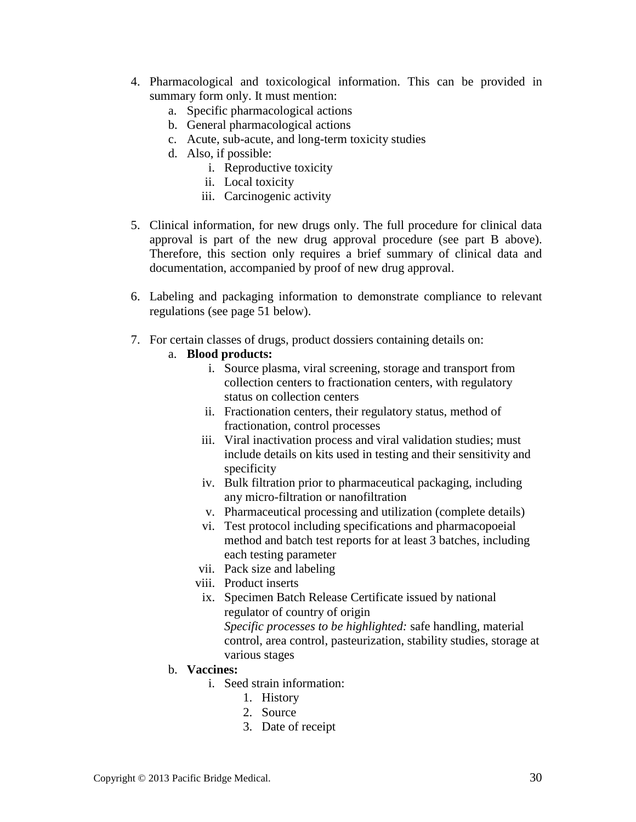- 4. Pharmacological and toxicological information. This can be provided in summary form only. It must mention:
	- a. Specific pharmacological actions
	- b. General pharmacological actions
	- c. Acute, sub-acute, and long-term toxicity studies
	- d. Also, if possible:
		- i. Reproductive toxicity
		- ii. Local toxicity
		- iii. Carcinogenic activity
- 5. Clinical information, for new drugs only. The full procedure for clinical data approval is part of the new drug approval procedure (see part B above). Therefore, this section only requires a brief summary of clinical data and documentation, accompanied by proof of new drug approval.
- 6. Labeling and packaging information to demonstrate compliance to relevant regulations (see page [51](#page-50-1) below).
- 7. For certain classes of drugs, product dossiers containing details on:

#### a. **Blood products:**

- i. Source plasma, viral screening, storage and transport from collection centers to fractionation centers, with regulatory status on collection centers
- ii. Fractionation centers, their regulatory status, method of fractionation, control processes
- iii. Viral inactivation process and viral validation studies; must include details on kits used in testing and their sensitivity and specificity
- iv. Bulk filtration prior to pharmaceutical packaging, including any micro-filtration or nanofiltration
- v. Pharmaceutical processing and utilization (complete details)
- vi. Test protocol including specifications and pharmacopoeial method and batch test reports for at least 3 batches, including each testing parameter
- vii. Pack size and labeling
- viii. Product inserts
- ix. Specimen Batch Release Certificate issued by national regulator of country of origin

*Specific processes to be highlighted:* safe handling, material control, area control, pasteurization, stability studies, storage at various stages

- b. **Vaccines:**
	- i. Seed strain information:
		- 1. History
		- 2. Source
		- 3. Date of receipt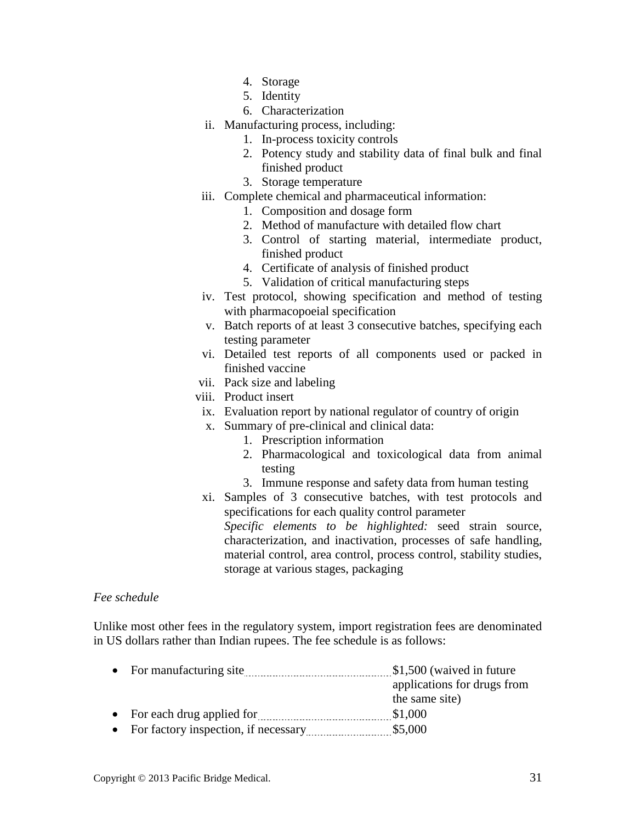- 4. Storage
- 5. Identity
- 6. Characterization
- ii. Manufacturing process, including:
	- 1. In-process toxicity controls
	- 2. Potency study and stability data of final bulk and final finished product
	- 3. Storage temperature
- iii. Complete chemical and pharmaceutical information:
	- 1. Composition and dosage form
	- 2. Method of manufacture with detailed flow chart
	- 3. Control of starting material, intermediate product, finished product
	- 4. Certificate of analysis of finished product
	- 5. Validation of critical manufacturing steps
- iv. Test protocol, showing specification and method of testing with pharmacopoeial specification
- v. Batch reports of at least 3 consecutive batches, specifying each testing parameter
- vi. Detailed test reports of all components used or packed in finished vaccine
- vii. Pack size and labeling
- viii. Product insert
- ix. Evaluation report by national regulator of country of origin
- x. Summary of pre-clinical and clinical data:
	- 1. Prescription information
		- 2. Pharmacological and toxicological data from animal testing
		- 3. Immune response and safety data from human testing
- xi. Samples of 3 consecutive batches, with test protocols and specifications for each quality control parameter *Specific elements to be highlighted:* seed strain source, characterization, and inactivation, processes of safe handling, material control, area control, process control, stability studies, storage at various stages, packaging

#### *Fee schedule*

Unlike most other fees in the regulatory system, import registration fees are denominated in US dollars rather than Indian rupees. The fee schedule is as follows:

| $\bullet$ | For manufacturing site               | \$1,500 (waived in future)  |
|-----------|--------------------------------------|-----------------------------|
|           |                                      | applications for drugs from |
|           |                                      | the same site)              |
|           | • For each drug applied for          | \$1,000                     |
| $\bullet$ | For factory inspection, if necessary | \$5,000                     |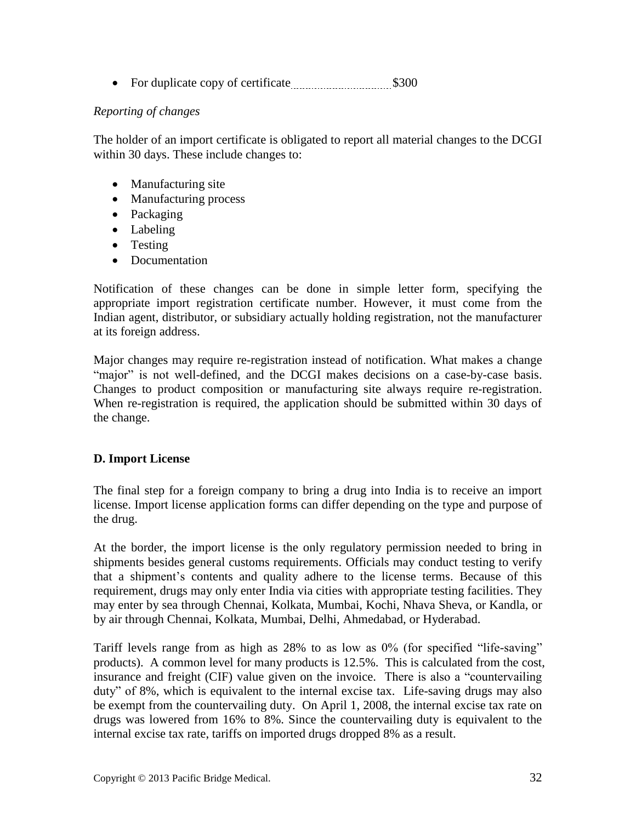• For duplicate copy of certificate **\$300** 

# *Reporting of changes*

The holder of an import certificate is obligated to report all material changes to the DCGI within 30 days. These include changes to:

- Manufacturing site
- Manufacturing process
- Packaging
- Labeling
- Testing
- Documentation

Notification of these changes can be done in simple letter form, specifying the appropriate import registration certificate number. However, it must come from the Indian agent, distributor, or subsidiary actually holding registration, not the manufacturer at its foreign address.

Major changes may require re-registration instead of notification. What makes a change "major" is not well-defined, and the DCGI makes decisions on a case-by-case basis. Changes to product composition or manufacturing site always require re-registration. When re-registration is required, the application should be submitted within 30 days of the change.

# <span id="page-31-0"></span>**D. Import License**

The final step for a foreign company to bring a drug into India is to receive an import license. Import license application forms can differ depending on the type and purpose of the drug.

At the border, the import license is the only regulatory permission needed to bring in shipments besides general customs requirements. Officials may conduct testing to verify that a shipment's contents and quality adhere to the license terms. Because of this requirement, drugs may only enter India via cities with appropriate testing facilities. They may enter by sea through Chennai, Kolkata, Mumbai, Kochi, Nhava Sheva, or Kandla, or by air through Chennai, Kolkata, Mumbai, Delhi, Ahmedabad, or Hyderabad.

Tariff levels range from as high as 28% to as low as 0% (for specified "life-saving" products). A common level for many products is 12.5%. This is calculated from the cost, insurance and freight (CIF) value given on the invoice. There is also a "countervailing duty" of 8%, which is equivalent to the internal excise tax. Life-saving drugs may also be exempt from the countervailing duty. On April 1, 2008, the internal excise tax rate on drugs was lowered from 16% to 8%. Since the countervailing duty is equivalent to the internal excise tax rate, tariffs on imported drugs dropped 8% as a result.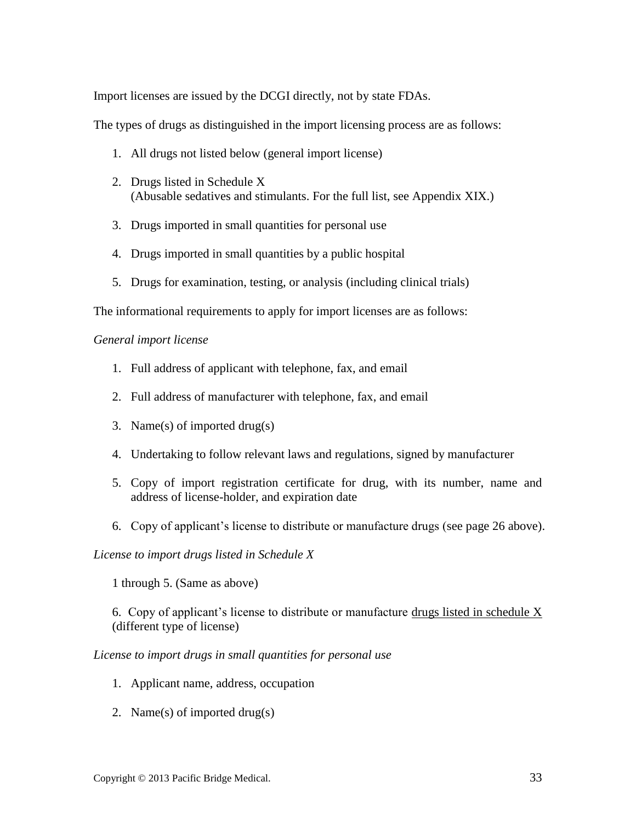Import licenses are issued by the DCGI directly, not by state FDAs.

The types of drugs as distinguished in the import licensing process are as follows:

- 1. All drugs not listed below (general import license)
- 2. Drugs listed in Schedule X (Abusable sedatives and stimulants. For the full list, see Appendix XIX.)
- 3. Drugs imported in small quantities for personal use
- 4. Drugs imported in small quantities by a public hospital
- 5. Drugs for examination, testing, or analysis (including clinical trials)

The informational requirements to apply for import licenses are as follows:

#### *General import license*

- 1. Full address of applicant with telephone, fax, and email
- 2. Full address of manufacturer with telephone, fax, and email
- 3. Name(s) of imported drug(s)
- 4. Undertaking to follow relevant laws and regulations, signed by manufacturer
- 5. Copy of import registration certificate for drug, with its number, name and address of license-holder, and expiration date
- 6. Copy of applicant's license to distribute or manufacture drugs (see page [26](#page-25-1) above).

#### *License to import drugs listed in Schedule X*

1 through 5. (Same as above)

6. Copy of applicant's license to distribute or manufacture drugs listed in schedule X (different type of license)

*License to import drugs in small quantities for personal use*

- 1. Applicant name, address, occupation
- 2. Name(s) of imported drug(s)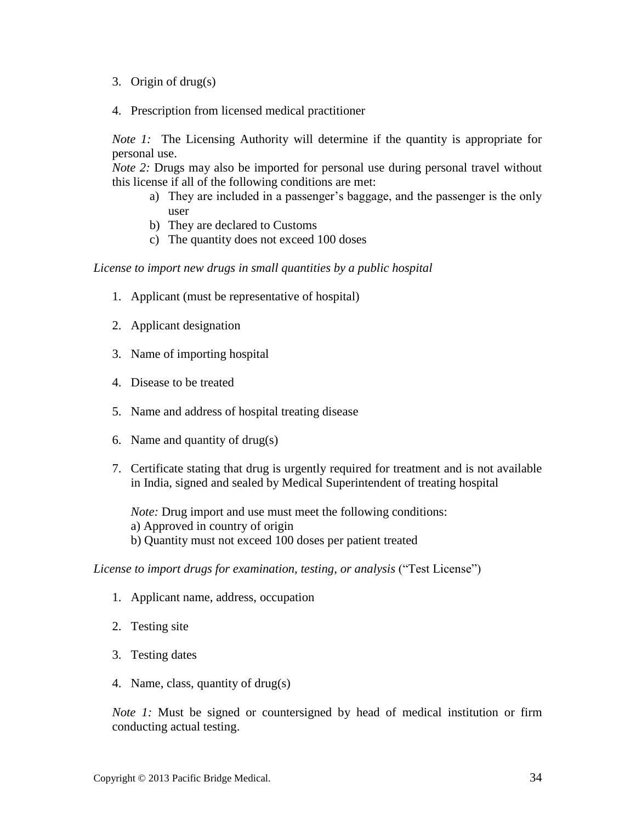- 3. Origin of drug(s)
- 4. Prescription from licensed medical practitioner

*Note 1:* The Licensing Authority will determine if the quantity is appropriate for personal use.

*Note 2:* Drugs may also be imported for personal use during personal travel without this license if all of the following conditions are met:

- a) They are included in a passenger's baggage, and the passenger is the only user
- b) They are declared to Customs
- c) The quantity does not exceed 100 doses

*License to import new drugs in small quantities by a public hospital*

- 1. Applicant (must be representative of hospital)
- 2. Applicant designation
- 3. Name of importing hospital
- 4. Disease to be treated
- 5. Name and address of hospital treating disease
- 6. Name and quantity of drug(s)
- 7. Certificate stating that drug is urgently required for treatment and is not available in India, signed and sealed by Medical Superintendent of treating hospital

*Note:* Drug import and use must meet the following conditions: a) Approved in country of origin b) Quantity must not exceed 100 doses per patient treated

*License to import drugs for examination, testing, or analysis* ("Test License")

- 1. Applicant name, address, occupation
- 2. Testing site
- 3. Testing dates
- 4. Name, class, quantity of drug(s)

*Note* 1: Must be signed or countersigned by head of medical institution or firm conducting actual testing.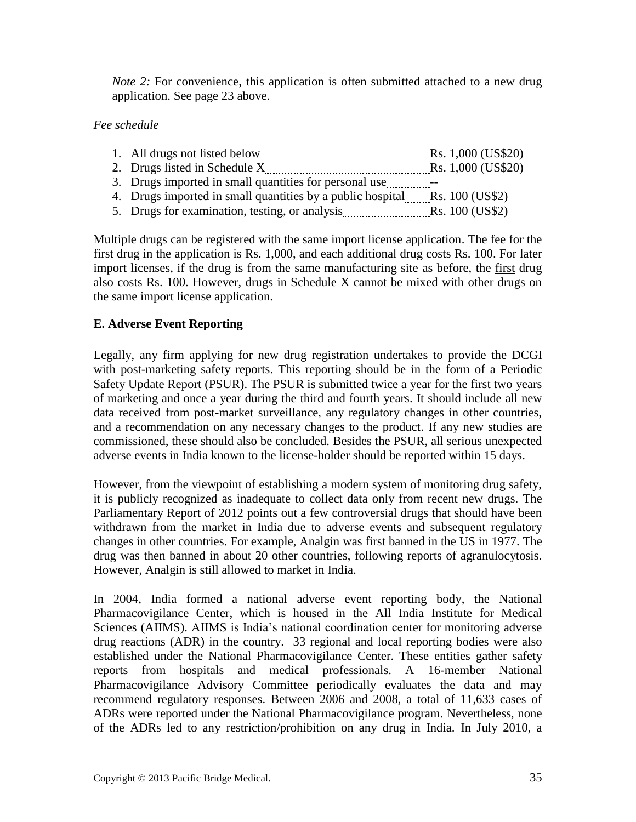*Note 2:* For convenience, this application is often submitted attached to a new drug application. See page [23](#page-22-0) above.

# *Fee schedule*

- 1. All drugs not listed below Rs. 1,000 (US\$20)
- 2. Drugs listed in Schedule  $X$   $Rs. 1,000$  (US\$20)
- 3. Drugs imported in small quantities for personal use --
- 4. Drugs imported in small quantities by a public hospital Rs. 100 (US\$2)
- 5. Drugs for examination, testing, or analysis Rs. 100 (US\$2)

Multiple drugs can be registered with the same import license application. The fee for the first drug in the application is Rs. 1,000, and each additional drug costs Rs. 100. For later import licenses, if the drug is from the same manufacturing site as before, the first drug also costs Rs. 100. However, drugs in Schedule X cannot be mixed with other drugs on the same import license application.

# <span id="page-34-0"></span>**E. Adverse Event Reporting**

Legally, any firm applying for new drug registration undertakes to provide the DCGI with post-marketing safety reports. This reporting should be in the form of a Periodic Safety Update Report (PSUR). The PSUR is submitted twice a year for the first two years of marketing and once a year during the third and fourth years. It should include all new data received from post-market surveillance, any regulatory changes in other countries, and a recommendation on any necessary changes to the product. If any new studies are commissioned, these should also be concluded. Besides the PSUR, all serious unexpected adverse events in India known to the license-holder should be reported within 15 days.

However, from the viewpoint of establishing a modern system of monitoring drug safety, it is publicly recognized as inadequate to collect data only from recent new drugs. The Parliamentary Report of 2012 points out a few controversial drugs that should have been withdrawn from the market in India due to adverse events and subsequent regulatory changes in other countries. For example, Analgin was first banned in the US in 1977. The drug was then banned in about 20 other countries, following reports of agranulocytosis. However, Analgin is still allowed to market in India.

In 2004, India formed a national adverse event reporting body, the National Pharmacovigilance Center, which is housed in the All India Institute for Medical Sciences (AIIMS). AIIMS is India's national coordination center for monitoring adverse drug reactions (ADR) in the country. 33 regional and local reporting bodies were also established under the National Pharmacovigilance Center. These entities gather safety reports from hospitals and medical professionals. A 16-member National Pharmacovigilance Advisory Committee periodically evaluates the data and may recommend regulatory responses. Between 2006 and 2008, a total of 11,633 cases of ADRs were reported under the National Pharmacovigilance program. Nevertheless, none of the ADRs led to any restriction/prohibition on any drug in India. In July 2010, a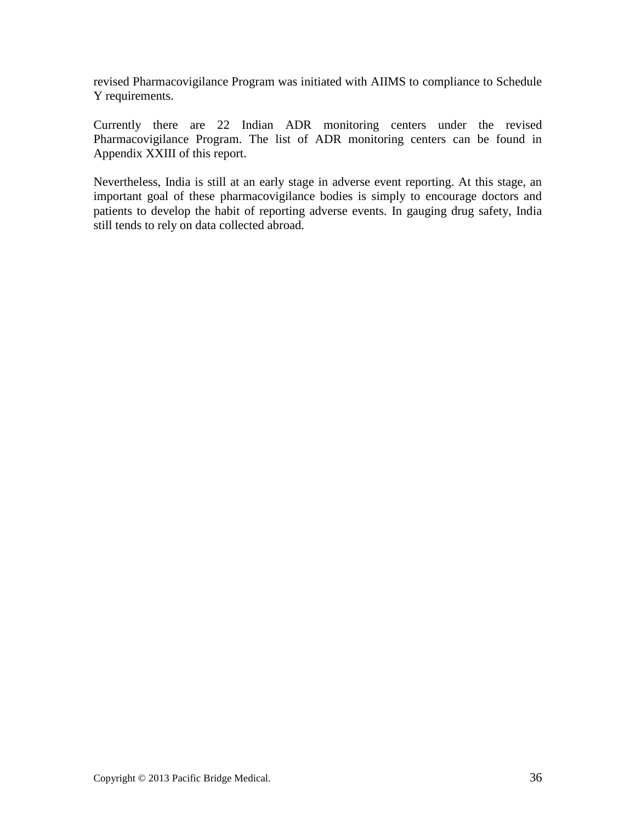revised Pharmacovigilance Program was initiated with AIIMS to compliance to Schedule Y requirements.

Currently there are 22 Indian ADR monitoring centers under the revised Pharmacovigilance Program. The list of ADR monitoring centers can be found in Appendix XXIII of this report.

Nevertheless, India is still at an early stage in adverse event reporting. At this stage, an important goal of these pharmacovigilance bodies is simply to encourage doctors and patients to develop the habit of reporting adverse events. In gauging drug safety, India still tends to rely on data collected abroad.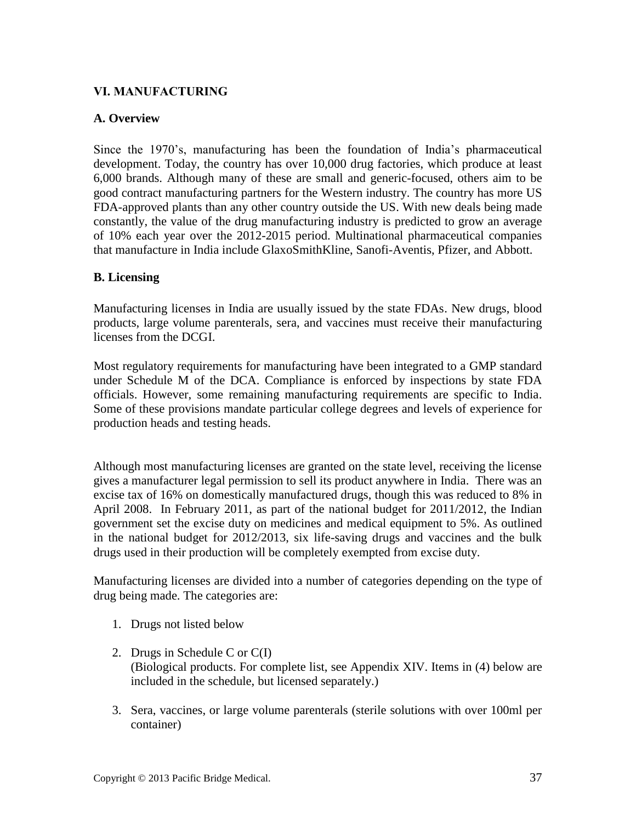### **VI. MANUFACTURING**

### **A. Overview**

Since the 1970's, manufacturing has been the foundation of India's pharmaceutical development. Today, the country has over 10,000 drug factories, which produce at least 6,000 brands. Although many of these are small and generic-focused, others aim to be good contract manufacturing partners for the Western industry. The country has more US FDA-approved plants than any other country outside the US. With new deals being made constantly, the value of the drug manufacturing industry is predicted to grow an average of 10% each year over the 2012-2015 period. Multinational pharmaceutical companies that manufacture in India include GlaxoSmithKline, Sanofi-Aventis, Pfizer, and Abbott.

### **B. Licensing**

Manufacturing licenses in India are usually issued by the state FDAs. New drugs, blood products, large volume parenterals, sera, and vaccines must receive their manufacturing licenses from the DCGI.

Most regulatory requirements for manufacturing have been integrated to a GMP standard under Schedule M of the DCA. Compliance is enforced by inspections by state FDA officials. However, some remaining manufacturing requirements are specific to India. Some of these provisions mandate particular college degrees and levels of experience for production heads and testing heads.

Although most manufacturing licenses are granted on the state level, receiving the license gives a manufacturer legal permission to sell its product anywhere in India. There was an excise tax of 16% on domestically manufactured drugs, though this was reduced to 8% in April 2008. In February 2011, as part of the national budget for 2011/2012, the Indian government set the excise duty on medicines and medical equipment to 5%. As outlined in the national budget for 2012/2013, six life-saving drugs and vaccines and the bulk drugs used in their production will be completely exempted from excise duty.

Manufacturing licenses are divided into a number of categories depending on the type of drug being made. The categories are:

- 1. Drugs not listed below
- 2. Drugs in Schedule C or C(I) (Biological products. For complete list, see Appendix XIV. Items in (4) below are included in the schedule, but licensed separately.)
- 3. Sera, vaccines, or large volume parenterals (sterile solutions with over 100ml per container)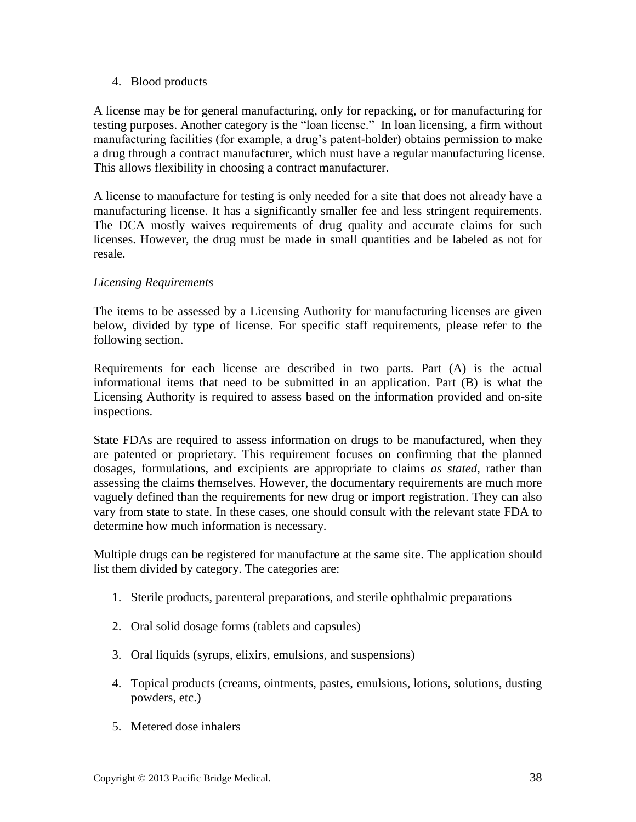### 4. Blood products

A license may be for general manufacturing, only for repacking, or for manufacturing for testing purposes. Another category is the "loan license." In loan licensing, a firm without manufacturing facilities (for example, a drug's patent-holder) obtains permission to make a drug through a contract manufacturer, which must have a regular manufacturing license. This allows flexibility in choosing a contract manufacturer.

A license to manufacture for testing is only needed for a site that does not already have a manufacturing license. It has a significantly smaller fee and less stringent requirements. The DCA mostly waives requirements of drug quality and accurate claims for such licenses. However, the drug must be made in small quantities and be labeled as not for resale.

### *Licensing Requirements*

The items to be assessed by a Licensing Authority for manufacturing licenses are given below, divided by type of license. For specific staff requirements, please refer to the following section.

Requirements for each license are described in two parts. Part (A) is the actual informational items that need to be submitted in an application. Part (B) is what the Licensing Authority is required to assess based on the information provided and on-site inspections.

State FDAs are required to assess information on drugs to be manufactured, when they are patented or proprietary. This requirement focuses on confirming that the planned dosages, formulations, and excipients are appropriate to claims *as stated*, rather than assessing the claims themselves. However, the documentary requirements are much more vaguely defined than the requirements for new drug or import registration. They can also vary from state to state. In these cases, one should consult with the relevant state FDA to determine how much information is necessary.

Multiple drugs can be registered for manufacture at the same site. The application should list them divided by category. The categories are:

- 1. Sterile products, parenteral preparations, and sterile ophthalmic preparations
- 2. Oral solid dosage forms (tablets and capsules)
- 3. Oral liquids (syrups, elixirs, emulsions, and suspensions)
- 4. Topical products (creams, ointments, pastes, emulsions, lotions, solutions, dusting powders, etc.)
- 5. Metered dose inhalers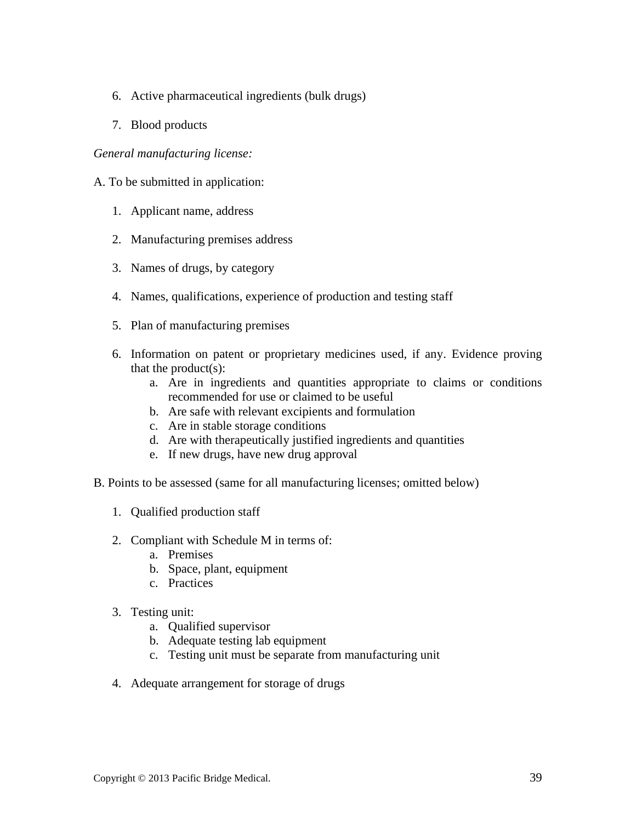- 6. Active pharmaceutical ingredients (bulk drugs)
- 7. Blood products

#### *General manufacturing license:*

- A. To be submitted in application:
	- 1. Applicant name, address
	- 2. Manufacturing premises address
	- 3. Names of drugs, by category
	- 4. Names, qualifications, experience of production and testing staff
	- 5. Plan of manufacturing premises
	- 6. Information on patent or proprietary medicines used, if any. Evidence proving that the product $(s)$ :
		- a. Are in ingredients and quantities appropriate to claims or conditions recommended for use or claimed to be useful
		- b. Are safe with relevant excipients and formulation
		- c. Are in stable storage conditions
		- d. Are with therapeutically justified ingredients and quantities
		- e. If new drugs, have new drug approval
- B. Points to be assessed (same for all manufacturing licenses; omitted below)
	- 1. Qualified production staff
	- 2. Compliant with Schedule M in terms of:
		- a. Premises
		- b. Space, plant, equipment
		- c. Practices
	- 3. Testing unit:
		- a. Qualified supervisor
		- b. Adequate testing lab equipment
		- c. Testing unit must be separate from manufacturing unit
	- 4. Adequate arrangement for storage of drugs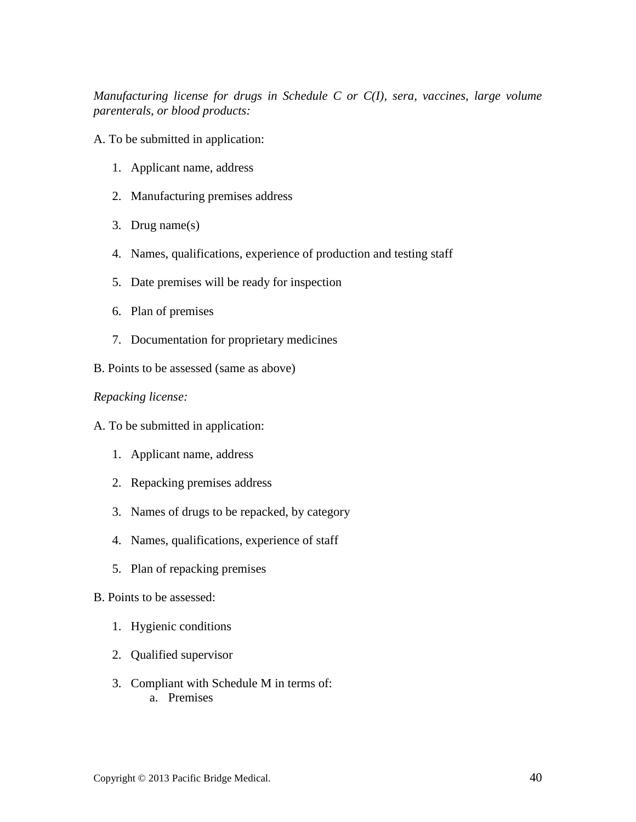*Manufacturing license for drugs in Schedule C or C(I), sera, vaccines, large volume parenterals, or blood products:*

- A. To be submitted in application:
	- 1. Applicant name, address
	- 2. Manufacturing premises address
	- 3. Drug name(s)
	- 4. Names, qualifications, experience of production and testing staff
	- 5. Date premises will be ready for inspection
	- 6. Plan of premises
	- 7. Documentation for proprietary medicines
- B. Points to be assessed (same as above)

#### *Repacking license:*

- A. To be submitted in application:
	- 1. Applicant name, address
	- 2. Repacking premises address
	- 3. Names of drugs to be repacked, by category
	- 4. Names, qualifications, experience of staff
	- 5. Plan of repacking premises
- B. Points to be assessed:
	- 1. Hygienic conditions
	- 2. Qualified supervisor
	- 3. Compliant with Schedule M in terms of: a. Premises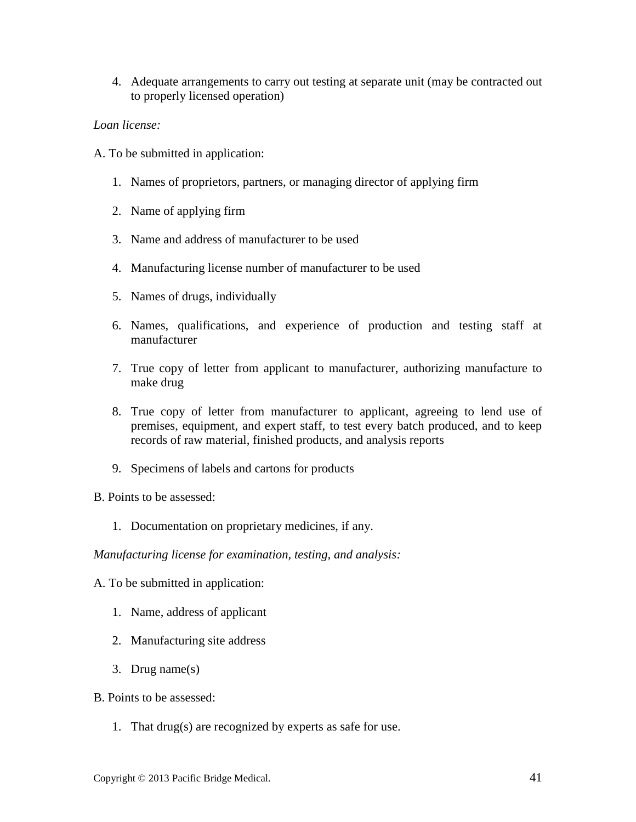4. Adequate arrangements to carry out testing at separate unit (may be contracted out to properly licensed operation)

#### *Loan license:*

- A. To be submitted in application:
	- 1. Names of proprietors, partners, or managing director of applying firm
	- 2. Name of applying firm
	- 3. Name and address of manufacturer to be used
	- 4. Manufacturing license number of manufacturer to be used
	- 5. Names of drugs, individually
	- 6. Names, qualifications, and experience of production and testing staff at manufacturer
	- 7. True copy of letter from applicant to manufacturer, authorizing manufacture to make drug
	- 8. True copy of letter from manufacturer to applicant, agreeing to lend use of premises, equipment, and expert staff, to test every batch produced, and to keep records of raw material, finished products, and analysis reports
	- 9. Specimens of labels and cartons for products

B. Points to be assessed:

1. Documentation on proprietary medicines, if any.

*Manufacturing license for examination, testing, and analysis:*

- A. To be submitted in application:
	- 1. Name, address of applicant
	- 2. Manufacturing site address
	- 3. Drug name(s)
- B. Points to be assessed:
	- 1. That drug(s) are recognized by experts as safe for use.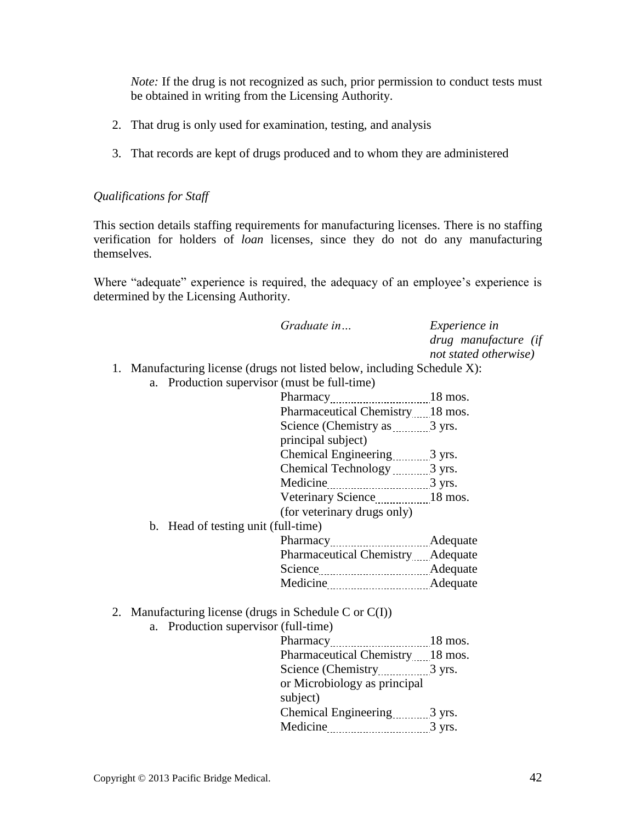*Note:* If the drug is not recognized as such, prior permission to conduct tests must be obtained in writing from the Licensing Authority.

- 2. That drug is only used for examination, testing, and analysis
- 3. That records are kept of drugs produced and to whom they are administered

### *Qualifications for Staff*

This section details staffing requirements for manufacturing licenses. There is no staffing verification for holders of *loan* licenses, since they do not do any manufacturing themselves.

Where "adequate" experience is required, the adequacy of an employee's experience is determined by the Licensing Authority.

|                                                                          | Graduate in                       | Experience in<br>drug manufacture (if<br>not stated otherwise) |
|--------------------------------------------------------------------------|-----------------------------------|----------------------------------------------------------------|
| 1. Manufacturing license (drugs not listed below, including Schedule X): |                                   |                                                                |
| a. Production supervisor (must be full-time)                             |                                   |                                                                |
|                                                                          |                                   |                                                                |
|                                                                          | Pharmaceutical Chemistry 18 mos.  |                                                                |
|                                                                          | Science (Chemistry as 3 yrs.      |                                                                |
|                                                                          | principal subject)                |                                                                |
|                                                                          | Chemical Engineering 3 yrs.       |                                                                |
|                                                                          | Chemical Technology 2 yrs.        |                                                                |
|                                                                          |                                   |                                                                |
|                                                                          | Veterinary Science18 mos.         |                                                                |
|                                                                          | (for veterinary drugs only)       |                                                                |
| b. Head of testing unit (full-time)                                      |                                   |                                                                |
|                                                                          |                                   |                                                                |
|                                                                          | Pharmaceutical Chemistry Adequate |                                                                |
|                                                                          | Science Adequate                  |                                                                |
|                                                                          |                                   |                                                                |
| 2. Manufacturing license (drugs in Schedule C or $C(I)$ )                |                                   |                                                                |
| a. Production supervisor (full-time)                                     |                                   |                                                                |
|                                                                          |                                   |                                                                |
|                                                                          | Pharmaceutical Chemistry18 mos.   |                                                                |
|                                                                          |                                   |                                                                |
|                                                                          | or Microbiology as principal      |                                                                |
|                                                                          | subject)                          |                                                                |
|                                                                          | Chemical Engineering 3 yrs.       |                                                                |
|                                                                          | Medicine 3 yrs.                   |                                                                |
|                                                                          |                                   |                                                                |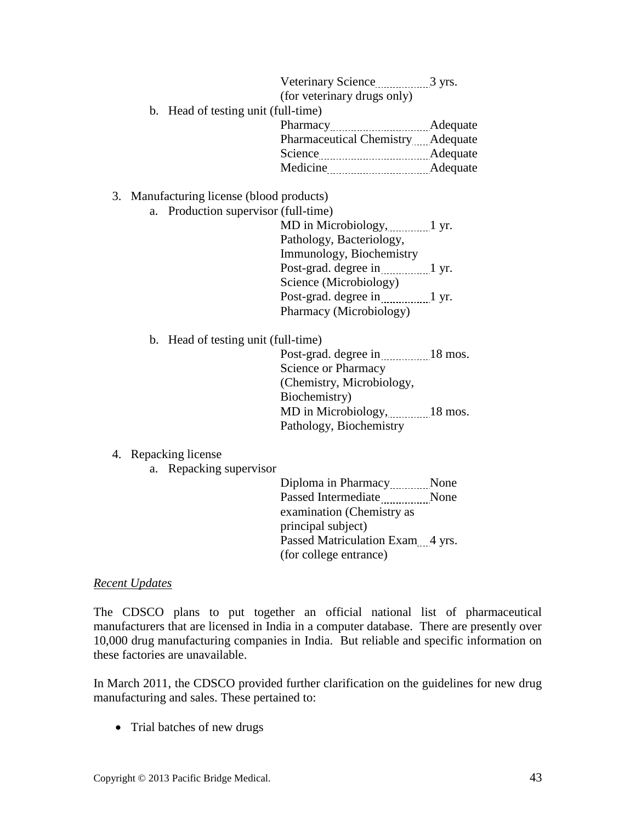| (for veterinary drugs only)         |                                                |  |
|-------------------------------------|------------------------------------------------|--|
| b. Head of testing unit (full-time) |                                                |  |
|                                     |                                                |  |
|                                     | Pharmaceutical Chemistry Adequate              |  |
| Science                             | Adequate<br>---------------------------------- |  |
| Medicine                            | Adequate<br>------------------------------     |  |

#### 3. Manufacturing license (blood products)

a. Production supervisor (full-time)

MD in Microbiology, 1 yr. Pathology, Bacteriology, Immunology, Biochemistry Post-grad. degree in 1 yr. Science (Microbiology) Post-grad. degree in 1 yr. Pharmacy (Microbiology)

b. Head of testing unit (full-time)

Post-grad. degree in 18 mos. Science or Pharmacy (Chemistry, Microbiology, Biochemistry) MD in Microbiology, 18 mos. Pathology, Biochemistry

- 4. Repacking license
	- a. Repacking supervisor

Diploma in Pharmacy None Passed Intermediate None examination (Chemistry as principal subject) Passed Matriculation Exam 4 yrs. (for college entrance)

#### *Recent Updates*

The CDSCO plans to put together an official national list of pharmaceutical manufacturers that are licensed in India in a computer database. There are presently over 10,000 drug manufacturing companies in India. But reliable and specific information on these factories are unavailable.

In March 2011, the CDSCO provided further clarification on the guidelines for new drug manufacturing and sales. These pertained to:

• Trial batches of new drugs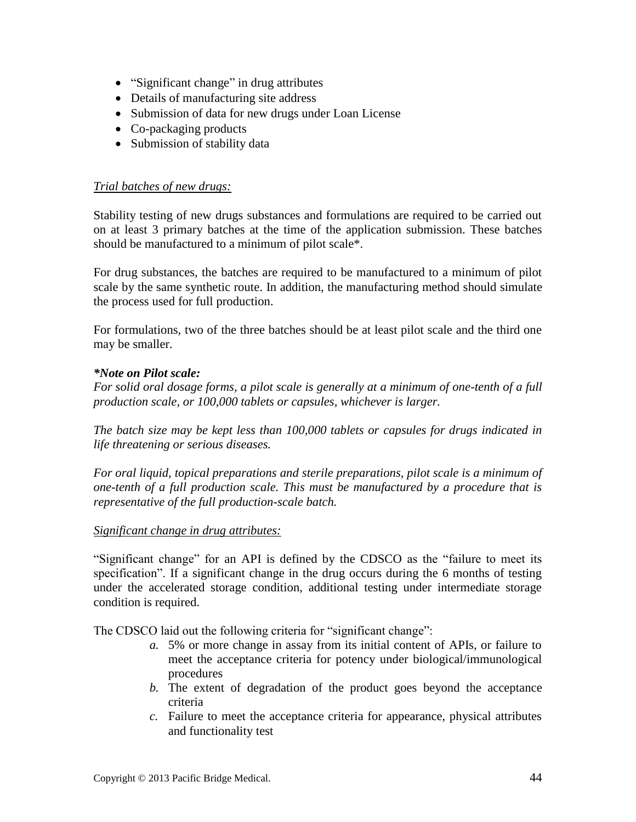- "Significant change" in drug attributes
- Details of manufacturing site address
- Submission of data for new drugs under Loan License
- Co-packaging products
- Submission of stability data

#### *Trial batches of new drugs:*

Stability testing of new drugs substances and formulations are required to be carried out on at least 3 primary batches at the time of the application submission. These batches should be manufactured to a minimum of pilot scale\*.

For drug substances, the batches are required to be manufactured to a minimum of pilot scale by the same synthetic route. In addition, the manufacturing method should simulate the process used for full production.

For formulations, two of the three batches should be at least pilot scale and the third one may be smaller.

### *\*Note on Pilot scale:*

*For solid oral dosage forms, a pilot scale is generally at a minimum of one-tenth of a full production scale, or 100,000 tablets or capsules, whichever is larger.*

*The batch size may be kept less than 100,000 tablets or capsules for drugs indicated in life threatening or serious diseases.*

*For oral liquid, topical preparations and sterile preparations, pilot scale is a minimum of one-tenth of a full production scale. This must be manufactured by a procedure that is representative of the full production-scale batch.*

#### *Significant change in drug attributes:*

"Significant change" for an API is defined by the CDSCO as the "failure to meet its specification". If a significant change in the drug occurs during the 6 months of testing under the accelerated storage condition, additional testing under intermediate storage condition is required.

The CDSCO laid out the following criteria for "significant change":

- *a.* 5% or more change in assay from its initial content of APIs, or failure to meet the acceptance criteria for potency under biological/immunological procedures
- *b.* The extent of degradation of the product goes beyond the acceptance criteria
- *c.* Failure to meet the acceptance criteria for appearance, physical attributes and functionality test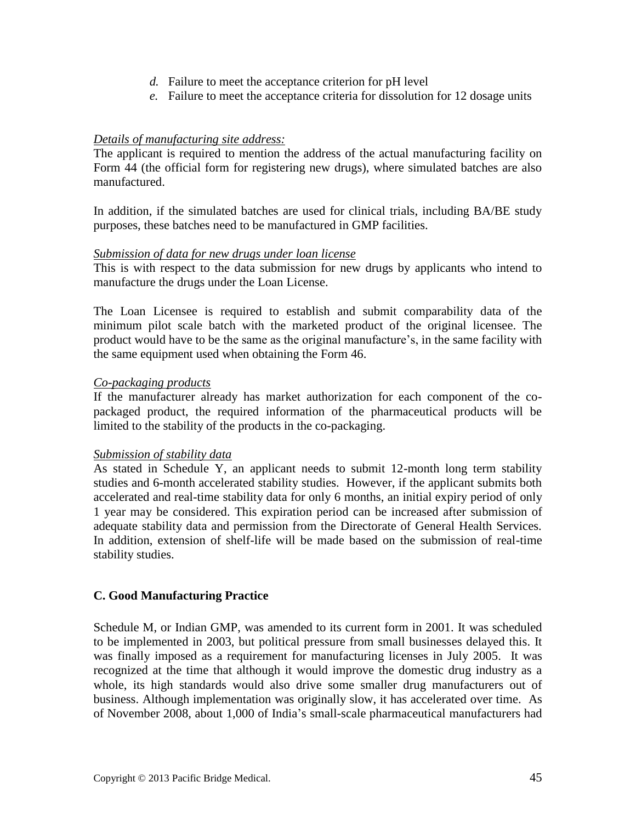- *d.* Failure to meet the acceptance criterion for pH level
- *e.* Failure to meet the acceptance criteria for dissolution for 12 dosage units

### *Details of manufacturing site address:*

The applicant is required to mention the address of the actual manufacturing facility on Form 44 (the official form for registering new drugs), where simulated batches are also manufactured.

In addition, if the simulated batches are used for clinical trials, including BA/BE study purposes, these batches need to be manufactured in GMP facilities.

#### *Submission of data for new drugs under loan license*

This is with respect to the data submission for new drugs by applicants who intend to manufacture the drugs under the Loan License.

The Loan Licensee is required to establish and submit comparability data of the minimum pilot scale batch with the marketed product of the original licensee. The product would have to be the same as the original manufacture's, in the same facility with the same equipment used when obtaining the Form 46.

#### *Co-packaging products*

If the manufacturer already has market authorization for each component of the copackaged product, the required information of the pharmaceutical products will be limited to the stability of the products in the co-packaging.

#### *Submission of stability data*

As stated in Schedule Y, an applicant needs to submit 12-month long term stability studies and 6-month accelerated stability studies. However, if the applicant submits both accelerated and real-time stability data for only 6 months, an initial expiry period of only 1 year may be considered. This expiration period can be increased after submission of adequate stability data and permission from the Directorate of General Health Services. In addition, extension of shelf-life will be made based on the submission of real-time stability studies.

### **C. Good Manufacturing Practice**

Schedule M, or Indian GMP, was amended to its current form in 2001. It was scheduled to be implemented in 2003, but political pressure from small businesses delayed this. It was finally imposed as a requirement for manufacturing licenses in July 2005. It was recognized at the time that although it would improve the domestic drug industry as a whole, its high standards would also drive some smaller drug manufacturers out of business. Although implementation was originally slow, it has accelerated over time. As of November 2008, about 1,000 of India's small-scale pharmaceutical manufacturers had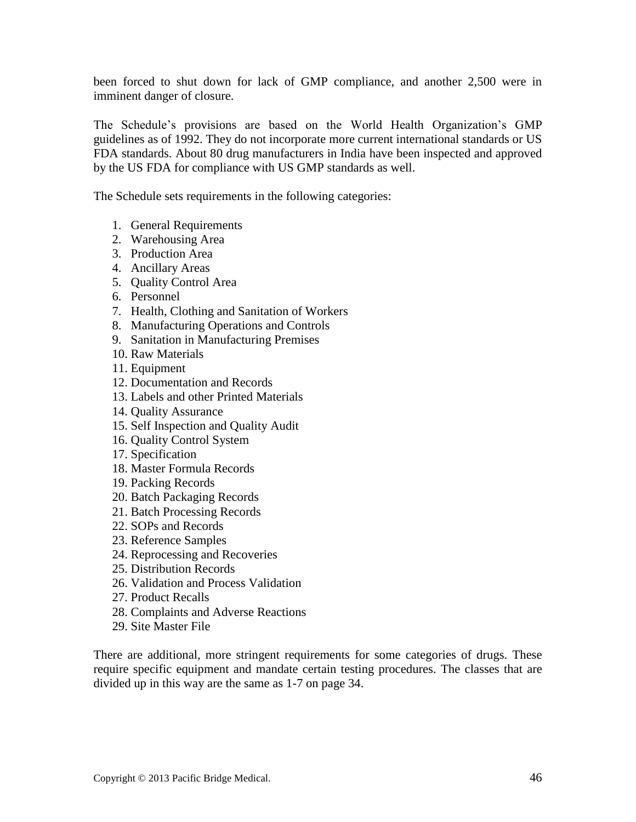been forced to shut down for lack of GMP compliance, and another 2,500 were in imminent danger of closure.

The Schedule's provisions are based on the World Health Organization's GMP guidelines as of 1992. They do not incorporate more current international standards or US FDA standards. About 80 drug manufacturers in India have been inspected and approved by the US FDA for compliance with US GMP standards as well.

The Schedule sets requirements in the following categories:

- 1. General Requirements
- 2. Warehousing Area
- 3. Production Area
- 4. Ancillary Areas
- 5. Quality Control Area
- 6. Personnel
- 7. Health, Clothing and Sanitation of Workers
- 8. Manufacturing Operations and Controls
- 9. Sanitation in Manufacturing Premises
- 10. Raw Materials
- 11. Equipment
- 12. Documentation and Records
- 13. Labels and other Printed Materials
- 14. Quality Assurance
- 15. Self Inspection and Quality Audit
- 16. Quality Control System
- 17. Specification
- 18. Master Formula Records
- 19. Packing Records
- 20. Batch Packaging Records
- 21. Batch Processing Records
- 22. SOPs and Records
- 23. Reference Samples
- 24. Reprocessing and Recoveries
- 25. Distribution Records
- 26. Validation and Process Validation
- 27. Product Recalls
- 28. Complaints and Adverse Reactions
- 29. Site Master File

There are additional, more stringent requirements for some categories of drugs. These require specific equipment and mandate certain testing procedures. The classes that are divided up in this way are the same as 1-7 on page 34.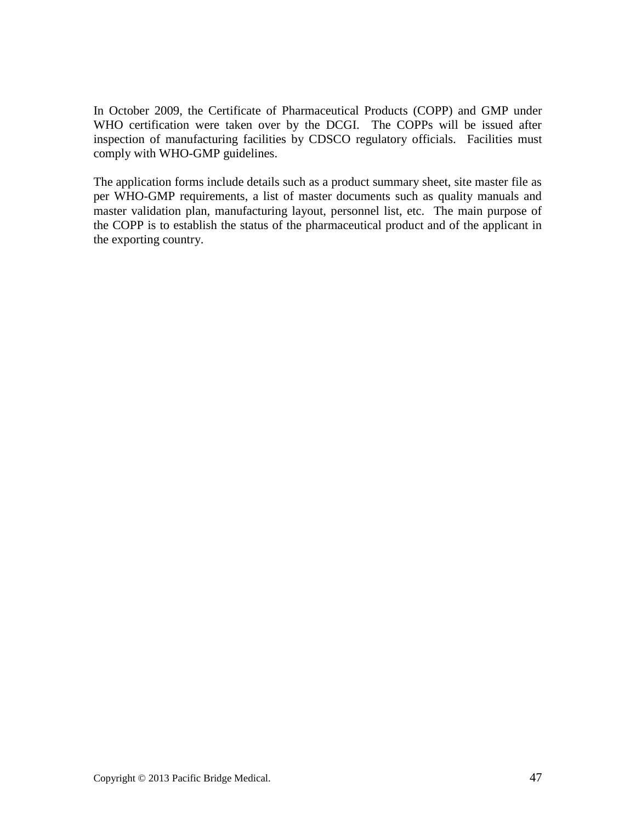In October 2009, the Certificate of Pharmaceutical Products (COPP) and GMP under WHO certification were taken over by the DCGI. The COPPs will be issued after inspection of manufacturing facilities by CDSCO regulatory officials. Facilities must comply with WHO-GMP guidelines.

The application forms include details such as a product summary sheet, site master file as per WHO-GMP requirements, a list of master documents such as quality manuals and master validation plan, manufacturing layout, personnel list, etc. The main purpose of the COPP is to establish the status of the pharmaceutical product and of the applicant in the exporting country.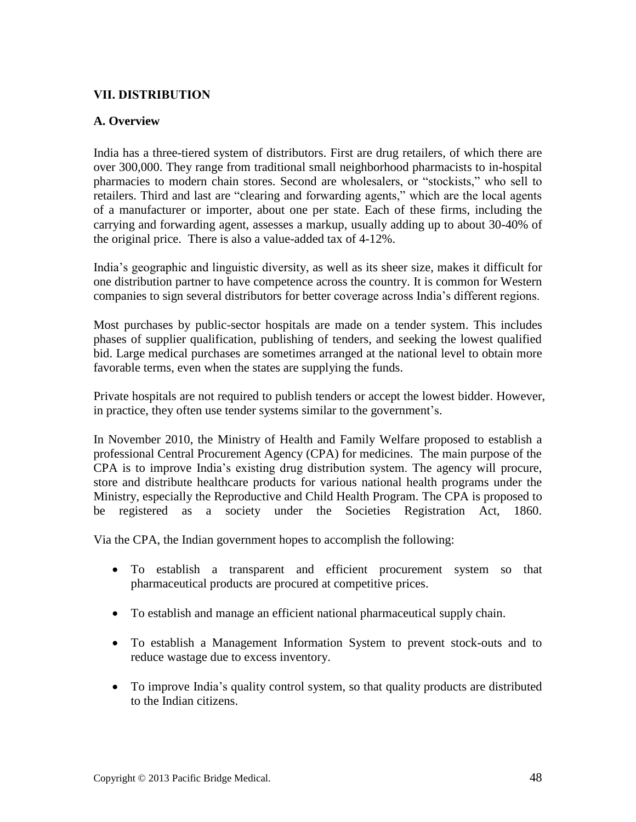### **VII. DISTRIBUTION**

### **A. Overview**

India has a three-tiered system of distributors. First are drug retailers, of which there are over 300,000. They range from traditional small neighborhood pharmacists to in-hospital pharmacies to modern chain stores. Second are wholesalers, or "stockists," who sell to retailers. Third and last are "clearing and forwarding agents," which are the local agents of a manufacturer or importer, about one per state. Each of these firms, including the carrying and forwarding agent, assesses a markup, usually adding up to about 30-40% of the original price. There is also a value-added tax of 4-12%.

India's geographic and linguistic diversity, as well as its sheer size, makes it difficult for one distribution partner to have competence across the country. It is common for Western companies to sign several distributors for better coverage across India's different regions.

Most purchases by public-sector hospitals are made on a tender system. This includes phases of supplier qualification, publishing of tenders, and seeking the lowest qualified bid. Large medical purchases are sometimes arranged at the national level to obtain more favorable terms, even when the states are supplying the funds.

Private hospitals are not required to publish tenders or accept the lowest bidder. However, in practice, they often use tender systems similar to the government's.

In November 2010, the Ministry of Health and Family Welfare proposed to establish a professional Central Procurement Agency (CPA) for medicines. The main purpose of the CPA is to improve India's existing drug distribution system. The agency will procure, store and distribute healthcare products for various national health programs under the Ministry, especially the Reproductive and Child Health Program. The CPA is proposed to be registered as a society under the Societies Registration Act, 1860.

Via the CPA, the Indian government hopes to accomplish the following:

- To establish a transparent and efficient procurement system so that pharmaceutical products are procured at competitive prices.
- To establish and manage an efficient national pharmaceutical supply chain.
- To establish a Management Information System to prevent stock-outs and to reduce wastage due to excess inventory.
- To improve India's quality control system, so that quality products are distributed to the Indian citizens.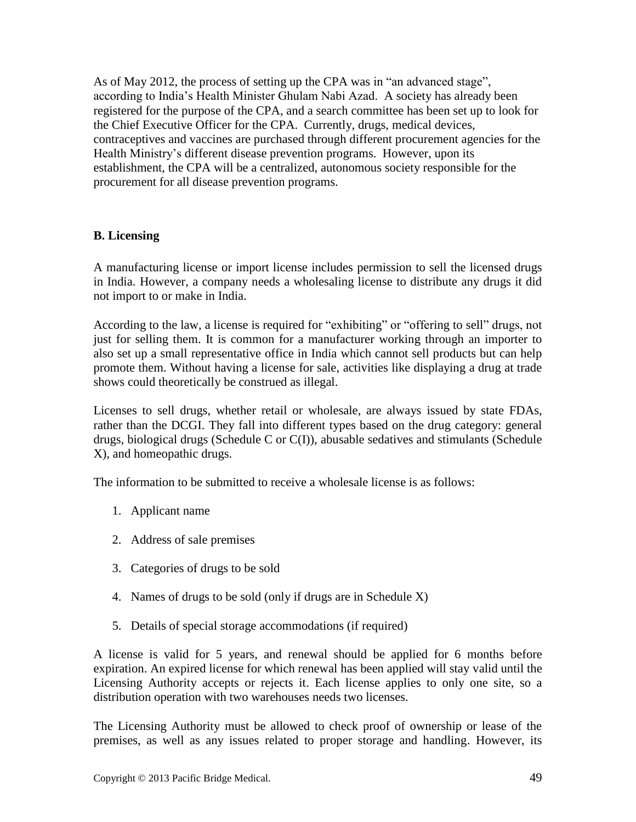As of May 2012, the process of setting up the CPA was in "an advanced stage", according to India's Health Minister Ghulam Nabi Azad. A society has already been registered for the purpose of the CPA, and a search committee has been set up to look for the Chief Executive Officer for the CPA. Currently, drugs, medical devices, contraceptives and vaccines are purchased through different procurement agencies for the Health Ministry's different disease prevention programs. However, upon its establishment, the CPA will be a centralized, autonomous society responsible for the procurement for all disease prevention programs.

### **B. Licensing**

A manufacturing license or import license includes permission to sell the licensed drugs in India. However, a company needs a wholesaling license to distribute any drugs it did not import to or make in India.

According to the law, a license is required for "exhibiting" or "offering to sell" drugs, not just for selling them. It is common for a manufacturer working through an importer to also set up a small representative office in India which cannot sell products but can help promote them. Without having a license for sale, activities like displaying a drug at trade shows could theoretically be construed as illegal.

Licenses to sell drugs, whether retail or wholesale, are always issued by state FDAs, rather than the DCGI. They fall into different types based on the drug category: general drugs, biological drugs (Schedule C or C(I)), abusable sedatives and stimulants (Schedule X), and homeopathic drugs.

The information to be submitted to receive a wholesale license is as follows:

- 1. Applicant name
- 2. Address of sale premises
- 3. Categories of drugs to be sold
- 4. Names of drugs to be sold (only if drugs are in Schedule X)
- 5. Details of special storage accommodations (if required)

A license is valid for 5 years, and renewal should be applied for 6 months before expiration. An expired license for which renewal has been applied will stay valid until the Licensing Authority accepts or rejects it. Each license applies to only one site, so a distribution operation with two warehouses needs two licenses.

The Licensing Authority must be allowed to check proof of ownership or lease of the premises, as well as any issues related to proper storage and handling. However, its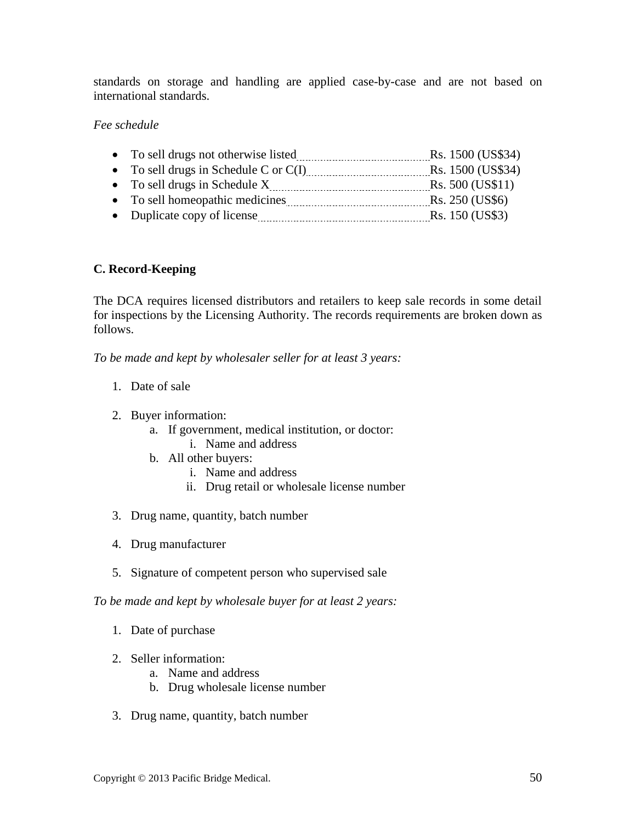standards on storage and handling are applied case-by-case and are not based on international standards.

### *Fee schedule*

| • To sell drugs not otherwise listed    | Rs. 1500 (US\$34) |
|-----------------------------------------|-------------------|
| • To sell drugs in Schedule C or $C(I)$ | Rs. 1500 (US\$34) |
| • To sell drugs in Schedule X           | Rs. 500 (US\$11)  |
| • To sell homeopathic medicines         | Rs. 250 (US\$6)   |
| • Duplicate copy of license             | Rs. 150 (US\$3)   |

### **C. Record-Keeping**

The DCA requires licensed distributors and retailers to keep sale records in some detail for inspections by the Licensing Authority. The records requirements are broken down as follows.

*To be made and kept by wholesaler seller for at least 3 years:*

- 1. Date of sale
- 2. Buyer information:
	- a. If government, medical institution, or doctor: i. Name and address
	- b. All other buyers:
		- i. Name and address
		- ii. Drug retail or wholesale license number
- 3. Drug name, quantity, batch number
- 4. Drug manufacturer
- 5. Signature of competent person who supervised sale

*To be made and kept by wholesale buyer for at least 2 years:*

- 1. Date of purchase
- 2. Seller information:
	- a. Name and address
	- b. Drug wholesale license number
- 3. Drug name, quantity, batch number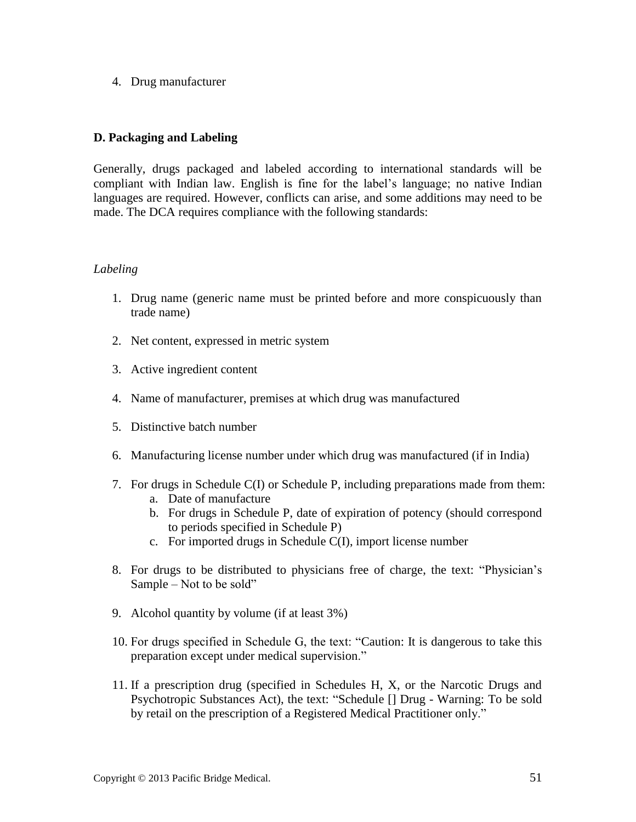4. Drug manufacturer

### **D. Packaging and Labeling**

Generally, drugs packaged and labeled according to international standards will be compliant with Indian law. English is fine for the label's language; no native Indian languages are required. However, conflicts can arise, and some additions may need to be made. The DCA requires compliance with the following standards:

#### *Labeling*

- 1. Drug name (generic name must be printed before and more conspicuously than trade name)
- 2. Net content, expressed in metric system
- 3. Active ingredient content
- 4. Name of manufacturer, premises at which drug was manufactured
- 5. Distinctive batch number
- 6. Manufacturing license number under which drug was manufactured (if in India)
- 7. For drugs in Schedule C(I) or Schedule P, including preparations made from them:
	- a. Date of manufacture
	- b. For drugs in Schedule P, date of expiration of potency (should correspond to periods specified in Schedule P)
	- c. For imported drugs in Schedule C(I), import license number
- 8. For drugs to be distributed to physicians free of charge, the text: "Physician's Sample – Not to be sold"
- 9. Alcohol quantity by volume (if at least 3%)
- 10. For drugs specified in Schedule G, the text: "Caution: It is dangerous to take this preparation except under medical supervision."
- 11. If a prescription drug (specified in Schedules H, X, or the Narcotic Drugs and Psychotropic Substances Act), the text: "Schedule [] Drug - Warning: To be sold by retail on the prescription of a Registered Medical Practitioner only."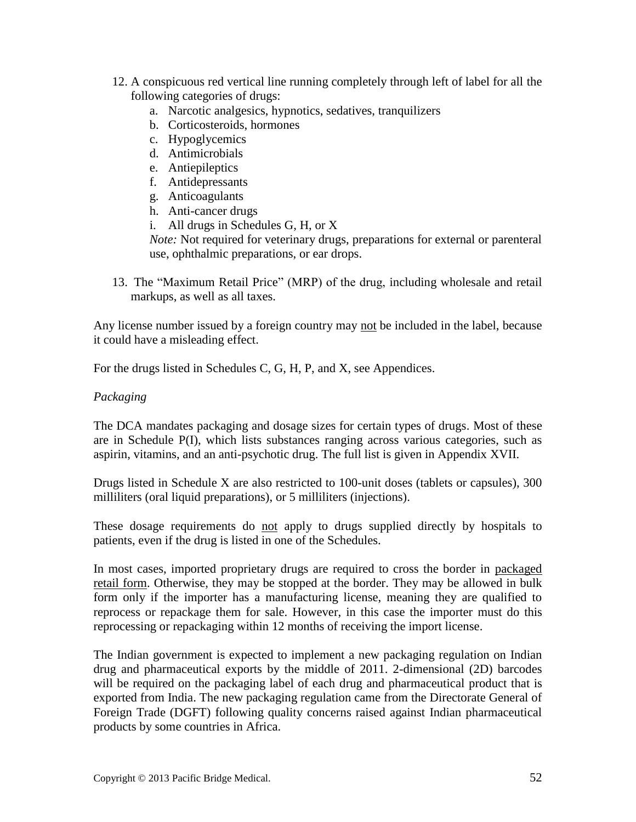- 12. A conspicuous red vertical line running completely through left of label for all the following categories of drugs:
	- a. Narcotic analgesics, hypnotics, sedatives, tranquilizers
	- b. Corticosteroids, hormones
	- c. Hypoglycemics
	- d. Antimicrobials
	- e. Antiepileptics
	- f. Antidepressants
	- g. Anticoagulants
	- h. Anti-cancer drugs
	- i. All drugs in Schedules G, H, or X

*Note:* Not required for veterinary drugs, preparations for external or parenteral use, ophthalmic preparations, or ear drops.

13. The "Maximum Retail Price" (MRP) of the drug, including wholesale and retail markups, as well as all taxes.

Any license number issued by a foreign country may not be included in the label, because it could have a misleading effect.

For the drugs listed in Schedules C, G, H, P, and X, see Appendices.

### *Packaging*

The DCA mandates packaging and dosage sizes for certain types of drugs. Most of these are in Schedule P(I), which lists substances ranging across various categories, such as aspirin, vitamins, and an anti-psychotic drug. The full list is given in Appendix XVII.

Drugs listed in Schedule X are also restricted to 100-unit doses (tablets or capsules), 300 milliliters (oral liquid preparations), or 5 milliliters (injections).

These dosage requirements do not apply to drugs supplied directly by hospitals to patients, even if the drug is listed in one of the Schedules.

In most cases, imported proprietary drugs are required to cross the border in packaged retail form. Otherwise, they may be stopped at the border. They may be allowed in bulk form only if the importer has a manufacturing license, meaning they are qualified to reprocess or repackage them for sale. However, in this case the importer must do this reprocessing or repackaging within 12 months of receiving the import license.

The Indian government is expected to implement a new packaging regulation on Indian drug and pharmaceutical exports by the middle of 2011. 2-dimensional (2D) barcodes will be required on the packaging label of each drug and pharmaceutical product that is exported from India. The new packaging regulation came from the Directorate General of Foreign Trade (DGFT) following quality concerns raised against Indian pharmaceutical products by some countries in Africa.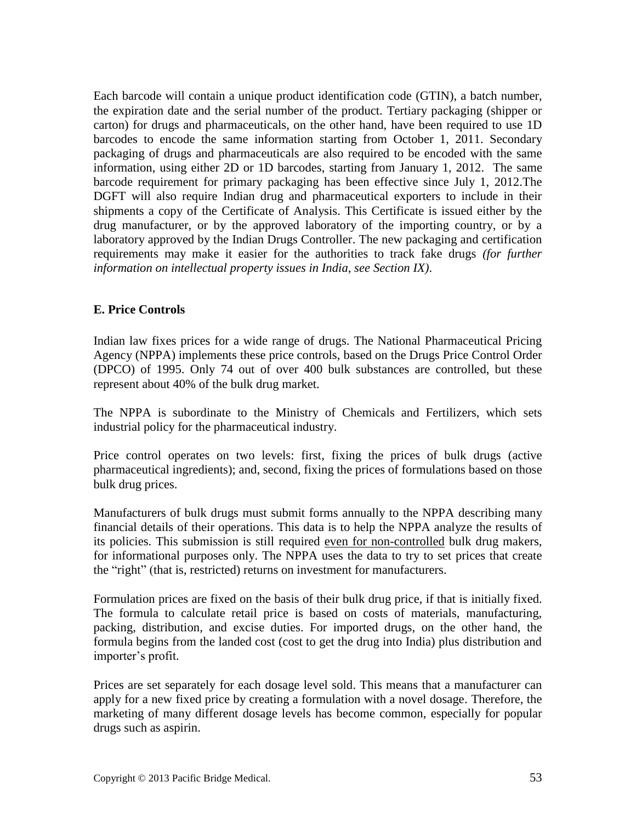Each barcode will contain a unique product identification code (GTIN), a batch number, the expiration date and the serial number of the product. Tertiary packaging (shipper or carton) for drugs and pharmaceuticals, on the other hand, have been required to use 1D barcodes to encode the same information starting from October 1, 2011. Secondary packaging of drugs and pharmaceuticals are also required to be encoded with the same information, using either 2D or 1D barcodes, starting from January 1, 2012. The same barcode requirement for primary packaging has been effective since July 1, 2012.The DGFT will also require Indian drug and pharmaceutical exporters to include in their shipments a copy of the Certificate of Analysis. This Certificate is issued either by the drug manufacturer, or by the approved laboratory of the importing country, or by a laboratory approved by the Indian Drugs Controller. The new packaging and certification requirements may make it easier for the authorities to track fake drugs *(for further information on intellectual property issues in India, see Section IX)*.

### **E. Price Controls**

Indian law fixes prices for a wide range of drugs. The National Pharmaceutical Pricing Agency (NPPA) implements these price controls, based on the Drugs Price Control Order (DPCO) of 1995. Only 74 out of over 400 bulk substances are controlled, but these represent about 40% of the bulk drug market.

The NPPA is subordinate to the Ministry of Chemicals and Fertilizers, which sets industrial policy for the pharmaceutical industry.

Price control operates on two levels: first, fixing the prices of bulk drugs (active pharmaceutical ingredients); and, second, fixing the prices of formulations based on those bulk drug prices.

Manufacturers of bulk drugs must submit forms annually to the NPPA describing many financial details of their operations. This data is to help the NPPA analyze the results of its policies. This submission is still required even for non-controlled bulk drug makers, for informational purposes only. The NPPA uses the data to try to set prices that create the "right" (that is, restricted) returns on investment for manufacturers.

Formulation prices are fixed on the basis of their bulk drug price, if that is initially fixed. The formula to calculate retail price is based on costs of materials, manufacturing, packing, distribution, and excise duties. For imported drugs, on the other hand, the formula begins from the landed cost (cost to get the drug into India) plus distribution and importer's profit.

Prices are set separately for each dosage level sold. This means that a manufacturer can apply for a new fixed price by creating a formulation with a novel dosage. Therefore, the marketing of many different dosage levels has become common, especially for popular drugs such as aspirin.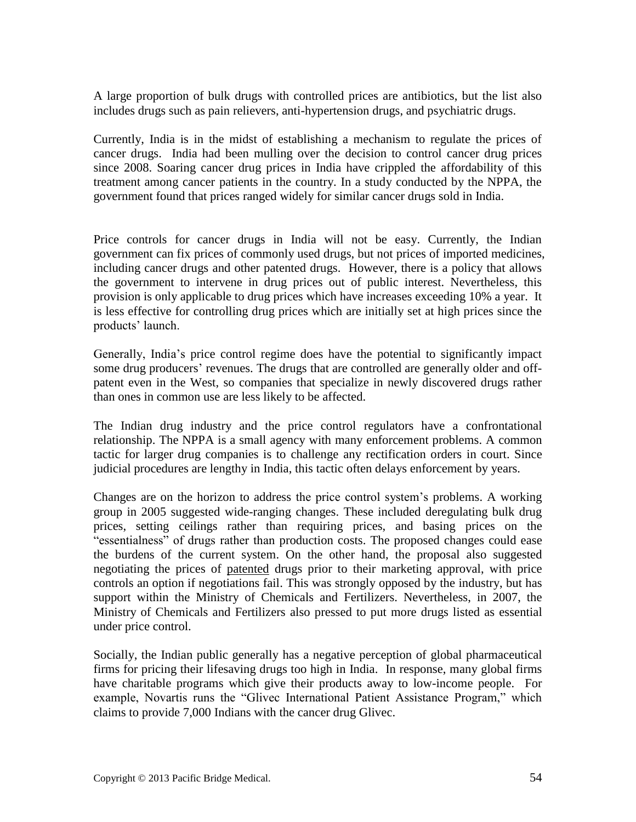A large proportion of bulk drugs with controlled prices are antibiotics, but the list also includes drugs such as pain relievers, anti-hypertension drugs, and psychiatric drugs.

Currently, India is in the midst of establishing a mechanism to regulate the prices of cancer drugs. India had been mulling over the decision to control cancer drug prices since 2008. Soaring cancer drug prices in India have crippled the affordability of this treatment among cancer patients in the country. In a study conducted by the NPPA, the government found that prices ranged widely for similar cancer drugs sold in India.

Price controls for cancer drugs in India will not be easy. Currently, the Indian government can fix prices of commonly used drugs, but not prices of imported medicines, including cancer drugs and other patented drugs. However, there is a policy that allows the government to intervene in drug prices out of public interest. Nevertheless, this provision is only applicable to drug prices which have increases exceeding 10% a year. It is less effective for controlling drug prices which are initially set at high prices since the products' launch.

Generally, India's price control regime does have the potential to significantly impact some drug producers' revenues. The drugs that are controlled are generally older and offpatent even in the West, so companies that specialize in newly discovered drugs rather than ones in common use are less likely to be affected.

The Indian drug industry and the price control regulators have a confrontational relationship. The NPPA is a small agency with many enforcement problems. A common tactic for larger drug companies is to challenge any rectification orders in court. Since judicial procedures are lengthy in India, this tactic often delays enforcement by years.

Changes are on the horizon to address the price control system's problems. A working group in 2005 suggested wide-ranging changes. These included deregulating bulk drug prices, setting ceilings rather than requiring prices, and basing prices on the "essentialness" of drugs rather than production costs. The proposed changes could ease the burdens of the current system. On the other hand, the proposal also suggested negotiating the prices of patented drugs prior to their marketing approval, with price controls an option if negotiations fail. This was strongly opposed by the industry, but has support within the Ministry of Chemicals and Fertilizers. Nevertheless, in 2007, the Ministry of Chemicals and Fertilizers also pressed to put more drugs listed as essential under price control.

Socially, the Indian public generally has a negative perception of global pharmaceutical firms for pricing their lifesaving drugs too high in India. In response, many global firms have charitable programs which give their products away to low-income people. For example, Novartis runs the "Glivec International Patient Assistance Program," which claims to provide 7,000 Indians with the cancer drug Glivec.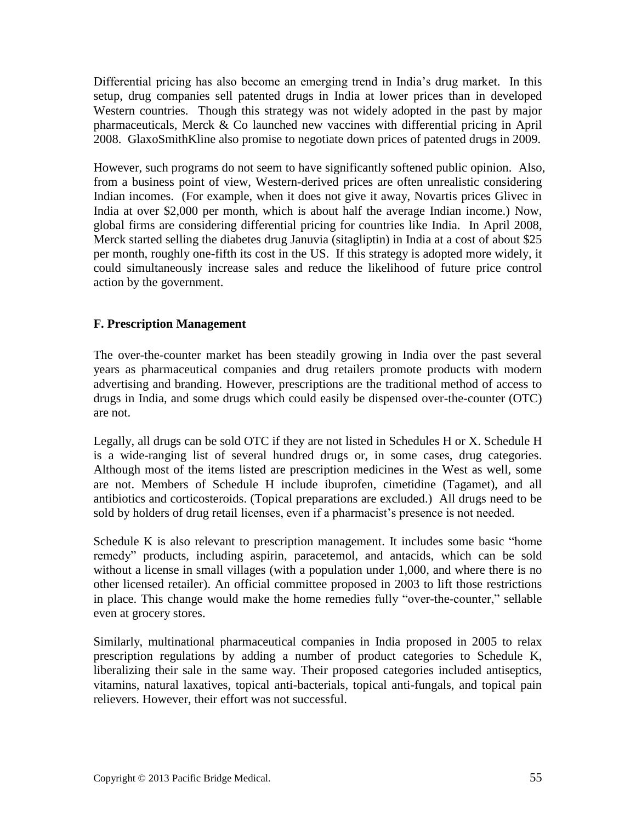Differential pricing has also become an emerging trend in India's drug market. In this setup, drug companies sell patented drugs in India at lower prices than in developed Western countries. Though this strategy was not widely adopted in the past by major pharmaceuticals, Merck & Co launched new vaccines with differential pricing in April 2008. GlaxoSmithKline also promise to negotiate down prices of patented drugs in 2009.

However, such programs do not seem to have significantly softened public opinion. Also, from a business point of view, Western-derived prices are often unrealistic considering Indian incomes. (For example, when it does not give it away, Novartis prices Glivec in India at over \$2,000 per month, which is about half the average Indian income.) Now, global firms are considering differential pricing for countries like India. In April 2008, Merck started selling the diabetes drug Januvia (sitagliptin) in India at a cost of about \$25 per month, roughly one-fifth its cost in the US. If this strategy is adopted more widely, it could simultaneously increase sales and reduce the likelihood of future price control action by the government.

### **F. Prescription Management**

The over-the-counter market has been steadily growing in India over the past several years as pharmaceutical companies and drug retailers promote products with modern advertising and branding. However, prescriptions are the traditional method of access to drugs in India, and some drugs which could easily be dispensed over-the-counter (OTC) are not.

Legally, all drugs can be sold OTC if they are not listed in Schedules H or X. Schedule H is a wide-ranging list of several hundred drugs or, in some cases, drug categories. Although most of the items listed are prescription medicines in the West as well, some are not. Members of Schedule H include ibuprofen, cimetidine (Tagamet), and all antibiotics and corticosteroids. (Topical preparations are excluded.) All drugs need to be sold by holders of drug retail licenses, even if a pharmacist's presence is not needed.

Schedule K is also relevant to prescription management. It includes some basic "home remedy" products, including aspirin, paracetemol, and antacids, which can be sold without a license in small villages (with a population under 1,000, and where there is no other licensed retailer). An official committee proposed in 2003 to lift those restrictions in place. This change would make the home remedies fully "over-the-counter," sellable even at grocery stores.

Similarly, multinational pharmaceutical companies in India proposed in 2005 to relax prescription regulations by adding a number of product categories to Schedule K, liberalizing their sale in the same way. Their proposed categories included antiseptics, vitamins, natural laxatives, topical anti-bacterials, topical anti-fungals, and topical pain relievers. However, their effort was not successful.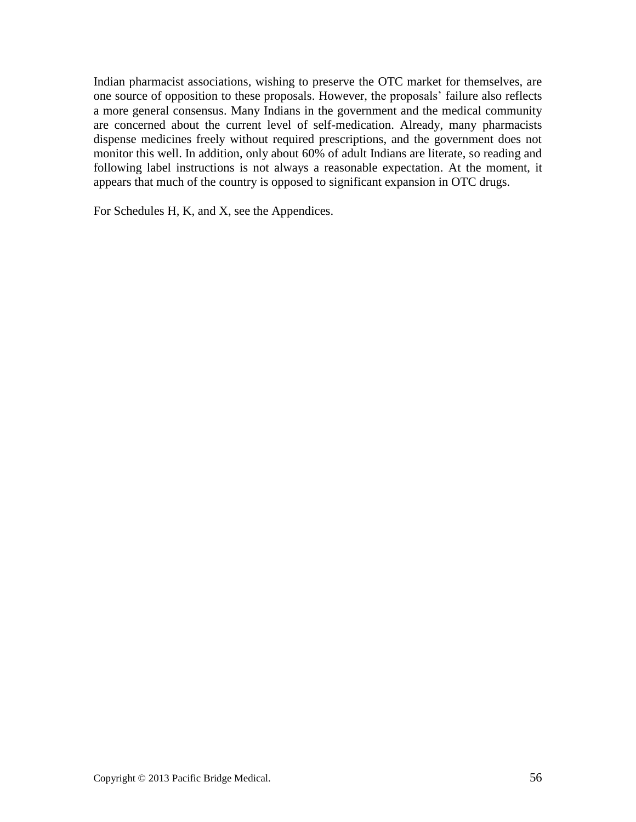Indian pharmacist associations, wishing to preserve the OTC market for themselves, are one source of opposition to these proposals. However, the proposals' failure also reflects a more general consensus. Many Indians in the government and the medical community are concerned about the current level of self-medication. Already, many pharmacists dispense medicines freely without required prescriptions, and the government does not monitor this well. In addition, only about 60% of adult Indians are literate, so reading and following label instructions is not always a reasonable expectation. At the moment, it appears that much of the country is opposed to significant expansion in OTC drugs.

For Schedules H, K, and X, see the Appendices.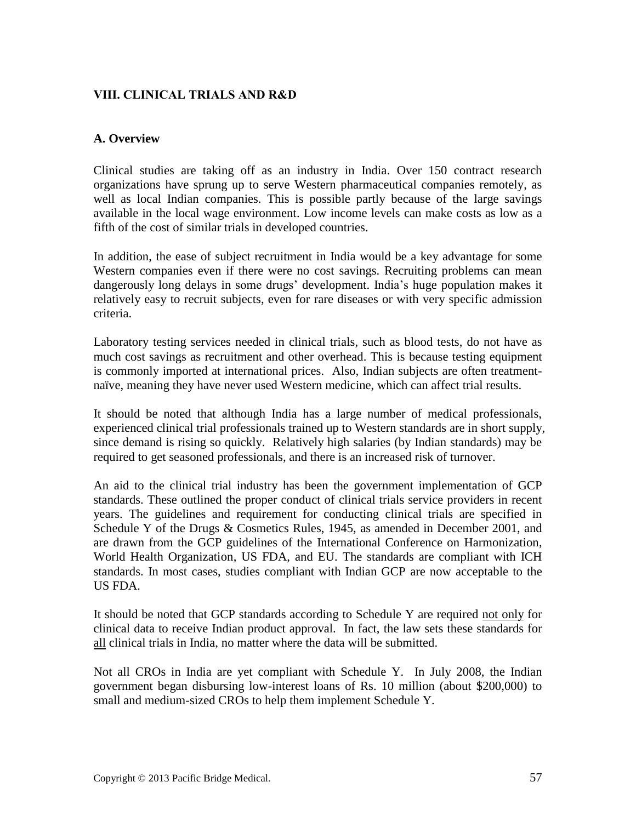# **VIII. CLINICAL TRIALS AND R&D**

### **A. Overview**

Clinical studies are taking off as an industry in India. Over 150 contract research organizations have sprung up to serve Western pharmaceutical companies remotely, as well as local Indian companies. This is possible partly because of the large savings available in the local wage environment. Low income levels can make costs as low as a fifth of the cost of similar trials in developed countries.

In addition, the ease of subject recruitment in India would be a key advantage for some Western companies even if there were no cost savings. Recruiting problems can mean dangerously long delays in some drugs' development. India's huge population makes it relatively easy to recruit subjects, even for rare diseases or with very specific admission criteria.

Laboratory testing services needed in clinical trials, such as blood tests, do not have as much cost savings as recruitment and other overhead. This is because testing equipment is commonly imported at international prices. Also, Indian subjects are often treatmentnaïve, meaning they have never used Western medicine, which can affect trial results.

It should be noted that although India has a large number of medical professionals, experienced clinical trial professionals trained up to Western standards are in short supply, since demand is rising so quickly. Relatively high salaries (by Indian standards) may be required to get seasoned professionals, and there is an increased risk of turnover.

An aid to the clinical trial industry has been the government implementation of GCP standards. These outlined the proper conduct of clinical trials service providers in recent years. The guidelines and requirement for conducting clinical trials are specified in Schedule Y of the Drugs & Cosmetics Rules, 1945, as amended in December 2001, and are drawn from the GCP guidelines of the International Conference on Harmonization, World Health Organization, US FDA, and EU. The standards are compliant with ICH standards. In most cases, studies compliant with Indian GCP are now acceptable to the US FDA.

It should be noted that GCP standards according to Schedule Y are required not only for clinical data to receive Indian product approval. In fact, the law sets these standards for all clinical trials in India, no matter where the data will be submitted.

Not all CROs in India are yet compliant with Schedule Y. In July 2008, the Indian government began disbursing low-interest loans of Rs. 10 million (about \$200,000) to small and medium-sized CROs to help them implement Schedule Y.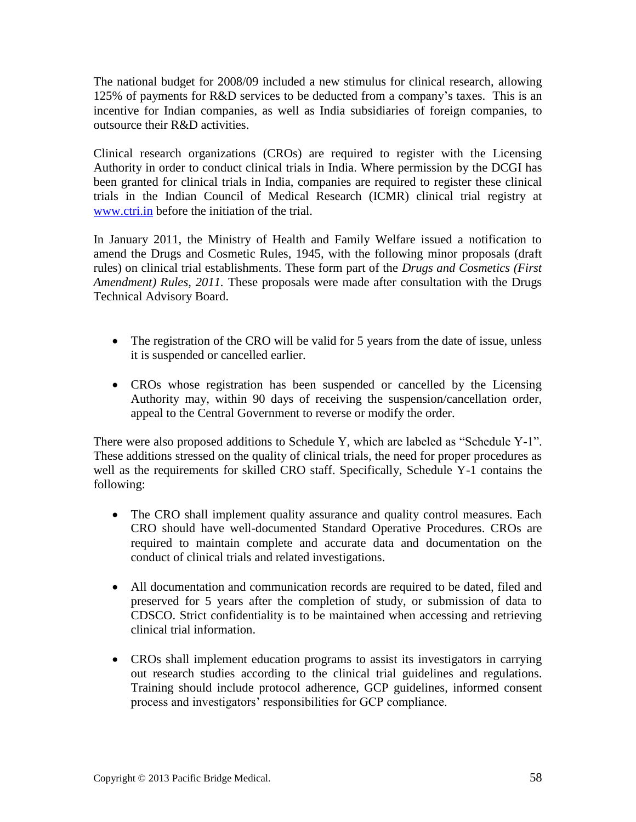The national budget for 2008/09 included a new stimulus for clinical research, allowing 125% of payments for R&D services to be deducted from a company's taxes. This is an incentive for Indian companies, as well as India subsidiaries of foreign companies, to outsource their R&D activities.

Clinical research organizations (CROs) are required to register with the Licensing Authority in order to conduct clinical trials in India. Where permission by the DCGI has been granted for clinical trials in India, companies are required to register these clinical trials in the Indian Council of Medical Research (ICMR) clinical trial registry at [www.ctri.in](http://www.ctri.in/) before the initiation of the trial.

In January 2011, the Ministry of Health and Family Welfare issued a notification to amend the Drugs and Cosmetic Rules, 1945, with the following minor proposals (draft rules) on clinical trial establishments. These form part of the *Drugs and Cosmetics (First Amendment) Rules, 2011.* These proposals were made after consultation with the Drugs Technical Advisory Board.

- The registration of the CRO will be valid for 5 years from the date of issue, unless it is suspended or cancelled earlier.
- CROs whose registration has been suspended or cancelled by the Licensing Authority may, within 90 days of receiving the suspension/cancellation order, appeal to the Central Government to reverse or modify the order.

There were also proposed additions to Schedule Y, which are labeled as "Schedule Y-1". These additions stressed on the quality of clinical trials, the need for proper procedures as well as the requirements for skilled CRO staff. Specifically, Schedule Y-1 contains the following:

- The CRO shall implement quality assurance and quality control measures. Each CRO should have well-documented Standard Operative Procedures. CROs are required to maintain complete and accurate data and documentation on the conduct of clinical trials and related investigations.
- All documentation and communication records are required to be dated, filed and preserved for 5 years after the completion of study, or submission of data to CDSCO. Strict confidentiality is to be maintained when accessing and retrieving clinical trial information.
- CROs shall implement education programs to assist its investigators in carrying out research studies according to the clinical trial guidelines and regulations. Training should include protocol adherence, GCP guidelines, informed consent process and investigators' responsibilities for GCP compliance.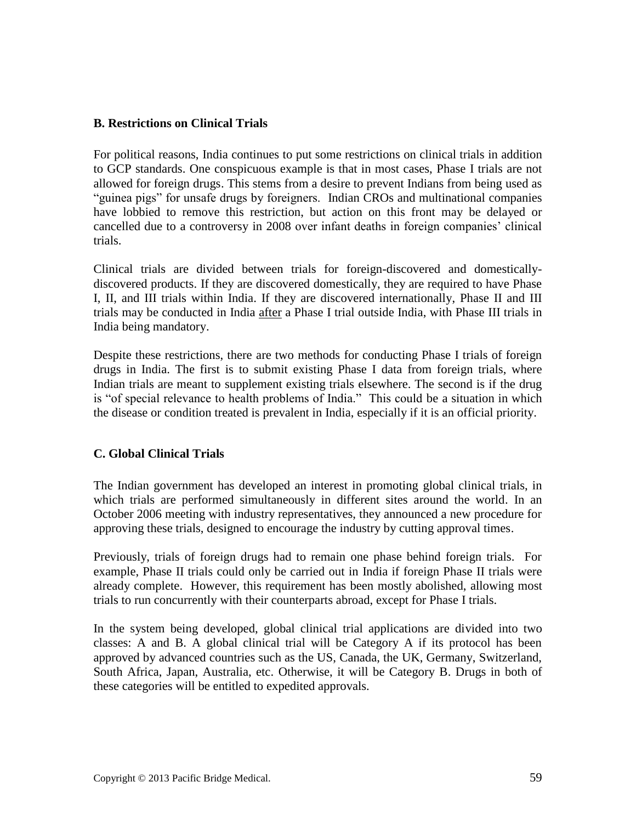### **B. Restrictions on Clinical Trials**

For political reasons, India continues to put some restrictions on clinical trials in addition to GCP standards. One conspicuous example is that in most cases, Phase I trials are not allowed for foreign drugs. This stems from a desire to prevent Indians from being used as "guinea pigs" for unsafe drugs by foreigners. Indian CROs and multinational companies have lobbied to remove this restriction, but action on this front may be delayed or cancelled due to a controversy in 2008 over infant deaths in foreign companies' clinical trials.

Clinical trials are divided between trials for foreign-discovered and domesticallydiscovered products. If they are discovered domestically, they are required to have Phase I, II, and III trials within India. If they are discovered internationally, Phase II and III trials may be conducted in India after a Phase I trial outside India, with Phase III trials in India being mandatory.

Despite these restrictions, there are two methods for conducting Phase I trials of foreign drugs in India. The first is to submit existing Phase I data from foreign trials, where Indian trials are meant to supplement existing trials elsewhere. The second is if the drug is "of special relevance to health problems of India." This could be a situation in which the disease or condition treated is prevalent in India, especially if it is an official priority.

### **C. Global Clinical Trials**

The Indian government has developed an interest in promoting global clinical trials, in which trials are performed simultaneously in different sites around the world. In an October 2006 meeting with industry representatives, they announced a new procedure for approving these trials, designed to encourage the industry by cutting approval times.

Previously, trials of foreign drugs had to remain one phase behind foreign trials. For example, Phase II trials could only be carried out in India if foreign Phase II trials were already complete. However, this requirement has been mostly abolished, allowing most trials to run concurrently with their counterparts abroad, except for Phase I trials.

<span id="page-58-0"></span>In the system being developed, global clinical trial applications are divided into two classes: A and B. A global clinical trial will be Category A if its protocol has been approved by advanced countries such as the US, Canada, the UK, Germany, Switzerland, South Africa, Japan, Australia, etc. Otherwise, it will be Category B. Drugs in both of these categories will be entitled to expedited approvals.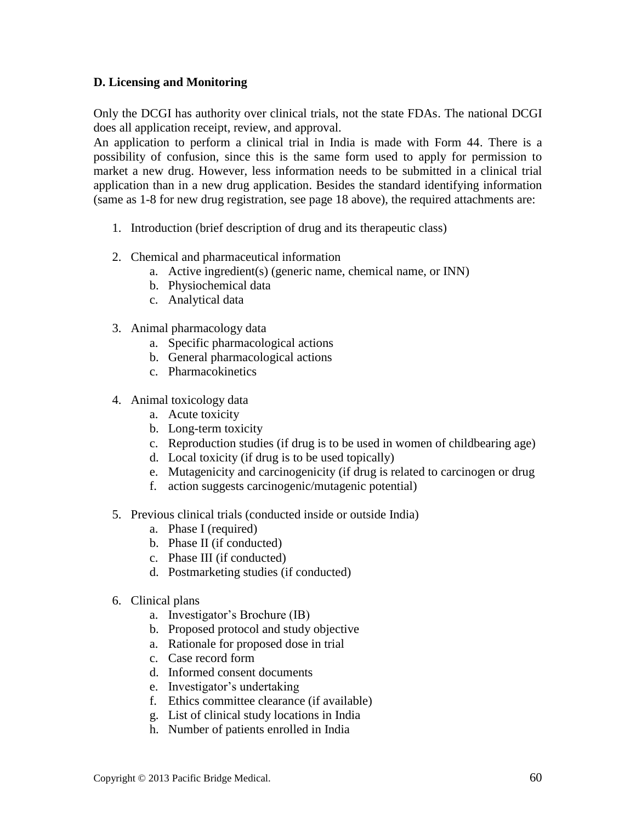### **D. Licensing and Monitoring**

Only the DCGI has authority over clinical trials, not the state FDAs. The national DCGI does all application receipt, review, and approval.

An application to perform a clinical trial in India is made with Form 44. There is a possibility of confusion, since this is the same form used to apply for permission to market a new drug. However, less information needs to be submitted in a clinical trial application than in a new drug application. Besides the standard identifying information (same as 1-8 for new drug registration, see page 18 above), the required attachments are:

- 1. Introduction (brief description of drug and its therapeutic class)
- 2. Chemical and pharmaceutical information
	- a. Active ingredient(s) (generic name, chemical name, or INN)
	- b. Physiochemical data
	- c. Analytical data
- 3. Animal pharmacology data
	- a. Specific pharmacological actions
	- b. General pharmacological actions
	- c. Pharmacokinetics
- 4. Animal toxicology data
	- a. Acute toxicity
	- b. Long-term toxicity
	- c. Reproduction studies (if drug is to be used in women of childbearing age)
	- d. Local toxicity (if drug is to be used topically)
	- e. Mutagenicity and carcinogenicity (if drug is related to carcinogen or drug
	- f. action suggests carcinogenic/mutagenic potential)
- 5. Previous clinical trials (conducted inside or outside India)
	- a. Phase I (required)
	- b. Phase II (if conducted)
	- c. Phase III (if conducted)
	- d. Postmarketing studies (if conducted)
- 6. Clinical plans
	- a. Investigator's Brochure (IB)
	- b. Proposed protocol and study objective
	- a. Rationale for proposed dose in trial
	- c. Case record form
	- d. Informed consent documents
	- e. Investigator's undertaking
	- f. Ethics committee clearance (if available)
	- g. List of clinical study locations in India
	- h. Number of patients enrolled in India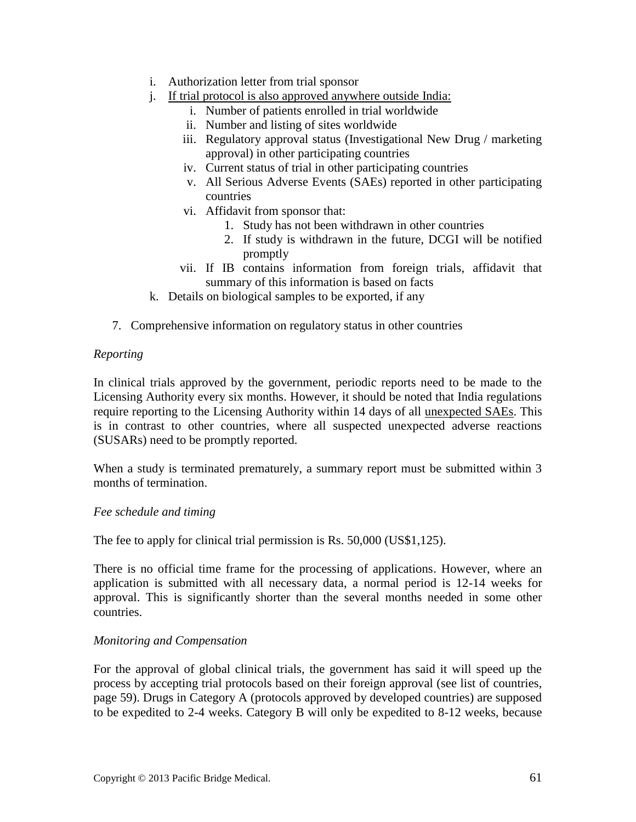- i. Authorization letter from trial sponsor
- j. If trial protocol is also approved anywhere outside India:
	- i. Number of patients enrolled in trial worldwide
	- ii. Number and listing of sites worldwide
	- iii. Regulatory approval status (Investigational New Drug / marketing approval) in other participating countries
	- iv. Current status of trial in other participating countries
	- v. All Serious Adverse Events (SAEs) reported in other participating countries
	- vi. Affidavit from sponsor that:
		- 1. Study has not been withdrawn in other countries
		- 2. If study is withdrawn in the future, DCGI will be notified promptly
	- vii. If IB contains information from foreign trials, affidavit that summary of this information is based on facts
- k. Details on biological samples to be exported, if any
- 7. Comprehensive information on regulatory status in other countries

# *Reporting*

In clinical trials approved by the government, periodic reports need to be made to the Licensing Authority every six months. However, it should be noted that India regulations require reporting to the Licensing Authority within 14 days of all unexpected SAEs. This is in contrast to other countries, where all suspected unexpected adverse reactions (SUSARs) need to be promptly reported.

When a study is terminated prematurely, a summary report must be submitted within 3 months of termination.

### *Fee schedule and timing*

The fee to apply for clinical trial permission is Rs. 50,000 (US\$1,125).

There is no official time frame for the processing of applications. However, where an application is submitted with all necessary data, a normal period is 12-14 weeks for approval. This is significantly shorter than the several months needed in some other countries.

### *Monitoring and Compensation*

For the approval of global clinical trials, the government has said it will speed up the process by accepting trial protocols based on their foreign approval (see list of countries, page [59\)](#page-58-0). Drugs in Category A (protocols approved by developed countries) are supposed to be expedited to 2-4 weeks. Category B will only be expedited to 8-12 weeks, because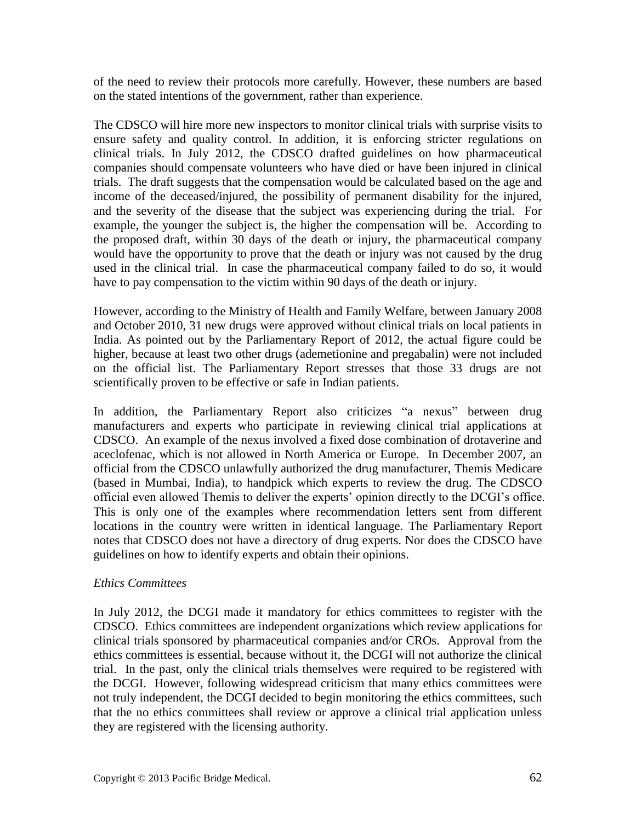of the need to review their protocols more carefully. However, these numbers are based on the stated intentions of the government, rather than experience.

The CDSCO will hire more new inspectors to monitor clinical trials with surprise visits to ensure safety and quality control. In addition, it is enforcing stricter regulations on clinical trials. In July 2012, the CDSCO drafted guidelines on how pharmaceutical companies should compensate volunteers who have died or have been injured in clinical trials. The draft suggests that the compensation would be calculated based on the age and income of the deceased/injured, the possibility of permanent disability for the injured, and the severity of the disease that the subject was experiencing during the trial. For example, the younger the subject is, the higher the compensation will be. According to the proposed draft, within 30 days of the death or injury, the pharmaceutical company would have the opportunity to prove that the death or injury was not caused by the drug used in the clinical trial. In case the pharmaceutical company failed to do so, it would have to pay compensation to the victim within 90 days of the death or injury.

However, according to the Ministry of Health and Family Welfare, between January 2008 and October 2010, 31 new drugs were approved without clinical trials on local patients in India. As pointed out by the Parliamentary Report of 2012, the actual figure could be higher, because at least two other drugs (ademetionine and pregabalin) were not included on the official list. The Parliamentary Report stresses that those 33 drugs are not scientifically proven to be effective or safe in Indian patients.

In addition, the Parliamentary Report also criticizes "a nexus" between drug manufacturers and experts who participate in reviewing clinical trial applications at CDSCO. An example of the nexus involved a fixed dose combination of drotaverine and aceclofenac, which is not allowed in North America or Europe. In December 2007, an official from the CDSCO unlawfully authorized the drug manufacturer, Themis Medicare (based in Mumbai, India), to handpick which experts to review the drug. The CDSCO official even allowed Themis to deliver the experts' opinion directly to the DCGI's office. This is only one of the examples where recommendation letters sent from different locations in the country were written in identical language. The Parliamentary Report notes that CDSCO does not have a directory of drug experts. Nor does the CDSCO have guidelines on how to identify experts and obtain their opinions.

### *Ethics Committees*

In July 2012, the DCGI made it mandatory for ethics committees to register with the CDSCO. Ethics committees are independent organizations which review applications for clinical trials sponsored by pharmaceutical companies and/or CROs. Approval from the ethics committees is essential, because without it, the DCGI will not authorize the clinical trial. In the past, only the clinical trials themselves were required to be registered with the DCGI. However, following widespread criticism that many ethics committees were not truly independent, the DCGI decided to begin monitoring the ethics committees, such that the no ethics committees shall review or approve a clinical trial application unless they are registered with the licensing authority.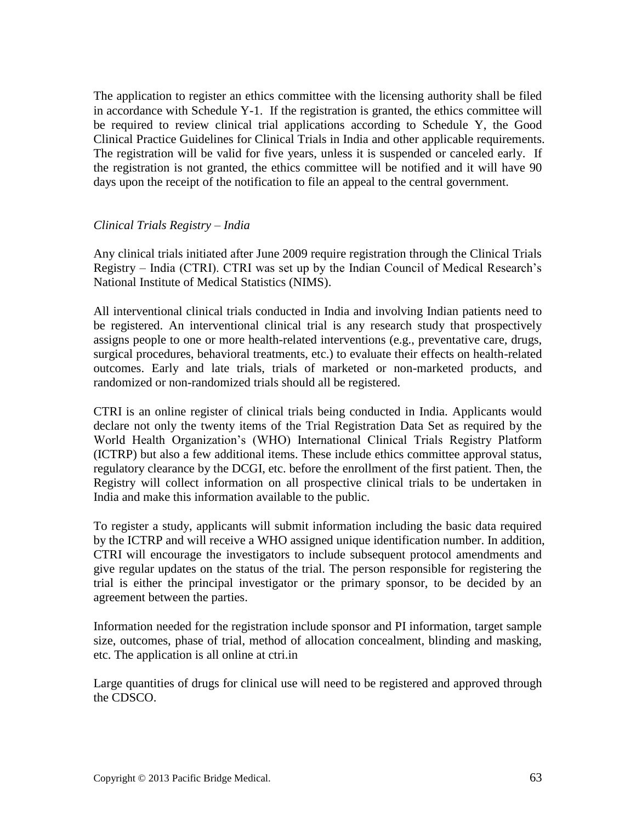The application to register an ethics committee with the licensing authority shall be filed in accordance with Schedule Y-1. If the registration is granted, the ethics committee will be required to review clinical trial applications according to Schedule Y, the Good Clinical Practice Guidelines for Clinical Trials in India and other applicable requirements. The registration will be valid for five years, unless it is suspended or canceled early. If the registration is not granted, the ethics committee will be notified and it will have 90 days upon the receipt of the notification to file an appeal to the central government.

### *Clinical Trials Registry – India*

Any clinical trials initiated after June 2009 require registration through the Clinical Trials Registry – India (CTRI). CTRI was set up by the Indian Council of Medical Research's National Institute of Medical Statistics (NIMS).

All interventional clinical trials conducted in India and involving Indian patients need to be registered. An interventional clinical trial is any research study that prospectively assigns people to one or more health-related interventions (e.g., preventative care, drugs, surgical procedures, behavioral treatments, etc.) to evaluate their effects on health-related outcomes. Early and late trials, trials of marketed or non-marketed products, and randomized or non-randomized trials should all be registered.

CTRI is an online register of clinical trials being conducted in India. Applicants would declare not only the twenty items of the Trial Registration Data Set as required by the World Health Organization's (WHO) International Clinical Trials Registry Platform (ICTRP) but also a few additional items. These include ethics committee approval status, regulatory clearance by the DCGI, etc. before the enrollment of the first patient. Then, the Registry will collect information on all prospective clinical trials to be undertaken in India and make this information available to the public.

To register a study, applicants will submit information including the basic data required by the ICTRP and will receive a WHO assigned unique identification number. In addition, CTRI will encourage the investigators to include subsequent protocol amendments and give regular updates on the status of the trial. The person responsible for registering the trial is either the principal investigator or the primary sponsor, to be decided by an agreement between the parties.

Information needed for the registration include sponsor and PI information, target sample size, outcomes, phase of trial, method of allocation concealment, blinding and masking, etc. The application is all online at ctri.in

Large quantities of drugs for clinical use will need to be registered and approved through the CDSCO.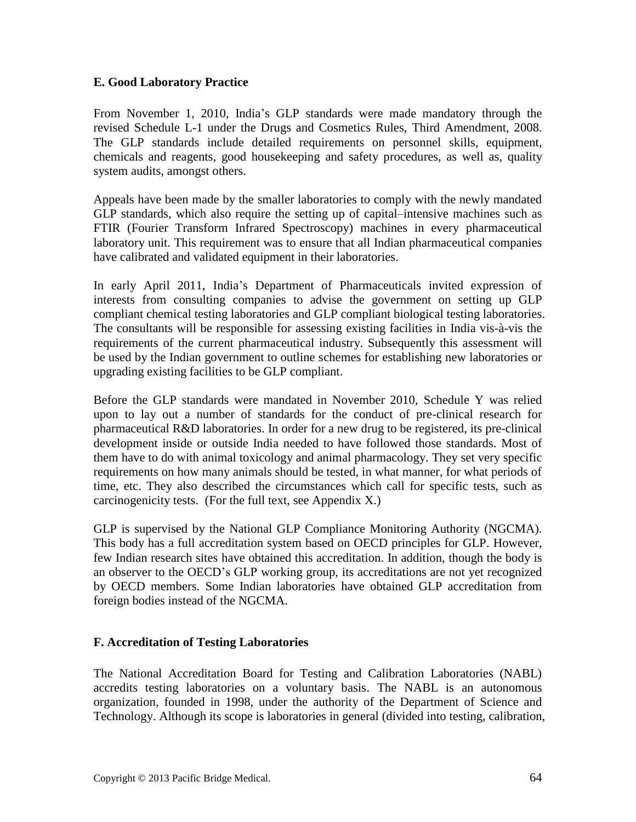### **E. Good Laboratory Practice**

From November 1, 2010, India's GLP standards were made mandatory through the revised Schedule L-1 under the Drugs and Cosmetics Rules, Third Amendment, 2008. The GLP standards include detailed requirements on personnel skills, equipment, chemicals and reagents, good housekeeping and safety procedures, as well as, quality system audits, amongst others.

Appeals have been made by the smaller laboratories to comply with the newly mandated GLP standards, which also require the setting up of capital–intensive machines such as FTIR (Fourier Transform Infrared Spectroscopy) machines in every pharmaceutical laboratory unit. This requirement was to ensure that all Indian pharmaceutical companies have calibrated and validated equipment in their laboratories.

In early April 2011, India's Department of Pharmaceuticals invited expression of interests from consulting companies to advise the government on setting up GLP compliant chemical testing laboratories and GLP compliant biological testing laboratories. The consultants will be responsible for assessing existing facilities in India vis-à-vis the requirements of the current pharmaceutical industry. Subsequently this assessment will be used by the Indian government to outline schemes for establishing new laboratories or upgrading existing facilities to be GLP compliant.

Before the GLP standards were mandated in November 2010, Schedule Y was relied upon to lay out a number of standards for the conduct of pre-clinical research for pharmaceutical R&D laboratories. In order for a new drug to be registered, its pre-clinical development inside or outside India needed to have followed those standards. Most of them have to do with animal toxicology and animal pharmacology. They set very specific requirements on how many animals should be tested, in what manner, for what periods of time, etc. They also described the circumstances which call for specific tests, such as carcinogenicity tests. (For the full text, see Appendix X.)

GLP is supervised by the National GLP Compliance Monitoring Authority (NGCMA). This body has a full accreditation system based on OECD principles for GLP. However, few Indian research sites have obtained this accreditation. In addition, though the body is an observer to the OECD's GLP working group, its accreditations are not yet recognized by OECD members. Some Indian laboratories have obtained GLP accreditation from foreign bodies instead of the NGCMA.

### **F. Accreditation of Testing Laboratories**

The National Accreditation Board for Testing and Calibration Laboratories (NABL) accredits testing laboratories on a voluntary basis. The NABL is an autonomous organization, founded in 1998, under the authority of the Department of Science and Technology. Although its scope is laboratories in general (divided into testing, calibration,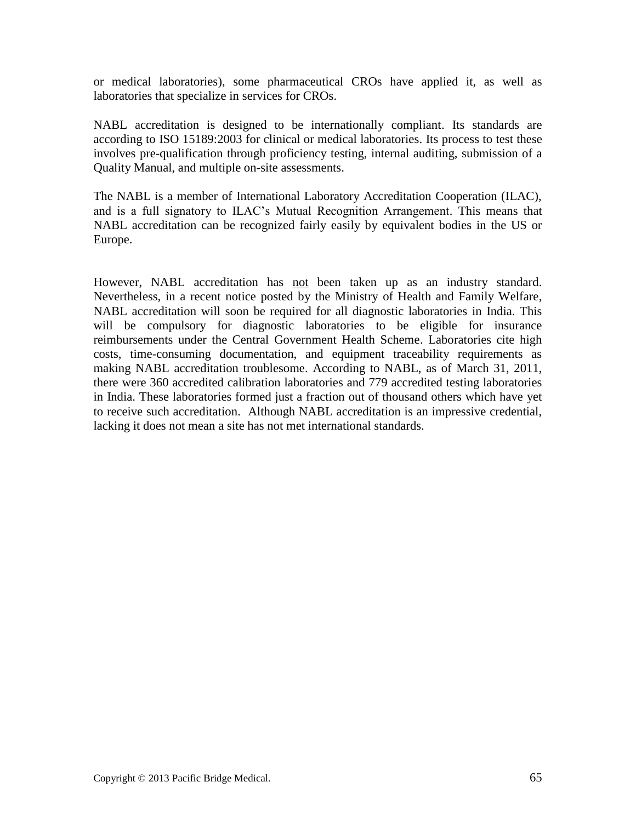or medical laboratories), some pharmaceutical CROs have applied it, as well as laboratories that specialize in services for CROs.

NABL accreditation is designed to be internationally compliant. Its standards are according to ISO 15189:2003 for clinical or medical laboratories. Its process to test these involves pre-qualification through proficiency testing, internal auditing, submission of a Quality Manual, and multiple on-site assessments.

The NABL is a member of International Laboratory Accreditation Cooperation (ILAC), and is a full signatory to ILAC's Mutual Recognition Arrangement. This means that NABL accreditation can be recognized fairly easily by equivalent bodies in the US or Europe.

However, NABL accreditation has not been taken up as an industry standard. Nevertheless, in a recent notice posted by the Ministry of Health and Family Welfare, NABL accreditation will soon be required for all diagnostic laboratories in India. This will be compulsory for diagnostic laboratories to be eligible for insurance reimbursements under the Central Government Health Scheme. Laboratories cite high costs, time-consuming documentation, and equipment traceability requirements as making NABL accreditation troublesome. According to NABL, as of March 31, 2011, there were 360 accredited calibration laboratories and 779 accredited testing laboratories in India. These laboratories formed just a fraction out of thousand others which have yet to receive such accreditation. Although NABL accreditation is an impressive credential, lacking it does not mean a site has not met international standards.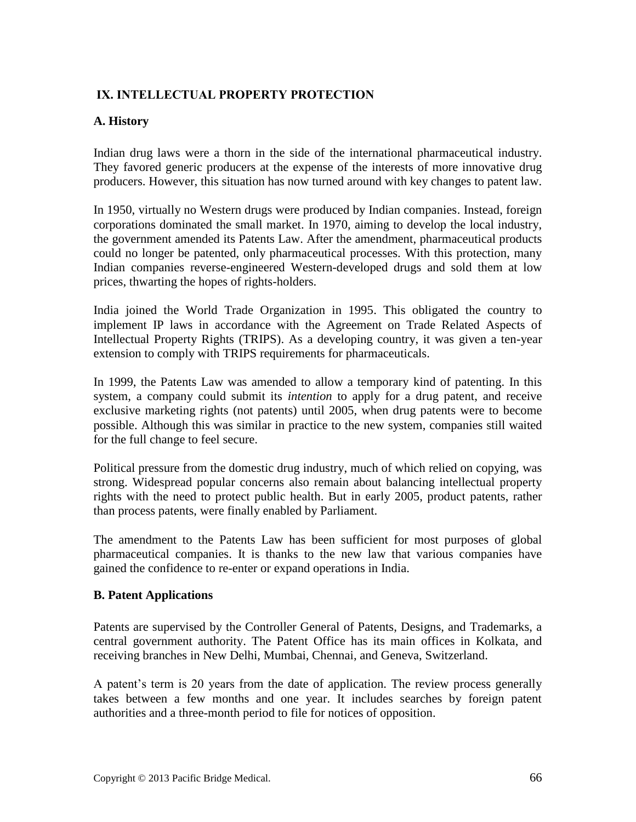# **IX. INTELLECTUAL PROPERTY PROTECTION**

### **A. History**

Indian drug laws were a thorn in the side of the international pharmaceutical industry. They favored generic producers at the expense of the interests of more innovative drug producers. However, this situation has now turned around with key changes to patent law.

In 1950, virtually no Western drugs were produced by Indian companies. Instead, foreign corporations dominated the small market. In 1970, aiming to develop the local industry, the government amended its Patents Law. After the amendment, pharmaceutical products could no longer be patented, only pharmaceutical processes. With this protection, many Indian companies reverse-engineered Western-developed drugs and sold them at low prices, thwarting the hopes of rights-holders.

India joined the World Trade Organization in 1995. This obligated the country to implement IP laws in accordance with the Agreement on Trade Related Aspects of Intellectual Property Rights (TRIPS). As a developing country, it was given a ten-year extension to comply with TRIPS requirements for pharmaceuticals.

In 1999, the Patents Law was amended to allow a temporary kind of patenting. In this system, a company could submit its *intention* to apply for a drug patent, and receive exclusive marketing rights (not patents) until 2005, when drug patents were to become possible. Although this was similar in practice to the new system, companies still waited for the full change to feel secure.

Political pressure from the domestic drug industry, much of which relied on copying, was strong. Widespread popular concerns also remain about balancing intellectual property rights with the need to protect public health. But in early 2005, product patents, rather than process patents, were finally enabled by Parliament.

The amendment to the Patents Law has been sufficient for most purposes of global pharmaceutical companies. It is thanks to the new law that various companies have gained the confidence to re-enter or expand operations in India.

#### **B. Patent Applications**

Patents are supervised by the Controller General of Patents, Designs, and Trademarks, a central government authority. The Patent Office has its main offices in Kolkata, and receiving branches in New Delhi, Mumbai, Chennai, and Geneva, Switzerland.

A patent's term is 20 years from the date of application. The review process generally takes between a few months and one year. It includes searches by foreign patent authorities and a three-month period to file for notices of opposition.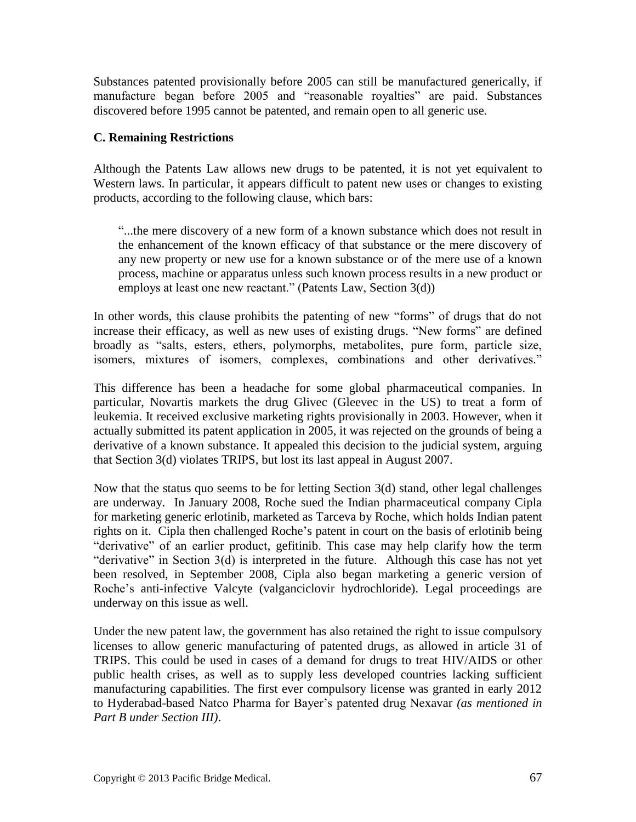Substances patented provisionally before 2005 can still be manufactured generically, if manufacture began before 2005 and "reasonable royalties" are paid. Substances discovered before 1995 cannot be patented, and remain open to all generic use.

### **C. Remaining Restrictions**

Although the Patents Law allows new drugs to be patented, it is not yet equivalent to Western laws. In particular, it appears difficult to patent new uses or changes to existing products, according to the following clause, which bars:

"...the mere discovery of a new form of a known substance which does not result in the enhancement of the known efficacy of that substance or the mere discovery of any new property or new use for a known substance or of the mere use of a known process, machine or apparatus unless such known process results in a new product or employs at least one new reactant." (Patents Law, Section 3(d))

In other words, this clause prohibits the patenting of new "forms" of drugs that do not increase their efficacy, as well as new uses of existing drugs. "New forms" are defined broadly as "salts, esters, ethers, polymorphs, metabolites, pure form, particle size, isomers, mixtures of isomers, complexes, combinations and other derivatives."

This difference has been a headache for some global pharmaceutical companies. In particular, Novartis markets the drug Glivec (Gleevec in the US) to treat a form of leukemia. It received exclusive marketing rights provisionally in 2003. However, when it actually submitted its patent application in 2005, it was rejected on the grounds of being a derivative of a known substance. It appealed this decision to the judicial system, arguing that Section 3(d) violates TRIPS, but lost its last appeal in August 2007.

Now that the status quo seems to be for letting Section 3(d) stand, other legal challenges are underway. In January 2008, Roche sued the Indian pharmaceutical company Cipla for marketing generic erlotinib, marketed as Tarceva by Roche, which holds Indian patent rights on it. Cipla then challenged Roche's patent in court on the basis of erlotinib being "derivative" of an earlier product, gefitinib. This case may help clarify how the term "derivative" in Section 3(d) is interpreted in the future. Although this case has not yet been resolved, in September 2008, Cipla also began marketing a generic version of Roche's anti-infective Valcyte (valganciclovir hydrochloride). Legal proceedings are underway on this issue as well.

Under the new patent law, the government has also retained the right to issue compulsory licenses to allow generic manufacturing of patented drugs, as allowed in article 31 of TRIPS. This could be used in cases of a demand for drugs to treat HIV/AIDS or other public health crises, as well as to supply less developed countries lacking sufficient manufacturing capabilities. The first ever compulsory license was granted in early 2012 to Hyderabad-based Natco Pharma for Bayer's patented drug Nexavar *(as mentioned in Part B under Section III)*.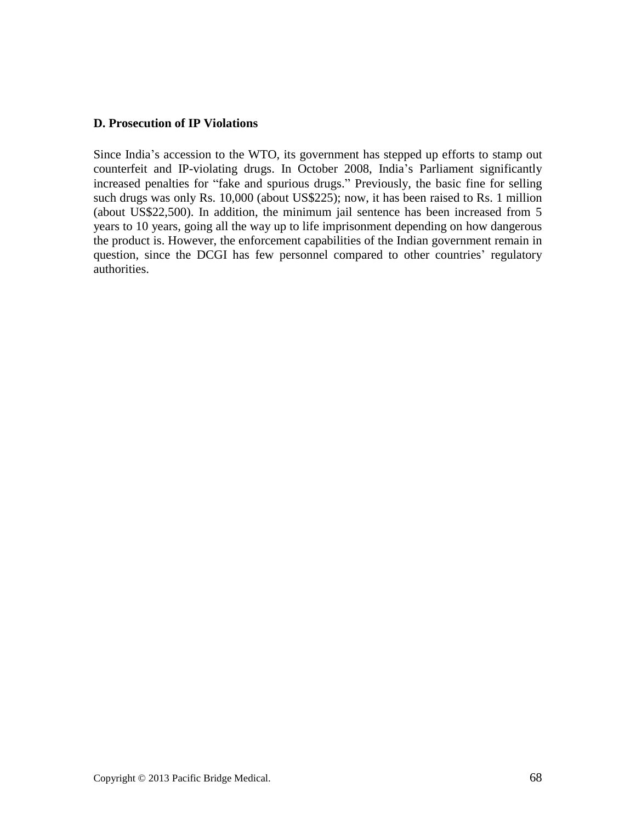#### **D. Prosecution of IP Violations**

Since India's accession to the WTO, its government has stepped up efforts to stamp out counterfeit and IP-violating drugs. In October 2008, India's Parliament significantly increased penalties for "fake and spurious drugs." Previously, the basic fine for selling such drugs was only Rs. 10,000 (about US\$225); now, it has been raised to Rs. 1 million (about US\$22,500). In addition, the minimum jail sentence has been increased from 5 years to 10 years, going all the way up to life imprisonment depending on how dangerous the product is. However, the enforcement capabilities of the Indian government remain in question, since the DCGI has few personnel compared to other countries' regulatory authorities.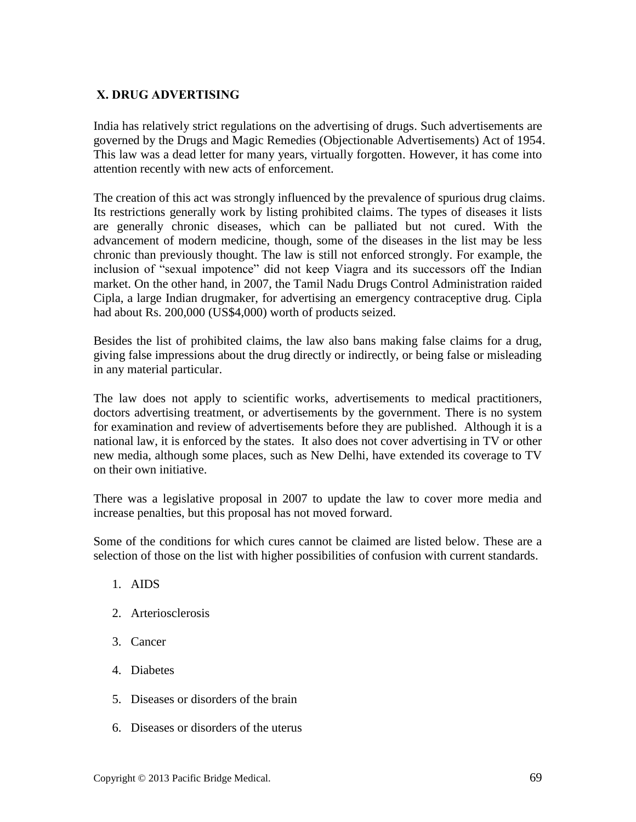### **X. DRUG ADVERTISING**

India has relatively strict regulations on the advertising of drugs. Such advertisements are governed by the Drugs and Magic Remedies (Objectionable Advertisements) Act of 1954. This law was a dead letter for many years, virtually forgotten. However, it has come into attention recently with new acts of enforcement.

The creation of this act was strongly influenced by the prevalence of spurious drug claims. Its restrictions generally work by listing prohibited claims. The types of diseases it lists are generally chronic diseases, which can be palliated but not cured. With the advancement of modern medicine, though, some of the diseases in the list may be less chronic than previously thought. The law is still not enforced strongly. For example, the inclusion of "sexual impotence" did not keep Viagra and its successors off the Indian market. On the other hand, in 2007, the Tamil Nadu Drugs Control Administration raided Cipla, a large Indian drugmaker, for advertising an emergency contraceptive drug. Cipla had about Rs. 200,000 (US\$4,000) worth of products seized.

Besides the list of prohibited claims, the law also bans making false claims for a drug, giving false impressions about the drug directly or indirectly, or being false or misleading in any material particular.

The law does not apply to scientific works, advertisements to medical practitioners, doctors advertising treatment, or advertisements by the government. There is no system for examination and review of advertisements before they are published. Although it is a national law, it is enforced by the states. It also does not cover advertising in TV or other new media, although some places, such as New Delhi, have extended its coverage to TV on their own initiative.

There was a legislative proposal in 2007 to update the law to cover more media and increase penalties, but this proposal has not moved forward.

Some of the conditions for which cures cannot be claimed are listed below. These are a selection of those on the list with higher possibilities of confusion with current standards.

- 1. AIDS
- 2. Arteriosclerosis
- 3. Cancer
- 4. Diabetes
- 5. Diseases or disorders of the brain
- 6. Diseases or disorders of the uterus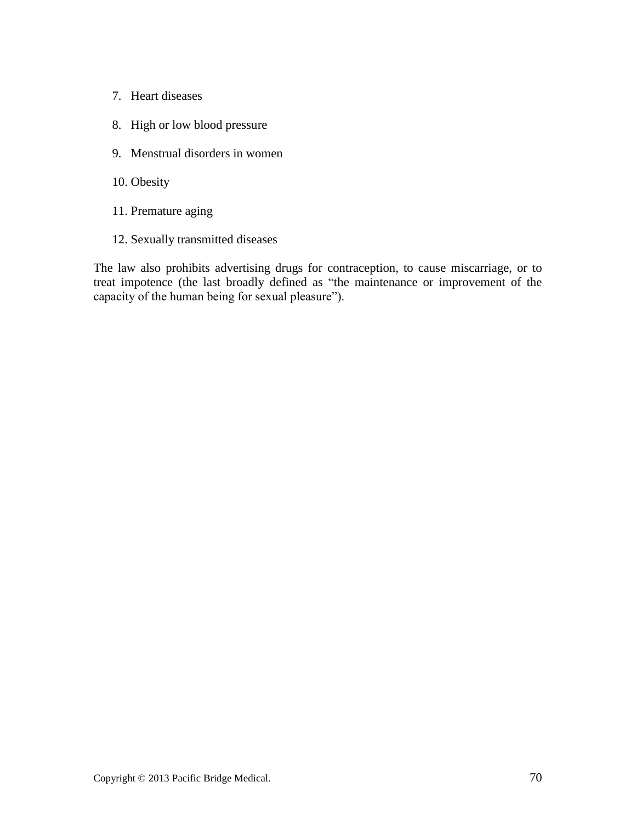- 7. Heart diseases
- 8. High or low blood pressure
- 9. Menstrual disorders in women
- 10. Obesity
- 11. Premature aging
- 12. Sexually transmitted diseases

The law also prohibits advertising drugs for contraception, to cause miscarriage, or to treat impotence (the last broadly defined as "the maintenance or improvement of the capacity of the human being for sexual pleasure").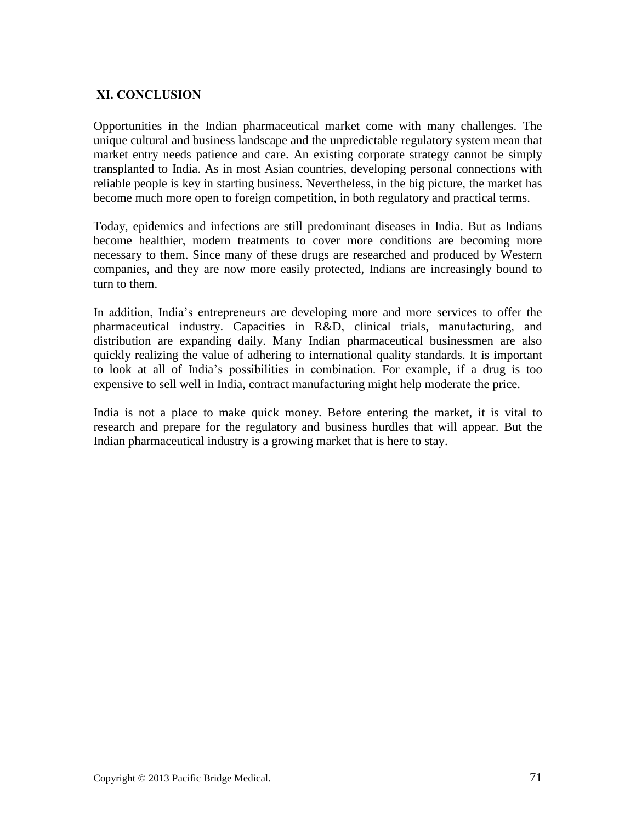# **XI. CONCLUSION**

Opportunities in the Indian pharmaceutical market come with many challenges. The unique cultural and business landscape and the unpredictable regulatory system mean that market entry needs patience and care. An existing corporate strategy cannot be simply transplanted to India. As in most Asian countries, developing personal connections with reliable people is key in starting business. Nevertheless, in the big picture, the market has become much more open to foreign competition, in both regulatory and practical terms.

Today, epidemics and infections are still predominant diseases in India. But as Indians become healthier, modern treatments to cover more conditions are becoming more necessary to them. Since many of these drugs are researched and produced by Western companies, and they are now more easily protected, Indians are increasingly bound to turn to them.

In addition, India's entrepreneurs are developing more and more services to offer the pharmaceutical industry. Capacities in R&D, clinical trials, manufacturing, and distribution are expanding daily. Many Indian pharmaceutical businessmen are also quickly realizing the value of adhering to international quality standards. It is important to look at all of India's possibilities in combination. For example, if a drug is too expensive to sell well in India, contract manufacturing might help moderate the price.

India is not a place to make quick money. Before entering the market, it is vital to research and prepare for the regulatory and business hurdles that will appear. But the Indian pharmaceutical industry is a growing market that is here to stay.